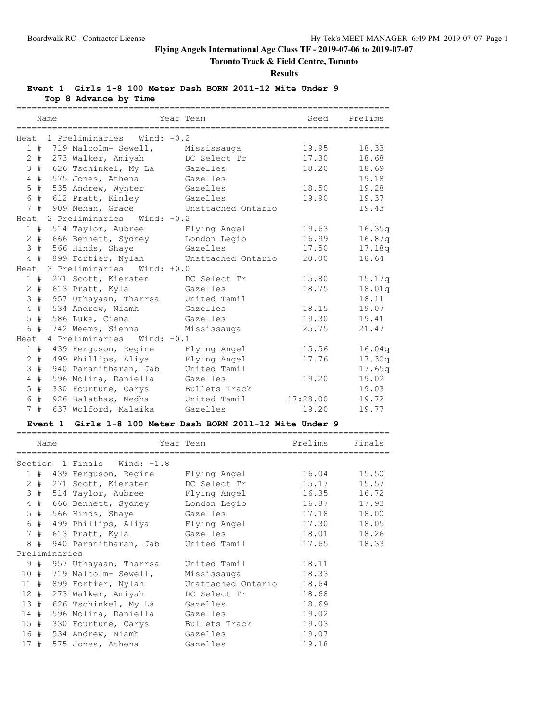# **Toronto Track & Field Centre, Toronto**

**Results**

**Event 1 Girls 1-8 100 Meter Dash BORN 2011-12 Mite Under 9**

**Top 8 Advance by Time**

|                 |       | Name |                                           | Year Team     | Seed     | Prelims |
|-----------------|-------|------|-------------------------------------------|---------------|----------|---------|
|                 |       |      | Heat 1 Preliminaries Wind: -0.2           |               |          |         |
|                 |       |      | 1 # 719 Malcolm- Sewell, Mississauga      |               | 19.95    | 18.33   |
|                 |       |      | 2 # 273 Walker, Amiyah                    | DC Select Tr  | 17.30    | 18.68   |
|                 |       |      | 3 # 626 Tschinkel, My La Gazelles         |               | 18.20    | 18.69   |
|                 |       |      | 4 # 575 Jones, Athena                     | Gazelles      |          | 19.18   |
|                 | $5$ # |      | 535 Andrew, Wynter                        | Gazelles      | 18.50    | 19.28   |
|                 | 6 #   |      | 612 Pratt, Kinley                         | Gazelles      | 19.90    | 19.37   |
|                 |       |      | 7 # 909 Nehan, Grace Unattached Ontario   |               |          | 19.43   |
|                 |       |      | Heat 2 Preliminaries Wind: -0.2           |               |          |         |
|                 |       |      | 1 # 514 Taylor, Aubree Flying Angel       |               | 19.63    | 16.35q  |
|                 |       |      | 2 # 666 Bennett, Sydney                   | London Legio  | 16.99    | 16.87q  |
|                 |       |      | 3 # 566 Hinds, Shaye                      | Gazelles      | 17.50    | 17.18q  |
|                 |       |      | 4 # 899 Fortier, Nylah Unattached Ontario |               | 20.00    | 18.64   |
|                 |       |      | Heat 3 Preliminaries Wind: +0.0           |               |          |         |
|                 | 1#    |      | 271 Scott, Kiersten                       | DC Select Tr  | 15.80    | 15.17q  |
|                 |       |      | 2 # 613 Pratt, Kyla                       | Gazelles      | 18.75    | 18.01q  |
|                 |       |      | 3 # 957 Uthayaan, Tharrsa                 | United Tamil  |          | 18.11   |
|                 |       |      | 4 # 534 Andrew, Niamh                     | Gazelles      | 18.15    | 19.07   |
|                 |       |      | 5 # 586 Luke, Ciena                       | Gazelles      | 19.30    | 19.41   |
|                 | 6 #   |      | 742 Weems, Sienna                         | Mississauga   | 25.75    | 21.47   |
|                 |       |      | Heat 4 Preliminaries Wind: -0.1           |               |          |         |
|                 |       |      | 1 # 439 Ferguson, Regine                  | Flying Angel  | 15.56    | 16.04q  |
|                 | $2 +$ |      | 499 Phillips, Aliya                       | Flying Angel  | 17.76    | 17.30q  |
|                 | 3#    |      | 940 Paranitharan, Jab                     | United Tamil  |          | 17.65q  |
| $4\overline{ }$ | #     |      | 596 Molina, Daniella                      | Gazelles      | 19.20    | 19.02   |
| 5               | #     |      | 330 Fourtune, Carys                       | Bullets Track |          | 19.03   |
|                 | 6 #   |      | 926 Balathas, Medha                       | United Tamil  | 17:28.00 | 19.72   |
| $7\overline{ }$ | #     |      | 637 Wolford, Malaika                      | Gazelles      | 19.20    | 19.77   |

### **Event 1 Girls 1-8 100 Meter Dash BORN 2011-12 Mite Under 9**

|     | Name |               |                                           | Year Team in the control of the control of the control of the control of the control of the control of the control of the control of the control of the control of the control of the control of the control of the control of | Prelims | Finals      |
|-----|------|---------------|-------------------------------------------|--------------------------------------------------------------------------------------------------------------------------------------------------------------------------------------------------------------------------------|---------|-------------|
|     |      |               | Section 1 Finals Wind: -1.8               |                                                                                                                                                                                                                                |         |             |
|     |      |               | 1 # 439 Ferquson, Regine     Flying Angel |                                                                                                                                                                                                                                |         | 16.04 15.50 |
|     |      |               | 2 # 271 Scott, Kiersten                   | DC Select Tr                                                                                                                                                                                                                   | 15.17   | 15.57       |
|     |      |               | 3 # 514 Taylor, Aubree                    | Flying Angel                                                                                                                                                                                                                   | 16.35   | 16.72       |
|     | 4#   |               | 666 Bennett, Sydney                       | London Legio                                                                                                                                                                                                                   |         | 16.87 17.93 |
|     |      |               | 5 # 566 Hinds, Shaye                      | 17.18<br>Gazelles                                                                                                                                                                                                              |         | 18.00       |
|     |      |               | 6 # 499 Phillips, Aliya Flying Angel      |                                                                                                                                                                                                                                | 17.30   | 18.05       |
|     |      |               | 7 # 613 Pratt, Kyla <a> Gazelles</a>      |                                                                                                                                                                                                                                |         | 18.01 18.26 |
|     |      |               | 8 # 940 Paranitharan, Jab                 | United Tamil                                                                                                                                                                                                                   | 17.65   | 18.33       |
|     |      | Preliminaries |                                           |                                                                                                                                                                                                                                |         |             |
|     |      |               | 9 # 957 Uthayaan, Tharrsa United Tamil    |                                                                                                                                                                                                                                | 18.11   |             |
|     |      |               | 10 # 719 Malcolm- Sewell,                 | Mississauga                                                                                                                                                                                                                    | 18.33   |             |
|     |      |               | 11 # 899 Fortier, Nylah                   | Unattached Ontario                                                                                                                                                                                                             | 18.64   |             |
|     |      |               | 12 # 273 Walker, Amiyah DC Select Tr      |                                                                                                                                                                                                                                | 18.68   |             |
|     |      |               | 13 # 626 Tschinkel, My La                 | Gazelles                                                                                                                                                                                                                       | 18.69   |             |
|     |      |               | 14 # 596 Molina, Daniella                 | Gazelles                                                                                                                                                                                                                       | 19.02   |             |
|     |      |               | 15 # 330 Fourtune, Carys                  | Bullets Track                                                                                                                                                                                                                  | 19.03   |             |
|     |      |               | 16 # 534 Andrew, Niamh                    | Gazelles                                                                                                                                                                                                                       | 19.07   |             |
| 17# |      |               | 575 Jones, Athena                         | Gazelles                                                                                                                                                                                                                       | 19.18   |             |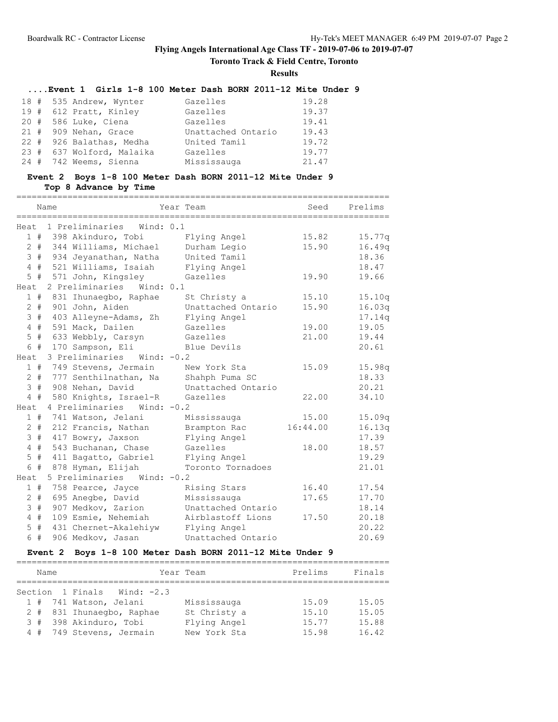**Toronto Track & Field Centre, Toronto**

**Results**

# **....Event 1 Girls 1-8 100 Meter Dash BORN 2011-12 Mite Under 9**

| 18 # 535 Andrew, Wynter   | Gazelles           | 19.28 |
|---------------------------|--------------------|-------|
| 19 # 612 Pratt, Kinley    | Gazelles           | 19.37 |
| 20 # 586 Luke, Ciena      | Gazelles           | 19.41 |
| 21 # 909 Nehan, Grace     | Unattached Ontario | 19.43 |
| 22 # 926 Balathas, Medha  | United Tamil       | 19.72 |
| 23 # 637 Wolford, Malaika | Gazelles           | 19.77 |
| 24 # 742 Weems, Sienna    | Mississauga        | 21.47 |

# **Event 2 Boys 1-8 100 Meter Dash BORN 2011-12 Mite Under 9**

### **Top 8 Advance by Time**

|                | Name |                                 | Year Team                        | Seed     | Prelims |
|----------------|------|---------------------------------|----------------------------------|----------|---------|
|                |      |                                 | ________________________________ |          |         |
| Heat.          |      | 1 Preliminaries<br>Wind: 0.1    |                                  |          |         |
|                |      | 1 # 398 Akinduro, Tobi          | Flying Angel                     | 15.82    | 15.77q  |
| $2 +$          |      | 344 Williams, Michael           | Durham Legio                     | 15.90    | 16.49q  |
| 3#             |      | 934 Jeyanathan, Natha           | United Tamil                     |          | 18.36   |
| $4$ #          |      | 521 Williams, Isaiah            | Flying Angel                     |          | 18.47   |
|                | 5#   | 571 John, Kingsley              | Gazelles                         | 19.90    | 19.66   |
| Heat           |      | 2 Preliminaries<br>Wind: 0.1    |                                  |          |         |
|                |      | 1 # 831 Ihunaegbo, Raphae       | St Christy a                     | 15.10    | 15.10q  |
| $2 +$          |      | 901 John, Aiden                 | Unattached Ontario               | 15.90    | 16.03q  |
| 3#             |      | 403 Alleyne-Adams, Zh           | Flying Angel                     |          | 17.14q  |
| 4#             |      | 591 Mack, Dailen                | Gazelles                         | 19.00    | 19.05   |
| $5$ #          |      | 633 Webbly, Carsyn              | Gazelles                         | 21.00    | 19.44   |
| 6 #            |      | 170 Sampson, Eli                | Blue Devils                      |          | 20.61   |
| Heat           |      | 3 Preliminaries<br>Wind: $-0.2$ |                                  |          |         |
| 1#             |      | 749 Stevens, Jermain            | New York Sta                     | 15.09    | 15.98q  |
| $2 +$          |      | 777 Senthilnathan, Na           | Shahph Puma SC                   |          | 18.33   |
| 3#             |      | 908 Nehan, David                | Unattached Ontario               |          | 20.21   |
| $4$ #          |      | 580 Knights, Israel-R           | Gazelles                         | 22.00    | 34.10   |
| Heat           |      | 4 Preliminaries Wind: -0.2      |                                  |          |         |
| 1#             |      | 741 Watson, Jelani              | Mississauga                      | 15.00    | 15.09q  |
| $2 +$          |      | 212 Francis, Nathan             | Brampton Rac                     | 16:44.00 | 16.13q  |
| 3#             |      | 417 Bowry, Jaxson               | Flying Angel                     |          | 17.39   |
| 4#             |      | 543 Buchanan, Chase             | Gazelles                         | 18.00    | 18.57   |
| 5              | #    | 411 Bagatto, Gabriel            | Flying Angel                     |          | 19.29   |
| 6 #            |      | 878 Hyman, Elijah               | Toronto Tornadoes                |          | 21.01   |
| Heat           |      | 5 Preliminaries Wind: -0.2      |                                  |          |         |
| 1#             |      | 758 Pearce, Jayce               | Rising Stars                     | 16.40    | 17.54   |
| $2 +$          |      | 695 Anegbe, David               | Mississauga                      | 17.65    | 17.70   |
| 3              | #    | 907 Medkov, Zarion              | Unattached Ontario               |          | 18.14   |
| $\overline{4}$ | #    | 109 Esmie, Nehemiah             | Airblastoff Lions                | 17.50    | 20.18   |
| 5              | #    | 431 Chernet-Akalehiyw           | Flying Angel                     |          | 20.22   |
| 6 #            |      | 906 Medkov, Jasan               | Unattached Ontario               |          | 20.69   |

# **Event 2 Boys 1-8 100 Meter Dash BORN 2011-12 Mite Under 9**

| Name |                             | Year Team    | Prelims | Finals |
|------|-----------------------------|--------------|---------|--------|
|      |                             |              |         |        |
|      | Section 1 Finals Wind: -2.3 |              |         |        |
|      | 1 # 741 Watson, Jelani      | Mississauga  | 15.09   | 15.05  |
|      | 2 # 831 Ihunaeqbo, Raphae   | St Christy a | 15.10   | 15.05  |
|      | 3 # 398 Akinduro, Tobi      | Flying Angel | 15.77   | 15.88  |
|      | 4 # 749 Stevens, Jermain    | New York Sta | 15.98   | 16.42  |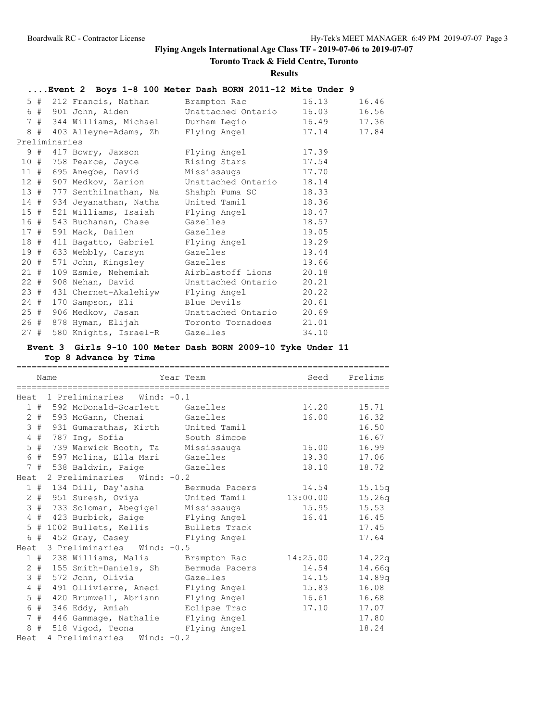**Toronto Track & Field Centre, Toronto**

**Results**

|     |               |                         | Event 2 Boys 1-8 100 Meter Dash BORN 2011-12 Mite Under 9                   |             |       |
|-----|---------------|-------------------------|-----------------------------------------------------------------------------|-------------|-------|
|     |               | 5 # 212 Francis, Nathan | Brampton Rac                                                                | 16.13       | 16.46 |
|     |               |                         | 6 # 901 John, Aiden Unattached Ontario                                      | 16.03       | 16.56 |
|     |               |                         | 7 # 344 Williams, Michael Durham Legio 16.49 17.36                          |             |       |
|     |               |                         | 8 # 403 Alleyne-Adams, Zh Flying Angel                                      | 17.14 17.84 |       |
|     | Preliminaries |                         |                                                                             |             |       |
|     |               |                         | 9 # 417 Bowry, Jaxson Flying Angel 17.39                                    |             |       |
|     |               |                         | 10 # 758 Pearce, Jayce Rising Stars 17.54                                   |             |       |
|     |               |                         | 11 # 695 Anegbe, David Mississauga 17.70                                    |             |       |
|     |               |                         | 12 # 907 Medkov, Zarion Unattached Ontario 18.14                            |             |       |
|     |               |                         | 13 # 777 Senthilnathan, Na Shahph Puma SC                                   | 18.33       |       |
|     |               |                         | 14 # 934 Jeyanathan, Natha United Tamil 18.36                               |             |       |
|     |               |                         | 15 # 521 Williams, Isaiah Flying Angel<br>16 # 543 Buchanan, Chase Gazelles | 18.47       |       |
|     |               |                         |                                                                             | 18.57       |       |
|     |               |                         | 17 # 591 Mack, Dailen Gazelles 19.05                                        |             |       |
|     |               |                         | 18 # 411 Bagatto, Gabriel Flying Angel 19.29                                |             |       |
|     |               |                         | 19 # 633 Webbly, Carsyn Gazelles 19.44                                      |             |       |
|     |               |                         | 20 # 571 John, Kingsley Gazelles 19.66                                      |             |       |
|     |               |                         | 21 # 109 Esmie, Nehemiah Mirblastoff Lions 20.18                            |             |       |
|     |               |                         | 22 # 908 Nehan, David Unattached Ontario 20.21                              |             |       |
|     |               |                         | 23 # 431 Chernet-Akalehiyw Flying Angel 20.22                               |             |       |
|     |               |                         | 24 # 170 Sampson, Eli Blue Devils 20.61                                     |             |       |
|     |               |                         | 25 # 906 Medkov, Jasan Unattached Ontario 20.69                             |             |       |
|     |               |                         | 26 # 878 Hyman, Elijah Toronto Tornadoes 21.01                              |             |       |
| 27# |               |                         | 580 Knights, Israel-R Gazelles                                              | 34.10       |       |

### **Event 3 Girls 9-10 100 Meter Dash BORN 2009-10 Tyke Under 11 Top 8 Advance by Time**

========================================================================= Name Seed Prelims ========================================================================= Heat 1 Preliminaries Wind: -0.1 1 # 592 McDonald-Scarlett Gazelles 14.20 15.71 2 # 593 McGann, Chenai Gazelles 16.00 16.32 3 # 931 Gumarathas, Kirth United Tamil 16.50 4 # 787 Ing, Sofia South Simcoe 16.67 5 # 739 Warwick Booth, Ta Mississauga 16.00 16.99 6 # 597 Molina, Ella Mari Gazelles 19.30 17.06 7 # 538 Baldwin, Paige Gazelles 18.10 18.72 Heat 2 Preliminaries Wind: -0.2 1 # 134 Dill, Day'asha Bermuda Pacers 14.54 15.15q 2 # 951 Suresh, Oviya United Tamil 13:00.00 15.26q 3 # 733 Soloman, Abegigel Mississauga 15.95 15.53 4 # 423 Burbick, Saige Flying Angel 16.41 16.45 5 # 1002 Bullets, Kellis Bullets Track 17.45 6 # 452 Gray, Casey Flying Angel 17.64 Heat 3 Preliminaries Wind: -0.5 1 # 238 Williams, Malia Brampton Rac 14:25.00 14.22q 2 # 155 Smith-Daniels, Sh Bermuda Pacers 14.54 14.66q 3 # 572 John, Olivia Gazelles 14.15 14.89q 4 # 491 Ollivierre, Aneci Flying Angel 15.83 16.08 5 # 420 Brumwell, Abriann Flying Angel 16.61 16.68 6 # 346 Eddy, Amiah Eclipse Trac 17.10 17.07 7 # 446 Gammage, Nathalie Flying Angel 17.80 8 # 518 Vigod, Teona Flying Angel 18.24 Heat 4 Preliminaries Wind: -0.2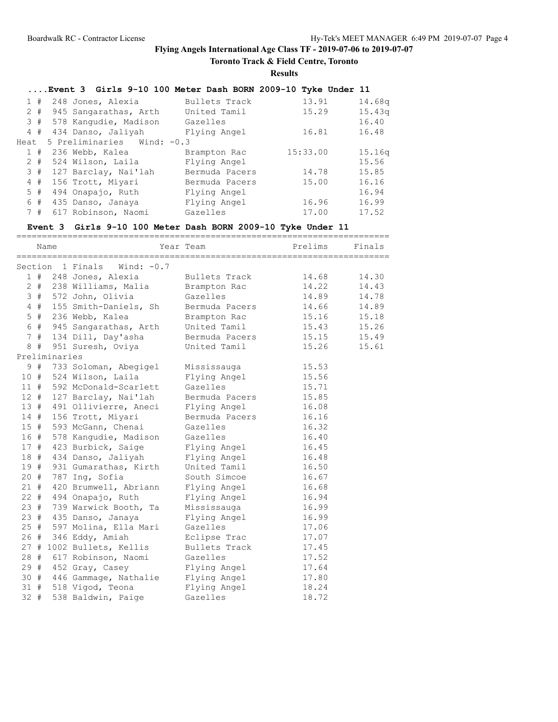# **Toronto Track & Field Centre, Toronto**

**Results**

|      |       | Event 3 Girls 9-10 100 Meter Dash BORN 2009-10 Tyke Under 11 |                |          |        |
|------|-------|--------------------------------------------------------------|----------------|----------|--------|
|      | 1#    | 248 Jones, Alexia                                            | Bullets Track  | 13.91    | 14.68g |
|      |       | 2 # 945 Sangarathas, Arth                                    | United Tamil   | 15.29    | 15.43q |
|      |       | 3 # 578 Kangudie, Madison                                    | Gazelles       |          | 16.40  |
|      | 4#    | 434 Danso, Jaliyah                                           | Flying Angel   | 16.81    | 16.48  |
| Heat |       | 5 Preliminaries Wind: -0.3                                   |                |          |        |
|      |       | $1$ # 236 Webb, Kalea                                        | Brampton Rac   | 15:33.00 | 15.16q |
|      | $2 +$ | 524 Wilson, Laila                                            | Flying Angel   |          | 15.56  |
|      |       | 3 # 127 Barclay, Nai'lah                                     | Bermuda Pacers | 14.78    | 15.85  |
|      | 4#    | 156 Trott, Miyari                                            | Bermuda Pacers | 15.00    | 16.16  |
|      | 5#    | 494 Onapajo, Ruth                                            | Flying Angel   |          | 16.94  |
|      | 6#    | 435 Danso, Janaya                                            | Flying Angel   | 16.96    | 16.99  |
|      | 7#    | 617 Robinson, Naomi                                          | Gazelles       | 17.00    | 17.52  |
|      |       |                                                              |                |          |        |

# **Event 3 Girls 9-10 100 Meter Dash BORN 2009-10 Tyke Under 11**

|        |       |               | ============================ |                | ================================= |        |
|--------|-------|---------------|------------------------------|----------------|-----------------------------------|--------|
|        |       | Name          |                              | Year Team      | Prelims                           | Finals |
|        |       |               | Section 1 Finals Wind: -0.7  |                |                                   |        |
|        |       |               | 1 # 248 Jones, Alexia        | Bullets Track  | 14.68                             | 14.30  |
|        |       |               | 2 # 238 Williams, Malia      | Brampton Rac   | 14.22                             | 14.43  |
|        |       |               | 3 # 572 John, Olivia         | Gazelles       | 14.89                             | 14.78  |
|        | 4#    |               | 155 Smith-Daniels, Sh        | Bermuda Pacers | 14.66                             | 14.89  |
|        | $5$ # |               | 236 Webb, Kalea              | Brampton Rac   | 15.16                             | 15.18  |
|        | 6 #   |               | 945 Sangarathas, Arth        | United Tamil   | 15.43                             | 15.26  |
|        |       |               | 7 # 134 Dill, Day'asha       | Bermuda Pacers | 15.15                             | 15.49  |
| 8      | #     |               | 951 Suresh, Oviya            | United Tamil   | 15.26                             | 15.61  |
|        |       | Preliminaries |                              |                |                                   |        |
|        |       |               | 9 # 733 Soloman, Abegigel    | Mississauga    | 15.53                             |        |
| 10#    |       |               | 524 Wilson, Laila            | Flying Angel   | 15.56                             |        |
| 11#    |       |               | 592 McDonald-Scarlett        | Gazelles       | 15.71                             |        |
| 12#    |       |               | 127 Barclay, Nai'lah         | Bermuda Pacers | 15.85                             |        |
| 13#    |       |               | 491 Ollivierre, Aneci        | Flying Angel   | 16.08                             |        |
| 14#    |       |               | 156 Trott, Miyari            | Bermuda Pacers | 16.16                             |        |
| $15$ # |       |               | 593 McGann, Chenai           | Gazelles       | 16.32                             |        |
| 16 #   |       |               | 578 Kangudie, Madison        | Gazelles       | 16.40                             |        |
| 17#    |       |               | 423 Burbick, Saige           | Flying Angel   | 16.45                             |        |
| 18#    |       |               | 434 Danso, Jaliyah           | Flying Angel   | 16.48                             |        |
| 19#    |       |               | 931 Gumarathas, Kirth        | United Tamil   | 16.50                             |        |
| 20#    |       |               | 787 Ing, Sofia               | South Simcoe   | 16.67                             |        |
| 21#    |       |               | 420 Brumwell, Abriann        | Flying Angel   | 16.68                             |        |
| $22 +$ |       |               | 494 Onapajo, Ruth            | Flying Angel   | 16.94                             |        |
| 23#    |       |               | 739 Warwick Booth, Ta        | Mississauga    | 16.99                             |        |
| 23#    |       |               | 435 Danso, Janaya            | Flying Angel   | 16.99                             |        |
| 25#    |       |               | 597 Molina, Ella Mari        | Gazelles       | 17.06                             |        |
| 26 #   |       |               | 346 Eddy, Amiah              | Eclipse Trac   | 17.07                             |        |
|        |       |               | 27 # 1002 Bullets, Kellis    | Bullets Track  | 17.45                             |        |
|        |       |               | 28 # 617 Robinson, Naomi     | Gazelles       | 17.52                             |        |
|        |       |               | 29 # 452 Gray, Casey         | Flying Angel   | 17.64                             |        |
| 30#    |       |               | 446 Gammage, Nathalie        | Flying Angel   | 17.80                             |        |
| 31#    |       |               | 518 Vigod, Teona             | Flying Angel   | 18.24                             |        |
| $32 +$ |       |               | 538 Baldwin, Paige           | Gazelles       | 18.72                             |        |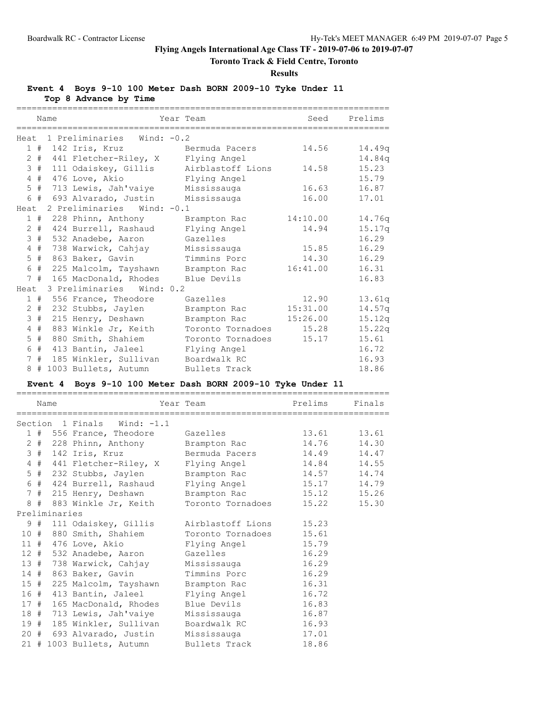# **Toronto Track & Field Centre, Toronto**

**Results**

**Event 4 Boys 9-10 100 Meter Dash BORN 2009-10 Tyke Under 11**

**Top 8 Advance by Time**

|                      | Name |                                        | Year Team                        | Seed     | Prelims |
|----------------------|------|----------------------------------------|----------------------------------|----------|---------|
|                      |      |                                        | -------------------------------- |          |         |
|                      |      | Heat 1 Preliminaries Wind: -0.2        |                                  |          |         |
|                      |      | 1 # 142 Iris, Kruz Bermuda Pacers      |                                  | 14.56    | 14.49q  |
|                      |      | 2 # 441 Fletcher-Riley, X Flying Angel |                                  |          | 14.84q  |
|                      |      | 3 # 111 Odaiskey, Gillis               | Airblastoff Lions                | 14.58    | 15.23   |
| 4#                   |      | 476 Love, Akio                         | Flying Angel                     |          | 15.79   |
|                      |      | 5 # 713 Lewis, Jah'vaiye               | Mississauga                      | 16.63    | 16.87   |
|                      |      | 6 # 693 Alvarado, Justin               | Mississauga                      | 16.00    | 17.01   |
| Heat                 |      | 2 Preliminaries Wind: -0.1             |                                  |          |         |
|                      |      | 1 # 228 Phinn, Anthony                 | Brampton Rac                     | 14:10.00 | 14.76q  |
|                      |      | 2 # 424 Burrell, Rashaud               | Flying Angel                     | 14.94    | 15.17q  |
| 3#                   |      | 532 Anadebe, Aaron                     | Gazelles                         |          | 16.29   |
| #<br>$\overline{4}$  |      | 738 Warwick, Cahjay                    | Mississauga                      | 15.85    | 16.29   |
| 5<br>#               |      | 863 Baker, Gavin                       | Timmins Porc                     | 14.30    | 16.29   |
|                      |      | 6 # 225 Malcolm, Tayshawn              | Brampton Rac                     | 16:41.00 | 16.31   |
|                      |      | 7 # 165 MacDonald, Rhodes              | Blue Devils                      |          | 16.83   |
| Heat                 |      | 3 Preliminaries Wind: 0.2              |                                  |          |         |
|                      |      | 1 # 556 France, Theodore               | Gazelles                         | 12.90    | 13.61q  |
| $\overline{2}$       |      | # 232 Stubbs, Jaylen                   | Brampton Rac                     | 15:31.00 | 14.57q  |
| 3#                   |      | 215 Henry, Deshawn                     | Brampton Rac                     | 15:26.00 | 15.12q  |
| #<br>4               |      | 883 Winkle Jr, Keith                   | Toronto Tornadoes                | 15.28    | 15.22q  |
| $5$ #                |      | 880 Smith, Shahiem                     | Toronto Tornadoes                | 15.17    | 15.61   |
| 6                    |      | # 413 Bantin, Jaleel                   | Flying Angel                     |          | 16.72   |
| #<br>$7\phantom{.0}$ |      | 185 Winkler, Sullivan                  | Boardwalk RC                     |          | 16.93   |
|                      |      | 8 # 1003 Bullets, Autumn               | Bullets Track                    |          | 18.86   |

# **Event 4 Boys 9-10 100 Meter Dash BORN 2009-10 Tyke Under 11**

|     | Name          |                                                    | Year Team <b>Prelims</b> |       | Finals |
|-----|---------------|----------------------------------------------------|--------------------------|-------|--------|
|     |               |                                                    |                          |       |        |
|     |               | Section 1 Finals Wind: -1.1                        |                          |       |        |
|     |               | 1 # 556 France, Theodore Gazelles 13.61 13.61      |                          |       |        |
|     |               | 2 # 228 Phinn, Anthony Brampton Rac 14.76 14.30    |                          |       |        |
|     |               | 3 # 142 Iris, Kruz Bermuda Pacers 14.49 14.47      |                          |       |        |
|     |               | 4 # 441 Fletcher-Riley, X Flying Angel 14.84 14.55 |                          |       |        |
|     |               | 5 # 232 Stubbs, Jaylen Brampton Rac 14.57 14.74    |                          |       |        |
|     |               | 6 # 424 Burrell, Rashaud                           | Flying Angel 15.17 14.79 |       |        |
|     |               | 7 # 215 Henry, Deshawn Brampton Rac 15.12 15.26    |                          |       |        |
|     |               | 8 # 883 Winkle Jr, Keith Toronto Tornadoes         |                          | 15.22 | 15.30  |
|     | Preliminaries |                                                    |                          |       |        |
|     |               | 9 # 111 Odaiskey, Gillis                           | Airblastoff Lions 15.23  |       |        |
|     |               | 10 # 880 Smith, Shahiem                            | Toronto Tornadoes 15.61  |       |        |
|     |               | 11 # 476 Love, Akio                                | Flying Angel 15.79       |       |        |
|     |               | 12 # 532 Anadebe, Aaron                            | Gazelles 16.29           |       |        |
|     |               | 13 # 738 Warwick, Cahjay                           | Mississauga 16.29        |       |        |
| 14# |               | 863 Baker, Gavin                                   | Timmins Porc 16.29       |       |        |
|     |               | 15 # 225 Malcolm, Tayshawn                         | Brampton Rac 16.31       |       |        |
|     |               | 16 # 413 Bantin, Jaleel                            | Flying Angel             | 16.72 |        |
| 17# |               | 165 MacDonald, Rhodes                              | Blue Devils 16.83        |       |        |
|     |               | 18 # 713 Lewis, Jah'vaiye Mississauga 16.87        |                          |       |        |
|     |               | 19 # 185 Winkler, Sullivan                         | Boardwalk RC 16.93       |       |        |
|     |               | 20 # 693 Alvarado, Justin Mississauga 17.01        |                          |       |        |
|     |               | 21 # 1003 Bullets, Autumn                          | Bullets Track            | 18.86 |        |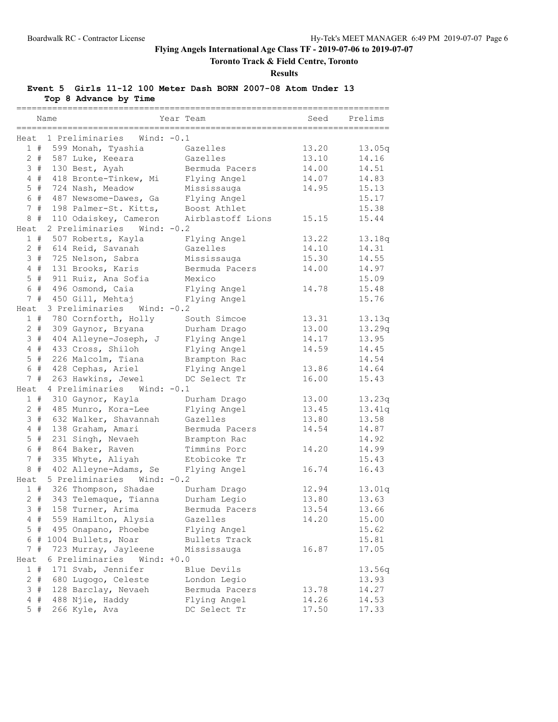**Toronto Track & Field Centre, Toronto**

**Results**

# **Event 5 Girls 11-12 100 Meter Dash BORN 2007-08 Atom Under 13**

**Top 8 Advance by Time**

| Name                                    | Year Team<br>----------- | Seed  | Prelims |
|-----------------------------------------|--------------------------|-------|---------|
| 1 Preliminaries<br>Wind: $-0.1$<br>Heat |                          |       |         |
| 1#<br>599 Monah, Tyashia                | Gazelles                 | 13.20 | 13.05q  |
| $2 +$<br>587 Luke, Keeara               | Gazelles                 | 13.10 | 14.16   |
| 3#<br>130 Best, Ayah                    | Bermuda Pacers           | 14.00 | 14.51   |
| 4#<br>418 Bronte-Tinkew, Mi             | Flying Angel             | 14.07 | 14.83   |
| $5$ #<br>724 Nash, Meadow               | Mississauga              | 14.95 | 15.13   |
| 6#<br>487 Newsome-Dawes, Ga             | Flying Angel             |       | 15.17   |
| 7#<br>198 Palmer-St. Kitts,             | Boost Athlet             |       | 15.38   |
| $8 +$<br>110 Odaiskey, Cameron          | Airblastoff Lions        | 15.15 | 15.44   |
| 2 Preliminaries<br>Wind: $-0.2$<br>Heat |                          |       |         |
| 1#<br>507 Roberts, Kayla                | Flying Angel             | 13.22 | 13.18q  |
| $2 +$<br>614 Reid, Savanah              | Gazelles                 | 14.10 | 14.31   |
| 3#<br>725 Nelson, Sabra                 | Mississauga              | 15.30 | 14.55   |
| $4$ #<br>131 Brooks, Karis              | Bermuda Pacers           | 14.00 | 14.97   |
| $5$ #<br>911 Ruiz, Ana Sofia            | Mexico                   |       | 15.09   |
| 6 #<br>496 Osmond, Caia                 | Flying Angel             | 14.78 | 15.48   |
| 7#<br>450 Gill, Mehtaj                  | Flying Angel             |       | 15.76   |
| 3 Preliminaries<br>Heat<br>Wind: -0.2   |                          |       |         |
| 1#<br>780 Cornforth, Holly              | South Simcoe             | 13.31 | 13.13q  |
| $2 +$<br>309 Gaynor, Bryana             | Durham Drago             | 13.00 | 13.29q  |
| 3#<br>404 Alleyne-Joseph, J             | Flying Angel             | 14.17 | 13.95   |
| 433 Cross, Shiloh<br>4#                 | Flying Angel             | 14.59 | 14.45   |
| $5$ #<br>226 Malcolm, Tiana             | Brampton Rac             |       | 14.54   |
| 6 #<br>428 Cephas, Ariel                | Flying Angel             | 13.86 | 14.64   |
| $7^{\circ}$<br>#<br>263 Hawkins, Jewel  | DC Select Tr             | 16.00 | 15.43   |
| 4 Preliminaries Wind: -0.1<br>Heat      |                          |       |         |
| 1#<br>310 Gaynor, Kayla                 | Durham Drago             | 13.00 | 13.23q  |
| $2 +$<br>485 Munro, Kora-Lee            | Flying Angel             | 13.45 | 13.41q  |
| 632 Walker, Shavannah<br>3#             | Gazelles                 | 13.80 | 13.58   |
| 4#<br>138 Graham, Amari                 | Bermuda Pacers           | 14.54 | 14.87   |
| $5$ #<br>231 Singh, Nevaeh              | Brampton Rac             |       | 14.92   |
| 6 #<br>864 Baker, Raven                 | Timmins Porc             | 14.20 | 14.99   |
| 7#<br>335 Whyte, Aliyah                 | Etobicoke Tr             |       | 15.43   |
| 8#<br>402 Alleyne-Adams, Se             | Flying Angel             | 16.74 | 16.43   |
| 5 Preliminaries<br>Wind: $-0.2$<br>Heat |                          |       |         |
| 326 Thompson, Shadae<br>1#              | Durham Drago             | 12.94 | 13.01q  |
| $2 +$<br>343 Telemaque, Tianna          | Durham Legio             | 13.80 | 13.63   |
| 3#<br>158 Turner, Arima                 | Bermuda Pacers           | 13.54 | 13.66   |
| 559 Hamilton, Alysia<br>4#              | Gazelles                 | 14.20 | 15.00   |
| #<br>495 Onapano, Phoebe<br>5           | Flying Angel             |       | 15.62   |
| 6 # 1004 Bullets, Noar                  | Bullets Track            |       | 15.81   |
| 7#<br>723 Murray, Jayleene              | Mississauga              | 16.87 | 17.05   |
| 6 Preliminaries<br>Heat<br>$Wind: +0.0$ |                          |       |         |
| 1#<br>171 Svab, Jennifer                | Blue Devils              |       | 13.56q  |
| $2 +$<br>680 Lugogo, Celeste            | London Legio             |       | 13.93   |
| 128 Barclay, Nevaeh<br>3#               | Bermuda Pacers           | 13.78 | 14.27   |
| 488 Njie, Haddy<br>4<br>#               | Flying Angel             | 14.26 | 14.53   |
| $5$ #<br>266 Kyle, Ava                  | DC Select Tr             | 17.50 | 17.33   |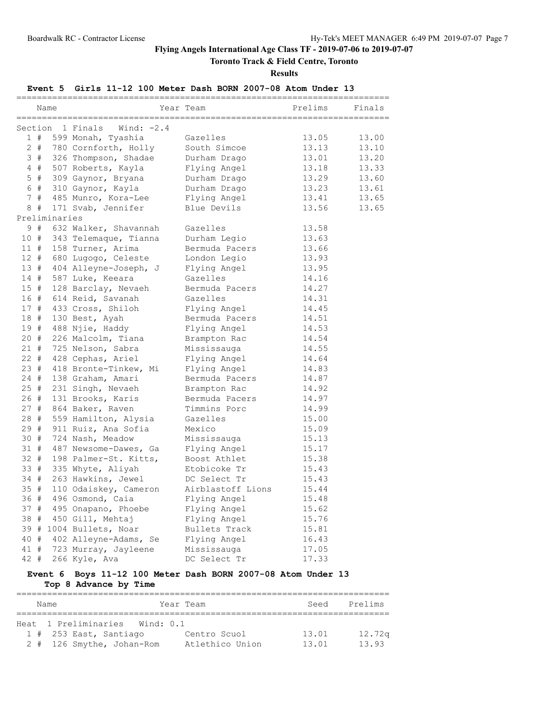# **Toronto Track & Field Centre, Toronto**

**Results**

### **Event 5 Girls 11-12 100 Meter Dash BORN 2007-08 Atom Under 13**

|         |       | Name          |                          | Year Team         | Prelims | Finals |
|---------|-------|---------------|--------------------------|-------------------|---------|--------|
| Section |       |               | 1 Finals<br>Wind: $-2.4$ |                   |         |        |
|         | 1#    |               | 599 Monah, Tyashia       | Gazelles          | 13.05   | 13.00  |
|         | $2 +$ |               | 780 Cornforth, Holly     | South Simcoe      | 13.13   | 13.10  |
|         |       |               | 3 # 326 Thompson, Shadae | Durham Drago      | 13.01   | 13.20  |
|         | 4#    |               | 507 Roberts, Kayla       | Flying Angel      | 13.18   | 13.33  |
|         | $5$ # |               | 309 Gaynor, Bryana       | Durham Drago      | 13.29   | 13.60  |
|         | 6 #   |               | 310 Gaynor, Kayla        | Durham Drago      | 13.23   | 13.61  |
|         | 7#    |               | 485 Munro, Kora-Lee      | Flying Angel      | 13.41   | 13.65  |
|         | 8#    |               | 171 Svab, Jennifer       | Blue Devils       | 13.56   | 13.65  |
|         |       | Preliminaries |                          |                   |         |        |
|         | 9#    |               | 632 Walker, Shavannah    | Gazelles          | 13.58   |        |
| 10#     |       |               | 343 Telemaque, Tianna    | Durham Legio      | 13.63   |        |
| 11#     |       |               | 158 Turner, Arima        | Bermuda Pacers    | 13.66   |        |
| 12#     |       |               | 680 Lugogo, Celeste      | London Legio      | 13.93   |        |
| 13#     |       |               | 404 Alleyne-Joseph, J    | Flying Angel      | 13.95   |        |
| 14#     |       |               | 587 Luke, Keeara         | Gazelles          | 14.16   |        |
| 15#     |       |               | 128 Barclay, Nevaeh      | Bermuda Pacers    | 14.27   |        |
| 16 #    |       |               | 614 Reid, Savanah        | Gazelles          | 14.31   |        |
| 17#     |       |               | 433 Cross, Shiloh        | Flying Angel      | 14.45   |        |
| 18 #    |       |               | 130 Best, Ayah           | Bermuda Pacers    | 14.51   |        |
| 19#     |       |               | 488 Njie, Haddy          | Flying Angel      | 14.53   |        |
| 20#     |       |               | 226 Malcolm, Tiana       | Brampton Rac      | 14.54   |        |
| $21 +$  |       |               | 725 Nelson, Sabra        | Mississauga       | 14.55   |        |
| $22 +$  |       |               | 428 Cephas, Ariel        | Flying Angel      | 14.64   |        |
| 23#     |       |               | 418 Bronte-Tinkew, Mi    | Flying Angel      | 14.83   |        |
| $24 +$  |       |               | 138 Graham, Amari        | Bermuda Pacers    | 14.87   |        |
| $25$ #  |       |               | 231 Singh, Nevaeh        | Brampton Rac      | 14.92   |        |
| 26#     |       |               | 131 Brooks, Karis        | Bermuda Pacers    | 14.97   |        |
| 27#     |       |               | 864 Baker, Raven         | Timmins Porc      | 14.99   |        |
| 28 #    |       |               | 559 Hamilton, Alysia     | Gazelles          | 15.00   |        |
| 29#     |       |               | 911 Ruiz, Ana Sofia      | Mexico            | 15.09   |        |
| 30#     |       |               | 724 Nash, Meadow         | Mississauga       | 15.13   |        |
| 31#     |       |               | 487 Newsome-Dawes, Ga    | Flying Angel      | 15.17   |        |
| $32 +$  |       |               | 198 Palmer-St. Kitts,    | Boost Athlet      | 15.38   |        |
| 33#     |       |               | 335 Whyte, Aliyah        | Etobicoke Tr      | 15.43   |        |
| 34 #    |       |               | 263 Hawkins, Jewel       | DC Select Tr      | 15.43   |        |
| 35#     |       |               | 110 Odaiskey, Cameron    | Airblastoff Lions | 15.44   |        |
| 36#     |       |               | 496 Osmond, Caia         | Flying Angel      | 15.48   |        |
| 37#     |       |               | 495 Onapano, Phoebe      | Flying Angel      | 15.62   |        |
| 38 #    |       |               | 450 Gill, Mehtaj         | Flying Angel      | 15.76   |        |
|         |       |               | 39 # 1004 Bullets, Noar  | Bullets Track     | 15.81   |        |
| 40 #    |       |               | 402 Alleyne-Adams, Se    | Flying Angel      | 16.43   |        |
| 41#     |       |               | 723 Murray, Jayleene     | Mississauga       | 17.05   |        |
| $42 +$  |       |               | 266 Kyle, Ava            | DC Select Tr      | 17.33   |        |

# **Event 6 Boys 11-12 100 Meter Dash BORN 2007-08 Atom Under 13**

**Top 8 Advance by Time**

| Name                           | Year Team       | Seed  | Prelims |
|--------------------------------|-----------------|-------|---------|
|                                |                 |       |         |
| Heat 1 Preliminaries Wind: 0.1 |                 |       |         |
| $1$ # 253 East, Santiago       | Centro Scuol    | 13.01 | 12.72q  |
| 2 # 126 Smythe, Johan-Rom      | Atlethico Union | 13.01 | 13.93   |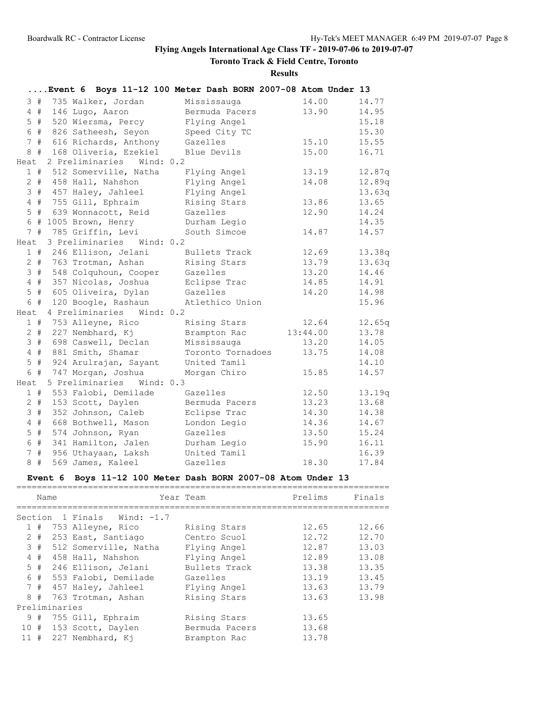# **Toronto Track & Field Centre, Toronto**

**Results**

|                |       | Event 6 Boys 11-12 100 Meter Dash BORN 2007-08 Atom Under 13 |                   |          |        |
|----------------|-------|--------------------------------------------------------------|-------------------|----------|--------|
|                | 3#    | 735 Walker, Jordan                                           | Mississauga       | 14.00    | 14.77  |
|                | 4#    | 146 Lugo, Aaron                                              | Bermuda Pacers    | 13.90    | 14.95  |
|                | $5$ # | 520 Wiersma, Percy                                           | Flying Angel      |          | 15.18  |
|                | 6 #   | 826 Satheesh, Seyon                                          | Speed City TC     |          | 15.30  |
|                | 7#    | 616 Richards, Anthony                                        | Gazelles          | 15.10    | 15.55  |
| 8              | #     | 168 Oliveria, Ezekiel                                        | Blue Devils       | 15.00    | 16.71  |
| Heat           |       | 2 Preliminaries<br>Wind: 0.2                                 |                   |          |        |
|                | 1#    | 512 Somerville, Natha                                        | Flying Angel      | 13.19    | 12.87q |
|                | $2$ # | 458 Hall, Nahshon                                            | Flying Angel      | 14.08    | 12.89q |
|                | 3#    | 457 Haley, Jahleel                                           | Flying Angel      |          | 13.63q |
|                | $4$ # | 755 Gill, Ephraim                                            | Rising Stars      | 13.86    | 13.65  |
|                | $5$ # | 639 Wonnacott, Reid                                          | Gazelles          | 12.90    | 14.24  |
|                | 6 #   | 1005 Brown, Henry                                            | Durham Legio      |          | 14.35  |
|                | 7#    | 785 Griffin, Levi                                            | South Simcoe      | 14.87    | 14.57  |
| Heat           |       | 3 Preliminaries Wind: 0.2                                    |                   |          |        |
|                | 1#    | 246 Ellison, Jelani                                          | Bullets Track     | 12.69    | 13.38q |
|                |       | 2 # 763 Trotman, Ashan                                       | Rising Stars      | 13.79    | 13.63q |
|                | 3#    | 548 Colquhoun, Cooper                                        | Gazelles          | 13.20    | 14.46  |
|                | 4#    | 357 Nicolas, Joshua                                          | Eclipse Trac      | 14.85    | 14.91  |
|                | $5$ # | 605 Oliveira, Dylan                                          | Gazelles          | 14.20    | 14.98  |
|                | 6#    | 120 Boogle, Rashaun                                          | Atlethico Union   |          | 15.96  |
| Heat           |       | 4 Preliminaries<br>Wind: 0.2                                 |                   |          |        |
|                | 1#    | 753 Alleyne, Rico                                            | Rising Stars      | 12.64    | 12.65q |
|                | $2 +$ | 227 Nembhard, Kj                                             | Brampton Rac      | 13:44.00 | 13.78  |
|                | 3#    | 698 Caswell, Declan                                          | Mississauga       | 13.20    | 14.05  |
|                | 4#    | 881 Smith, Shamar                                            | Toronto Tornadoes | 13.75    | 14.08  |
|                | $5$ # | 924 Arulrajan, Sayant                                        | United Tamil      |          | 14.10  |
| 6              | #     | 747 Morgan, Joshua                                           | Morgan Chiro      | 15.85    | 14.57  |
| Heat           |       | 5 Preliminaries<br>Wind: $0.3$                               |                   |          |        |
|                | 1#    | 553 Falobi, Demilade                                         | Gazelles          | 12.50    | 13.19q |
|                | $2 +$ | 153 Scott, Daylen                                            | Bermuda Pacers    | 13.23    | 13.68  |
| 3              | #     | 352 Johnson, Caleb                                           | Eclipse Trac      | 14.30    | 14.38  |
| $\overline{4}$ | #     | 668 Bothwell, Mason                                          | London Legio      | 14.36    | 14.67  |
|                | $5$ # | 574 Johnson, Ryan                                            | Gazelles          | 13.50    | 15.24  |
| $\epsilon$     | #     | 341 Hamilton, Jalen                                          | Durham Legio      | 15.90    | 16.11  |
| $\overline{7}$ | #     | 956 Uthayaan, Laksh                                          | United Tamil      |          | 16.39  |
| 8              | #     | 569 James, Kaleel                                            | Gazelles          | 18.30    | 17.84  |

# **Event 6 Boys 11-12 100 Meter Dash BORN 2007-08 Atom Under 13**

| Name          |                             | Year Team      | Prelims | Finals |
|---------------|-----------------------------|----------------|---------|--------|
|               | Section 1 Finals Wind: -1.7 |                |         |        |
| 1#            | 753 Alleyne, Rico           | Rising Stars   | 12.65   | 12.66  |
| $2 +$         | 253 East, Santiago          | Centro Scuol   | 12.72   | 12.70  |
| 3#            | 512 Somerville, Natha       | Flying Angel   | 12.87   | 13.03  |
| 4#            | 458 Hall, Nahshon           | Flying Angel   | 12.89   | 13.08  |
| 5#            | 246 Ellison, Jelani         | Bullets Track  | 13.38   | 13.35  |
|               | 6 # 553 Falobi, Demilade    | Gazelles       | 13.19   | 13.45  |
|               | 7 # 457 Haley, Jahleel      | Flying Angel   | 13.63   | 13.79  |
| 8<br>#        | 763 Trotman, Ashan          | Rising Stars   | 13.63   | 13.98  |
| Preliminaries |                             |                |         |        |
| #<br>9        | 755 Gill, Ephraim           | Rising Stars   | 13.65   |        |
| 10#           | 153 Scott, Daylen           | Bermuda Pacers | 13.68   |        |
| 11#           | 227 Nembhard, Ki            | Brampton Rac   | 13.78   |        |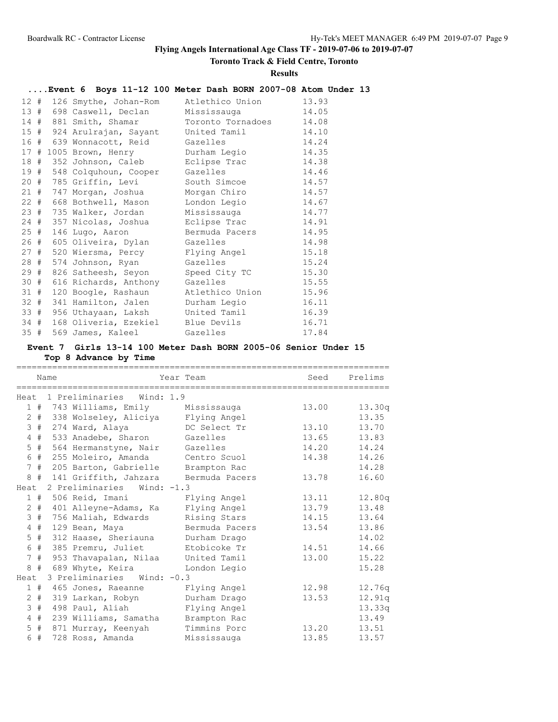**Toronto Track & Field Centre, Toronto**

### **Results**

# **....Event 6 Boys 11-12 100 Meter Dash BORN 2007-08 Atom Under 13**

|        | 12 # 126 Smythe, Johan-Rom            | Atlethico Union   | 13.93 |
|--------|---------------------------------------|-------------------|-------|
|        | 13 # 698 Caswell, Declan              | Mississauga       | 14.05 |
|        | 14 # 881 Smith, Shamar                | Toronto Tornadoes | 14.08 |
|        | 15 # 924 Arulrajan, Sayant            | United Tamil      | 14.10 |
|        | 16 # 639 Wonnacott, Reid              | Gazelles          | 14.24 |
|        | 17 # 1005 Brown, Henry                | Durham Legio      | 14.35 |
|        | 18 # 352 Johnson, Caleb Eclipse Trac  |                   | 14.38 |
| 19 #   | 548 Colquhoun, Cooper                 | Gazelles          | 14.46 |
|        | 20 # 785 Griffin, Levi                | South Simcoe      | 14.57 |
| 21#    | 747 Morgan, Joshua                    | Morgan Chiro      | 14.57 |
| 22#    | 668 Bothwell, Mason                   | London Legio      | 14.67 |
|        | 23 # 735 Walker, Jordan               | Mississauga       | 14.77 |
| 24#    | 357 Nicolas, Joshua                   | Eclipse Trac      | 14.91 |
| 25#    | 146 Lugo, Aaron                       | Bermuda Pacers    | 14.95 |
|        | 26 # 605 Oliveira, Dylan              | Gazelles          | 14.98 |
| 27#    | 520 Wiersma, Percy Flying Angel       |                   | 15.18 |
| 28#    | 574 Johnson, Ryan                     | Gazelles          | 15.24 |
| 29#    | 826 Satheesh, Seyon Speed City TC     |                   | 15.30 |
| 30 #   | 616 Richards, Anthony                 | Gazelles          | 15.55 |
| 31#    | 120 Boogle, Rashaun                   | Atlethico Union   | 15.96 |
| $32 +$ | 341 Hamilton, Jalen Durham Legio      |                   | 16.11 |
|        | 33 # 956 Uthayaan, Laksh United Tamil |                   | 16.39 |
| 34#    | 168 Oliveria, Ezekiel Blue Devils     |                   | 16.71 |
| 35#    | 569 James, Kaleel                     | Gazelles          | 17.84 |

# **Event 7 Girls 13-14 100 Meter Dash BORN 2005-06 Senior Under 15 Top 8 Advance by Time**

|      |        | Name |                                          | Year Team      | Seed  | Prelims |
|------|--------|------|------------------------------------------|----------------|-------|---------|
|      |        |      | Heat 1 Preliminaries Wind: 1.9           |                |       |         |
|      |        |      | 1 # 743 Williams, Emily Mississauga      |                | 13.00 | 13.30q  |
|      |        |      | 2 # 338 Wolseley, Aliciya Flying Angel   |                |       | 13.35   |
|      | 3#     |      | 274 Ward, Alaya                          | DC Select Tr   | 13.10 | 13.70   |
|      | $4$ #  |      | 533 Anadebe, Sharon Gazelles             |                | 13.65 | 13.83   |
|      | $5$ #  |      | 564 Hermanstyne, Nair Gazelles           |                | 14.20 | 14.24   |
|      | 6 #    |      | 255 Moleiro, Amanda Centro Scuol         |                | 14.38 | 14.26   |
|      | 7#     |      | 205 Barton, Gabrielle Brampton Rac       |                |       | 14.28   |
|      |        |      | 8 # 141 Griffith, Jahzara Bermuda Pacers |                | 13.78 | 16.60   |
| Heat |        |      | 2 Preliminaries Wind: -1.3               |                |       |         |
|      |        |      | 1 # 506 Reid, Imani     Flying Angel     |                | 13.11 | 12.80q  |
|      | $2 \#$ |      | 401 Alleyne-Adams, Ka Flying Angel       |                | 13.79 | 13.48   |
|      | 3#     |      | 756 Maliah, Edwards                      | Rising Stars   | 14.15 | 13.64   |
|      | $4$ #  |      | 129 Bean, Maya                           | Bermuda Pacers | 13.54 | 13.86   |
|      | $5$ #  |      | 312 Haase, Sheriauna                     | Durham Drago   |       | 14.02   |
|      | 6#     |      | 385 Premru, Juliet                       | Etobicoke Tr   | 14.51 | 14.66   |
|      | 7#     |      | 953 Thavapalan, Nilaa                    | United Tamil   | 13.00 | 15.22   |
|      | 8#     |      | 689 Whyte, Keira                         | London Legio   |       | 15.28   |
| Heat |        |      | 3 Preliminaries Wind: -0.3               |                |       |         |
|      |        |      | 1 # 465 Jones, Raeanne Flying Angel      |                | 12.98 | 12.76q  |
|      | $2 +$  |      | 319 Larkan, Robyn                        | Durham Drago   | 13.53 | 12.91q  |
|      | 3#     |      | 498 Paul, Aliah Mangel Elying Angel      |                |       | 13.33q  |
|      | $4$ #  |      | 239 Williams, Samatha                    | Brampton Rac   |       | 13.49   |
|      | $5$ #  |      | 871 Murray, Keenyah                      | Timmins Porc   | 13.20 | 13.51   |
|      | 6#     |      | 728 Ross, Amanda                         | Mississauga    | 13.85 | 13.57   |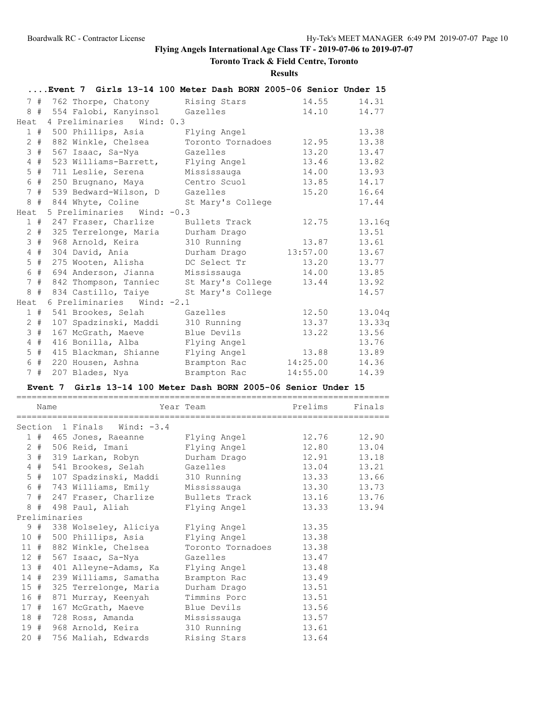# **Toronto Track & Field Centre, Toronto**

### **Results**

|                |           | Event 7 Girls 13-14 100 Meter Dash BORN 2005-06 Senior Under 15 |                   |          |        |
|----------------|-----------|-----------------------------------------------------------------|-------------------|----------|--------|
|                | 7#        | 762 Thorpe, Chatony Rising Stars                                |                   | 14.55    | 14.31  |
|                | 8#        | 554 Falobi, Kanyinsol Gazelles                                  |                   | 14.10    | 14.77  |
| Heat           |           | 4 Preliminaries Wind: 0.3                                       |                   |          |        |
|                | 1#        | 500 Phillips, Asia                                              | Flying Angel      |          | 13.38  |
|                | $2 +$     | 882 Winkle, Chelsea                                             | Toronto Tornadoes | 12.95    | 13.38  |
| 3              | #         | 567 Isaac, Sa-Nya                                               | Gazelles          | 13.20    | 13.47  |
| 4              | #         | 523 Williams-Barrett,                                           | Flying Angel      | 13.46    | 13.82  |
| 5              | #         | 711 Leslie, Serena                                              | Mississauga       | 14.00    | 13.93  |
| 6              | $\#$      | 250 Brugnano, Maya                                              | Centro Scuol      | 13.85    | 14.17  |
|                | 7#        | 539 Bedward-Wilson, D                                           | Gazelles          | 15.20    | 16.64  |
|                |           | 8 # 844 Whyte, Coline                                           | St Mary's College |          | 17.44  |
| Heat           |           | 5 Preliminaries Wind: -0.3                                      |                   |          |        |
|                | 1#        | 247 Fraser, Charlize                                            | Bullets Track     | 12.75    | 13.16q |
|                | $2 \pm 1$ | 325 Terrelonge, Maria                                           | Durham Drago      |          | 13.51  |
| 3              | #         | 968 Arnold, Keira                                               | 310 Running       | 13.87    | 13.61  |
| $\overline{4}$ | #         | 304 David, Ania                                                 | Durham Drago      | 13:57.00 | 13.67  |
| 5              | #         | 275 Wooten, Alisha                                              | DC Select Tr      | 13.20    | 13.77  |
| 6              | #         | 694 Anderson, Jianna                                            | Mississauga       | 14.00    | 13.85  |
| $7^{\circ}$    | #         | 842 Thompson, Tanniec                                           | St Mary's College | 13.44    | 13.92  |
|                | 8#        | 834 Castillo, Taiye                                             | St Mary's College |          | 14.57  |
| Heat           |           | 6 Preliminaries<br>Wind: $-2.1$                                 |                   |          |        |
|                | 1#        | 541 Brookes, Selah                                              | Gazelles          | 12.50    | 13.04q |
| 2              | #         | 107 Spadzinski, Maddi                                           | 310 Running       | 13.37    | 13.33q |
|                | 3#        | 167 McGrath, Maeve                                              | Blue Devils       | 13.22    | 13.56  |
| 4              | #         | 416 Bonilla, Alba                                               | Flying Angel      |          | 13.76  |
| 5              | #         | 415 Blackman, Shianne                                           | Flying Angel      | 13.88    | 13.89  |
| 6              | #         | 220 Housen, Ashna                                               | Brampton Rac      | 14:25.00 | 14.36  |
|                | 7#        | 207 Blades, Nya                                                 | Brampton Rac      | 14:55.00 | 14.39  |

### **Event 7 Girls 13-14 100 Meter Dash BORN 2005-06 Senior Under 15**

|        | Name  |               |                                                 | Year Team                 | Prelims | Finals      |
|--------|-------|---------------|-------------------------------------------------|---------------------------|---------|-------------|
|        |       |               |                                                 |                           |         |             |
|        |       |               | Section 1 Finals Wind: -3.4                     |                           |         |             |
|        |       |               | 1 # 465 Jones, Raeanne Flying Angel 12.76 12.90 |                           |         |             |
|        |       |               | 2 # 506 Reid, Imani                             | Flying Angel              |         | 12.80 13.04 |
|        |       |               | 3 # 319 Larkan, Robyn                           | Durham Drago 12.91 13.18  |         |             |
|        |       |               | 4 # 541 Brookes, Selah Gazelles 13.04 13.21     |                           |         |             |
|        | $5$ # |               | 107 Spadzinski, Maddi                           | 310 Running 13.33 13.66   |         |             |
|        |       |               | 6 # 743 Williams, Emily                         | Mississauga 13.30 13.73   |         |             |
|        |       |               | 7 # 247 Fraser, Charlize                        | Bullets Track 13.16 13.76 |         |             |
|        |       |               | 8 # 498 Paul, Aliah                             | Flying Angel              | 13.33   | 13.94       |
|        |       | Preliminaries |                                                 |                           |         |             |
|        |       |               | 9 # 338 Wolseley, Aliciya Flying Angel 13.35    |                           |         |             |
|        |       |               | 10 # 500 Phillips, Asia                         | Flying Angel 13.38        |         |             |
|        |       |               | 11 # 882 Winkle, Chelsea                        | Toronto Tornadoes 13.38   |         |             |
|        |       |               | 12 # 567 Isaac, Sa-Nya Gazelles                 | 13.47                     |         |             |
|        |       |               | 13 # 401 Alleyne-Adams, Ka                      | Flying Angel              | 13.48   |             |
|        |       |               | 14 # 239 Williams, Samatha                      | Brampton Rac              | 13.49   |             |
|        |       |               | 15 # 325 Terrelonge, Maria                      | Durham Drago 13.51        |         |             |
|        |       |               | 16 # 871 Murray, Keenyah                        | Timmins Porc 13.51        |         |             |
| 17#    |       |               | 167 McGrath, Maeve                              | Blue Devils 13.56         |         |             |
|        |       |               | 18 # 728 Ross, Amanda Mississauga 13.57         |                           |         |             |
|        |       |               | 19 # 968 Arnold, Keira                          | 310 Running 13.61         |         |             |
| $20 +$ |       |               | 756 Maliah, Edwards                             | Rising Stars              | 13.64   |             |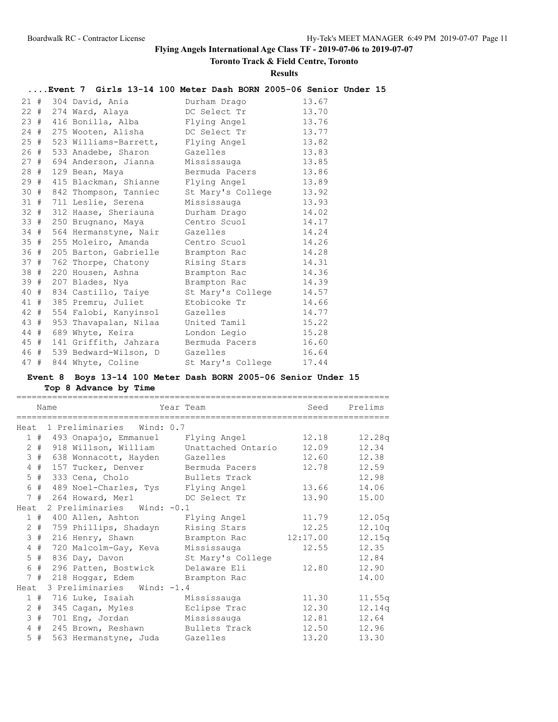**Toronto Track & Field Centre, Toronto**

### **Results**

# **....Event 7 Girls 13-14 100 Meter Dash BORN 2005-06 Senior Under 15**

|        | 21 # 304 David, Ania           | Durham Drago      | 13.67 |
|--------|--------------------------------|-------------------|-------|
| $22$ # | 274 Ward, Alaya                | DC Select Tr      | 13.70 |
| 23#    | 416 Bonilla, Alba              | Flying Angel      | 13.76 |
| 24 #   | 275 Wooten, Alisha             | DC Select Tr      | 13.77 |
| 25#    | 523 Williams-Barrett,          | Flying Angel      | 13.82 |
| 26 #   | 533 Anadebe, Sharon            | Gazelles          | 13.83 |
| 27#    | 694 Anderson, Jianna           | Mississauga       | 13.85 |
| 28#    | 129 Bean, Maya                 | Bermuda Pacers    | 13.86 |
| 29#    | 415 Blackman, Shianne          | Flying Angel      | 13.89 |
| 30#    | 842 Thompson, Tanniec          | St Mary's College | 13.92 |
| 31#    | 711 Leslie, Serena             | Mississauga       | 13.93 |
| $32 +$ | 312 Haase, Sheriauna           | Durham Drago      | 14.02 |
| 33#    | 250 Brugnano, Maya             | Centro Scuol      | 14.17 |
| 34 #   | 564 Hermanstyne, Nair          | Gazelles          | 14.24 |
| 35#    | 255 Moleiro, Amanda            | Centro Scuol      | 14.26 |
| 36#    | 205 Barton, Gabrielle          | Brampton Rac      | 14.28 |
| 37#    | 762 Thorpe, Chatony            | Rising Stars      | 14.31 |
| 38 #   | 220 Housen, Ashna              | Brampton Rac      | 14.36 |
| 39 #   | 207 Blades, Nya                | Brampton Rac      | 14.39 |
| 40 #   | 834 Castillo, Taiye            | St Mary's College | 14.57 |
| 41 #   | 385 Premru, Juliet             | Etobicoke Tr      | 14.66 |
| 42 #   | 554 Falobi, Kanyinsol          | Gazelles          | 14.77 |
| 43 #   | 953 Thavapalan, Nilaa          | United Tamil      | 15.22 |
| 44 #   | 689 Whyte, Keira               | London Legio      | 15.28 |
| 45#    | 141 Griffith, Jahzara          | Bermuda Pacers    | 16.60 |
| 46 #   | 539 Bedward-Wilson, D Gazelles |                   | 16.64 |
| 47#    | 844 Whyte, Coline              | St Mary's College | 17.44 |

# **Event 8 Boys 13-14 100 Meter Dash BORN 2005-06 Senior Under 15**

**Top 8 Advance by Time**

|      |                      | Name |                                    | Year Team                               | Seed     | Prelims |
|------|----------------------|------|------------------------------------|-----------------------------------------|----------|---------|
|      |                      |      |                                    |                                         |          |         |
|      |                      |      | Heat 1 Preliminaries Wind: 0.7     |                                         |          |         |
|      |                      |      |                                    | 1 # 493 Onapajo, Emmanuel Flying Angel  | 12.18    | 12.28q  |
|      | $\overline{2}$<br>#  |      |                                    | 918 Willson, William Unattached Ontario | 12.09    | 12.34   |
|      | 3#                   |      | 638 Wonnacott, Hayden Gazelles     |                                         | 12.60    | 12.38   |
|      | #<br>$4\overline{ }$ |      | 157 Tucker, Denver Bermuda Pacers  |                                         | 12.78    | 12.59   |
|      | $5$ #                |      | 333 Cena, Cholo                    | Bullets Track                           |          | 12.98   |
|      | $\#$<br>6            |      | 489 Noel-Charles, Tys Flying Angel |                                         | 13.66    | 14.06   |
|      |                      |      |                                    | 7 # 264 Howard, Merl DC Select Tr       | 13.90    | 15.00   |
| Heat |                      |      | 2 Preliminaries Wind: -0.1         |                                         |          |         |
|      |                      |      | 1 # 400 Allen, Ashton              | Flying Angel                            | 11.79    | 12.05q  |
|      | 2<br>#               |      | 759 Phillips, Shadayn              | Rising Stars                            | 12.25    | 12.10q  |
|      | 3#                   |      | 216 Henry, Shawn                   | Brampton Rac                            | 12:17.00 | 12.15q  |
|      | $\overline{4}$<br>#  |      | 720 Malcolm-Gay, Keva              | Mississauga                             | 12.55    | 12.35   |
|      | 5#                   |      | 836 Day, Davon                     | St Mary's College                       |          | 12.84   |
|      | 6 #                  |      | 296 Patten, Bostwick               | Delaware Eli                            | 12.80    | 12.90   |
|      |                      |      | 7 # 218 Hoggar, Edem               | Brampton Rac                            |          | 14.00   |
| Heat |                      |      | 3 Preliminaries Wind: -1.4         |                                         |          |         |
|      |                      |      | 1 # 716 Luke, Isaiah               | Mississauga                             | 11.30    | 11.55q  |
|      | $2 \pm$              |      | 345 Cagan, Myles                   | Eclipse Trac                            | 12.30    | 12.14q  |
|      | 3#                   |      | 701 Eng, Jordan                    | Mississauga                             | 12.81    | 12.64   |
|      | 4#                   |      | 245 Brown, Reshawn Bullets Track   |                                         | 12.50    | 12.96   |
|      | $5$ #                |      | 563 Hermanstyne, Juda              | Gazelles                                | 13.20    | 13.30   |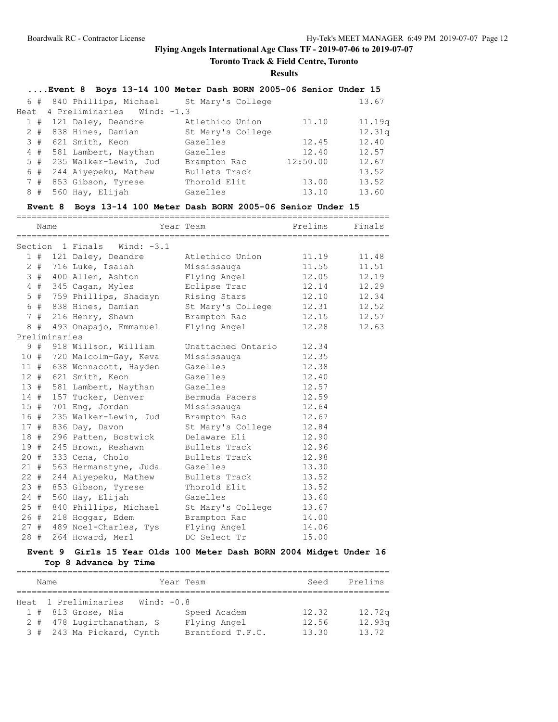**Toronto Track & Field Centre, Toronto**

**Results**

| Event 8 Boys 13-14 100 Meter Dash BORN 2005-06 Senior Under 15 |  |  |  |  |  |  |  |
|----------------------------------------------------------------|--|--|--|--|--|--|--|
|----------------------------------------------------------------|--|--|--|--|--|--|--|

|  | 6 # 840 Phillips, Michael St Mary's College |                   |          | 13.67  |
|--|---------------------------------------------|-------------------|----------|--------|
|  | Heat 4 Preliminaries Wind: -1.3             |                   |          |        |
|  | 1 # 121 Daley, Deandre                      | Atlethico Union   | 11.10    | 11.19q |
|  | 2 # 838 Hines, Damian                       | St Mary's College |          | 12.31q |
|  | 3 # 621 Smith, Keon                         | Gazelles          | 12.45    | 12.40  |
|  | 4 # 581 Lambert, Naythan                    | Gazelles          | 12.40    | 12.57  |
|  | 5 # 235 Walker-Lewin, Jud                   | Brampton Rac      | 12:50.00 | 12.67  |
|  | 6 # 244 Aiyepeku, Mathew                    | Bullets Track     |          | 13.52  |
|  | 7 # 853 Gibson, Tyrese                      | Thorold Elit      | 13.00    | 13.52  |
|  | $8$ # 560 Hay, Elijah                       | Gazelles          | 13.10    | 13.60  |

### **Event 8 Boys 13-14 100 Meter Dash BORN 2005-06 Senior Under 15**

| Year Team New Prelims Finals<br>Name<br>Section 1 Finals Wind: -3.1<br>1 # 121 Daley, Deandre Atlethico Union 11.19 11.48<br>2 # 716 Luke, Isaiah Mississauga 11.55 11.51<br>3 # 400 Allen, Ashton Flying Angel 12.05 12.19<br>4 # 345 Cagan, Myles Eclipse Trac 12.14 12.29<br>5 # 759 Phillips, Shadayn Rising Stars 12.10 12.34<br>6 # 838 Hines, Damian St Mary's College 12.31 12.52<br>7 # 216 Henry, Shawn Brampton Rac 12.15 12.57<br>8 # 493 Onapajo, Emmanuel Flying Angel<br>12.28 12.63<br>Preliminaries<br>9#<br>Unattached Ontario 12.34<br>918 Willson, William<br>10 # 720 Malcolm-Gay, Keva<br>Mississauga<br>12.35<br>12.38<br>11 # 638 Wonnacott, Hayden<br>Gazelles<br>12 # 621 Smith, Keon<br>Gazelles 12.40<br>13 # 581 Lambert, Naythan Gazelles 12.57<br>14 # 157 Tucker, Denver Bermuda Pacers 12.59<br>15 # 701 Eng, Jordan<br>Mississauga 12.64<br>16 #<br>235 Walker-Lewin, Jud<br>Brampton Rac 12.67<br>17 # 836 Day, Davon<br>St Mary's College 12.84<br>Delaware Eli 12.90<br>12.90<br>18 # 296 Patten, Bostwick<br>19 # 245 Brown, Reshawn<br>Bullets Track 12.96 |
|---------------------------------------------------------------------------------------------------------------------------------------------------------------------------------------------------------------------------------------------------------------------------------------------------------------------------------------------------------------------------------------------------------------------------------------------------------------------------------------------------------------------------------------------------------------------------------------------------------------------------------------------------------------------------------------------------------------------------------------------------------------------------------------------------------------------------------------------------------------------------------------------------------------------------------------------------------------------------------------------------------------------------------------------------------------------------------------------------|
|                                                                                                                                                                                                                                                                                                                                                                                                                                                                                                                                                                                                                                                                                                                                                                                                                                                                                                                                                                                                                                                                                                   |
|                                                                                                                                                                                                                                                                                                                                                                                                                                                                                                                                                                                                                                                                                                                                                                                                                                                                                                                                                                                                                                                                                                   |
|                                                                                                                                                                                                                                                                                                                                                                                                                                                                                                                                                                                                                                                                                                                                                                                                                                                                                                                                                                                                                                                                                                   |
|                                                                                                                                                                                                                                                                                                                                                                                                                                                                                                                                                                                                                                                                                                                                                                                                                                                                                                                                                                                                                                                                                                   |
|                                                                                                                                                                                                                                                                                                                                                                                                                                                                                                                                                                                                                                                                                                                                                                                                                                                                                                                                                                                                                                                                                                   |
|                                                                                                                                                                                                                                                                                                                                                                                                                                                                                                                                                                                                                                                                                                                                                                                                                                                                                                                                                                                                                                                                                                   |
|                                                                                                                                                                                                                                                                                                                                                                                                                                                                                                                                                                                                                                                                                                                                                                                                                                                                                                                                                                                                                                                                                                   |
|                                                                                                                                                                                                                                                                                                                                                                                                                                                                                                                                                                                                                                                                                                                                                                                                                                                                                                                                                                                                                                                                                                   |
|                                                                                                                                                                                                                                                                                                                                                                                                                                                                                                                                                                                                                                                                                                                                                                                                                                                                                                                                                                                                                                                                                                   |
|                                                                                                                                                                                                                                                                                                                                                                                                                                                                                                                                                                                                                                                                                                                                                                                                                                                                                                                                                                                                                                                                                                   |
|                                                                                                                                                                                                                                                                                                                                                                                                                                                                                                                                                                                                                                                                                                                                                                                                                                                                                                                                                                                                                                                                                                   |
|                                                                                                                                                                                                                                                                                                                                                                                                                                                                                                                                                                                                                                                                                                                                                                                                                                                                                                                                                                                                                                                                                                   |
|                                                                                                                                                                                                                                                                                                                                                                                                                                                                                                                                                                                                                                                                                                                                                                                                                                                                                                                                                                                                                                                                                                   |
|                                                                                                                                                                                                                                                                                                                                                                                                                                                                                                                                                                                                                                                                                                                                                                                                                                                                                                                                                                                                                                                                                                   |
|                                                                                                                                                                                                                                                                                                                                                                                                                                                                                                                                                                                                                                                                                                                                                                                                                                                                                                                                                                                                                                                                                                   |
|                                                                                                                                                                                                                                                                                                                                                                                                                                                                                                                                                                                                                                                                                                                                                                                                                                                                                                                                                                                                                                                                                                   |
|                                                                                                                                                                                                                                                                                                                                                                                                                                                                                                                                                                                                                                                                                                                                                                                                                                                                                                                                                                                                                                                                                                   |
|                                                                                                                                                                                                                                                                                                                                                                                                                                                                                                                                                                                                                                                                                                                                                                                                                                                                                                                                                                                                                                                                                                   |
|                                                                                                                                                                                                                                                                                                                                                                                                                                                                                                                                                                                                                                                                                                                                                                                                                                                                                                                                                                                                                                                                                                   |
|                                                                                                                                                                                                                                                                                                                                                                                                                                                                                                                                                                                                                                                                                                                                                                                                                                                                                                                                                                                                                                                                                                   |
|                                                                                                                                                                                                                                                                                                                                                                                                                                                                                                                                                                                                                                                                                                                                                                                                                                                                                                                                                                                                                                                                                                   |
|                                                                                                                                                                                                                                                                                                                                                                                                                                                                                                                                                                                                                                                                                                                                                                                                                                                                                                                                                                                                                                                                                                   |
|                                                                                                                                                                                                                                                                                                                                                                                                                                                                                                                                                                                                                                                                                                                                                                                                                                                                                                                                                                                                                                                                                                   |
| 20 # 333 Cena, Cholo<br>Bullets Track 12.98                                                                                                                                                                                                                                                                                                                                                                                                                                                                                                                                                                                                                                                                                                                                                                                                                                                                                                                                                                                                                                                       |
| 21 # 563 Hermanstyne, Juda Gazelles<br>13.30                                                                                                                                                                                                                                                                                                                                                                                                                                                                                                                                                                                                                                                                                                                                                                                                                                                                                                                                                                                                                                                      |
| 244 Aiyepeku, Mathew Bullets Track 13.52<br>$22 +$                                                                                                                                                                                                                                                                                                                                                                                                                                                                                                                                                                                                                                                                                                                                                                                                                                                                                                                                                                                                                                                |
| 23#<br>853 Gibson, Tyrese<br>Thorold Elit 13.52                                                                                                                                                                                                                                                                                                                                                                                                                                                                                                                                                                                                                                                                                                                                                                                                                                                                                                                                                                                                                                                   |
| 560 Hay, Elijah<br>13.60<br>24#<br>Gazelles                                                                                                                                                                                                                                                                                                                                                                                                                                                                                                                                                                                                                                                                                                                                                                                                                                                                                                                                                                                                                                                       |
| 25 # 840 Phillips, Michael St Mary's College 13.67                                                                                                                                                                                                                                                                                                                                                                                                                                                                                                                                                                                                                                                                                                                                                                                                                                                                                                                                                                                                                                                |
| 26 # 218 Hoggar, Edem Brampton Rac 14.00                                                                                                                                                                                                                                                                                                                                                                                                                                                                                                                                                                                                                                                                                                                                                                                                                                                                                                                                                                                                                                                          |
| 27 # 489 Noel-Charles, Tys Flying Angel 14.06                                                                                                                                                                                                                                                                                                                                                                                                                                                                                                                                                                                                                                                                                                                                                                                                                                                                                                                                                                                                                                                     |
| 28 # 264 Howard, Merl<br>DC Select Tr<br>15.00                                                                                                                                                                                                                                                                                                                                                                                                                                                                                                                                                                                                                                                                                                                                                                                                                                                                                                                                                                                                                                                    |

# **Event 9 Girls 15 Year Olds 100 Meter Dash BORN 2004 Midget Under 16 Top 8 Advance by Time**

| Name                                 | Year Team        | Seed  | Prelims |
|--------------------------------------|------------------|-------|---------|
|                                      |                  |       |         |
| Heat 1 Preliminaries<br>Wind: $-0.8$ |                  |       |         |
| $1$ # 813 Grose, Nia                 | Speed Academ     | 12.32 | 12.72q  |
| 2 # 478 Lugirthanathan, S            | Flying Angel     | 12.56 | 12.93q  |
| 3 # 243 Ma Pickard, Cynth            | Brantford T.F.C. | 13.30 | 13.72   |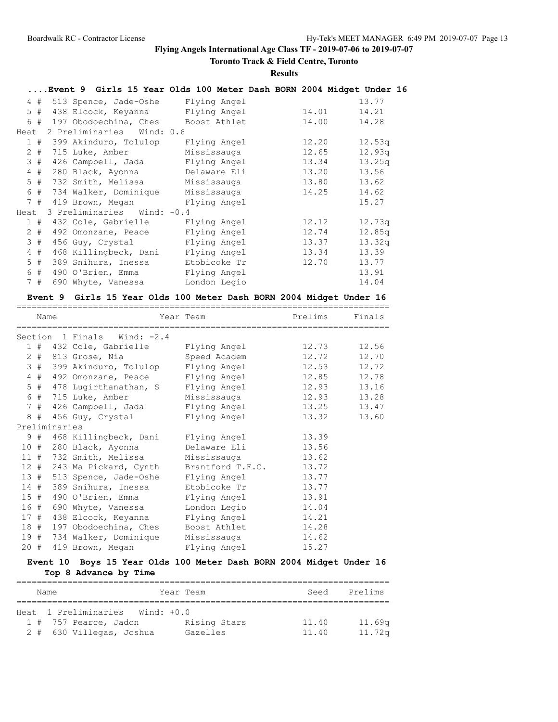# **Toronto Track & Field Centre, Toronto**

### **Results**

|       |                                        | Event 9 Girls 15 Year Olds 100 Meter Dash BORN 2004 Midget Under 16 |       |        |
|-------|----------------------------------------|---------------------------------------------------------------------|-------|--------|
|       | 4 # 513 Spence, Jade-Oshe Flying Angel |                                                                     |       | 13.77  |
| 5#    | 438 Elcock, Keyanna Flying Angel       |                                                                     | 14.01 | 14.21  |
|       | 6 # 197 Obodoechina, Ches Boost Athlet |                                                                     | 14.00 | 14.28  |
| Heat  | 2 Preliminaries Wind: 0.6              |                                                                     |       |        |
|       | 1 # 399 Akinduro, Tolulop              | Flying Angel                                                        | 12.20 | 12.53q |
|       | 2 # 715 Luke, Amber                    | Mississauga                                                         | 12.65 | 12.93q |
| 3#    | 426 Campbell, Jada                     | Flying Angel                                                        | 13.34 | 13.25q |
| 4#    | 280 Black, Ayonna                      | Delaware Eli                                                        | 13.20 | 13.56  |
| 5#    | 732 Smith, Melissa                     | Mississauga                                                         | 13.80 | 13.62  |
|       | 6 # 734 Walker, Dominique              | Mississauga                                                         | 14.25 | 14.62  |
|       | 7 # 419 Brown, Megan Flying Angel      |                                                                     |       | 15.27  |
| Heat  | 3 Preliminaries Wind: -0.4             |                                                                     |       |        |
| 1#    | 432 Cole, Gabrielle                    | Flying Angel                                                        | 12.12 | 12.73q |
| $2 +$ | 492 Omonzane, Peace                    | Flying Angel                                                        | 12.74 | 12.85q |
| 3#    | 456 Guy, Crystal                       | Flying Angel                                                        | 13.37 | 13.32q |
| 4#    | 468 Killingbeck, Dani                  | Flying Angel                                                        | 13.34 | 13.39  |
| $5$ # | 389 Snihura, Inessa                    | Etobicoke Tr                                                        | 12.70 | 13.77  |
| 6 #   | 490 O'Brien, Emma                      | Flying Angel                                                        |       | 13.91  |
| 7#    | 690 Whyte, Vanessa                     | London Legio                                                        |       | 14.04  |

### **Event 9 Girls 15 Year Olds 100 Meter Dash BORN 2004 Midget Under 16**

|                | Name  |               |                             | Year Team              | Prelims | Finals      |
|----------------|-------|---------------|-----------------------------|------------------------|---------|-------------|
|                |       |               | Section 1 Finals Wind: -2.4 |                        |         |             |
|                |       |               | 1 # 432 Cole, Gabrielle     | Flying Angel           |         | 12.73 12.56 |
| $\overline{2}$ | #     |               | 813 Grose, Nia              | Speed Academ           | 12.72   | 12.70       |
|                | 3#    |               | 399 Akinduro, Tolulop       | Flying Angel           |         | 12.53 12.72 |
|                | $4$ # |               | 492 Omonzane, Peace         | Flying Angel           |         | 12.85 12.78 |
|                | 5#    |               | 478 Lugirthanathan, S       | Flying Angel           |         | 12.93 13.16 |
|                |       |               | 6 # 715 Luke, Amber         | Mississauga 12.93      |         | 13.28       |
|                | 7#    |               | 426 Campbell, Jada          | Flying Angel 13.25     |         | 13.47       |
| 8              | #     |               | 456 Guy, Crystal            | Flying Angel           | 13.32   | 13.60       |
|                |       | Preliminaries |                             |                        |         |             |
|                | 9#    |               | 468 Killingbeck, Dani       | Flying Angel           | 13.39   |             |
|                |       |               | 10 # 280 Black, Ayonna      | Delaware Eli           | 13.56   |             |
|                |       |               | 11 # 732 Smith, Melissa     | Mississauga            | 13.62   |             |
| 12#            |       |               | 243 Ma Pickard, Cynth       | Brantford T.F.C. 13.72 |         |             |
| 13#            |       |               | 513 Spence, Jade-Oshe       | Flying Angel           | 13.77   |             |
| 14#            |       |               | 389 Snihura, Inessa         | Etobicoke Tr           | 13.77   |             |
| 15#            |       |               | 490 O'Brien, Emma           | Flying Angel           | 13.91   |             |
| 16 #           |       |               | 690 Whyte, Vanessa          | London Legio           | 14.04   |             |
| 17#            |       |               | 438 Elcock, Keyanna         | Flying Angel           | 14.21   |             |
| 18#            |       |               | 197 Obodoechina, Ches       | Boost Athlet           | 14.28   |             |
|                |       |               | 19 # 734 Walker, Dominique  | Mississauga            | 14.62   |             |
| 20#            |       |               | 419 Brown, Megan            | Flying Angel           | 15.27   |             |

# **Event 10 Boys 15 Year Olds 100 Meter Dash BORN 2004 Midget Under 16 Top 8 Advance by Time**

| Name |                                      | Year Team    | Seed  | Prelims            |  |  |  |  |
|------|--------------------------------------|--------------|-------|--------------------|--|--|--|--|
|      |                                      |              |       |                    |  |  |  |  |
|      | Heat 1 Preliminaries<br>$Wind: +0.0$ |              |       |                    |  |  |  |  |
|      | 1 # 757 Pearce, Jadon                | Rising Stars | 11.40 | 11.69 <sub>q</sub> |  |  |  |  |
|      | 2 # 630 Villegas, Joshua             | Gazelles     | 11.40 | 11.72q             |  |  |  |  |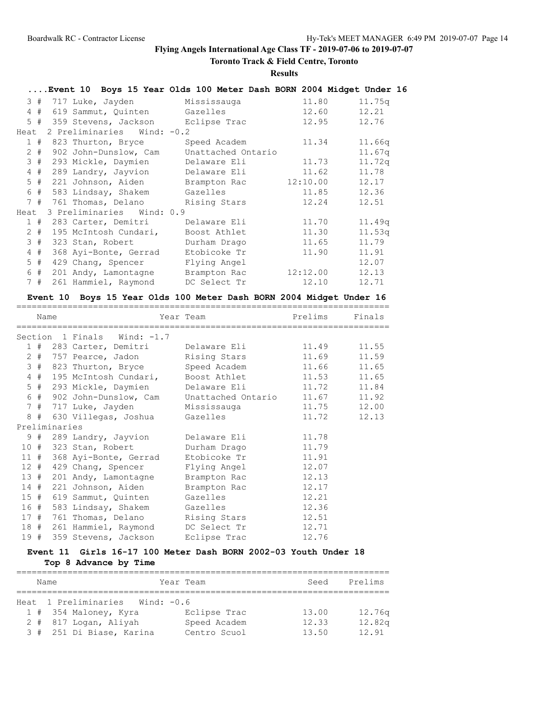# **Toronto Track & Field Centre, Toronto**

### **Results**

|      |       |                                   | Event 10 Boys 15 Year Olds 100 Meter Dash BORN 2004 Midget Under 16 |          |        |
|------|-------|-----------------------------------|---------------------------------------------------------------------|----------|--------|
|      |       | 3 # 717 Luke, Jayden              | Mississauga                                                         | 11.80    | 11.75q |
|      | 4#    | 619 Sammut, Quinten               | Gazelles                                                            | 12.60    | 12.21  |
|      |       | 5 # 359 Stevens, Jackson          | Eclipse Trac                                                        | 12.95    | 12.76  |
| Heat |       | 2 Preliminaries Wind: -0.2        |                                                                     |          |        |
|      |       | 1 # 823 Thurton, Bryce            | Speed Academ                                                        | 11.34    | 11.66q |
|      |       | 2 # 902 John-Dunslow, Cam         | Unattached Ontario                                                  |          | 11.67q |
|      | 3#    | 293 Mickle, Daymien               | Delaware Eli                                                        | 11.73    | 11.72q |
|      | 4#    | 289 Landry, Jayvion               | Delaware Eli                                                        | 11.62    | 11.78  |
|      |       | 5 # 221 Johnson, Aiden            | Brampton Rac                                                        | 12:10.00 | 12.17  |
|      |       | 6 # 583 Lindsay, Shakem           | Gazelles                                                            | 11.85    | 12.36  |
|      |       | 7 # 761 Thomas, Delano            | Rising Stars                                                        | 12.24    | 12.51  |
| Heat |       | 3 Preliminaries Wind: 0.9         |                                                                     |          |        |
|      | 1#    | 283 Carter, Demitri               | Delaware Eli                                                        | 11.70    | 11.49q |
|      | 2#    | 195 McIntosh Cundari,             | Boost Athlet                                                        | 11.30    | 11.53q |
|      | 3#    | 323 Stan, Robert                  | Durham Drago                                                        | 11.65    | 11.79  |
|      | 4#    | 368 Ayi-Bonte, Gerrad             | Etobicoke Tr                                                        | 11.90    | 11.91  |
|      | $5$ # | 429 Chang, Spencer                | Flying Angel                                                        |          | 12.07  |
|      | 6#    | 201 Andy, Lamontagne Brampton Rac |                                                                     | 12:12.00 | 12.13  |
|      | 7#    | 261 Hammiel, Raymond              | DC Select Tr                                                        | 12.10    | 12.71  |

# **Event 10 Boys 15 Year Olds 100 Meter Dash BORN 2004 Midget Under 16**

|     | Name |               |                             | Year Team                       | Prelims | Finals      |
|-----|------|---------------|-----------------------------|---------------------------------|---------|-------------|
|     |      |               | Section 1 Finals Wind: -1.7 |                                 |         |             |
|     |      |               | 1 # 283 Carter, Demitri     | Delaware Eli                    | 11.49   | 11.55       |
|     |      |               | 2 # 757 Pearce, Jadon       | Rising Stars                    | 11.69   | 11.59       |
|     |      |               | 3 # 823 Thurton, Bryce      | Speed Academ                    | 11.66   | 11.65       |
|     |      |               | 4 # 195 McIntosh Cundari,   | Boost Athlet 11.53 11.65        |         |             |
|     |      |               | 5 # 293 Mickle, Daymien     | Delaware Eli 11.72              |         | 11.84       |
|     |      |               | 6 # 902 John-Dunslow, Cam   | Unattached Ontario 11.67        |         | 11.92       |
|     |      |               | 7 # 717 Luke, Jayden        | Mississauga                     |         | 11.75 12.00 |
|     |      |               | 8 # 630 Villegas, Joshua    | Gazelles                        | 11.72   | 12.13       |
|     |      | Preliminaries |                             |                                 |         |             |
|     |      |               | 9 # 289 Landry, Jayvion     | Delaware Eli                    | 11.78   |             |
|     |      |               | 10 # 323 Stan, Robert       | Durham Drago                    | 11.79   |             |
|     | 11#  |               | 368 Ayi-Bonte, Gerrad       | Etobicoke Tr                    | 11.91   |             |
|     | 12#  |               | 429 Chang, Spencer          | Flying Angel 12.07              |         |             |
|     | 13#  |               | 201 Andy, Lamontagne        | Brampton Rac                    | 12.13   |             |
|     | 14#  |               | 221 Johnson, Aiden          | Brampton Rac                    | 12.17   |             |
|     | 15#  |               | 619 Sammut, Quinten         | Gazelles                        | 12.21   |             |
|     | 16 # |               | 583 Lindsay, Shakem         | Gazelles                        | 12.36   |             |
|     | 17#  |               |                             | 761 Thomas, Delano Rising Stars | 12.51   |             |
|     |      |               | 18 # 261 Hammiel, Raymond   | DC Select Tr                    | 12.71   |             |
| 19# |      |               | 359 Stevens, Jackson        | Eclipse Trac                    | 12.76   |             |

# **Event 11 Girls 16-17 100 Meter Dash BORN 2002-03 Youth Under 18 Top 8 Advance by Time**

| Name                                 | Year Team    | Seed  | Prelims |  |  |  |  |
|--------------------------------------|--------------|-------|---------|--|--|--|--|
|                                      |              |       |         |  |  |  |  |
| Heat 1 Preliminaries<br>Wind: $-0.6$ |              |       |         |  |  |  |  |
| 1 # 354 Maloney, Kyra                | Eclipse Trac | 13.00 | 12.76q  |  |  |  |  |
| 2 # 817 Logan, Aliyah                | Speed Academ | 12.33 | 12.82q  |  |  |  |  |
| 3 # 251 Di Biase, Karina             | Centro Scuol | 13.50 | 12.91   |  |  |  |  |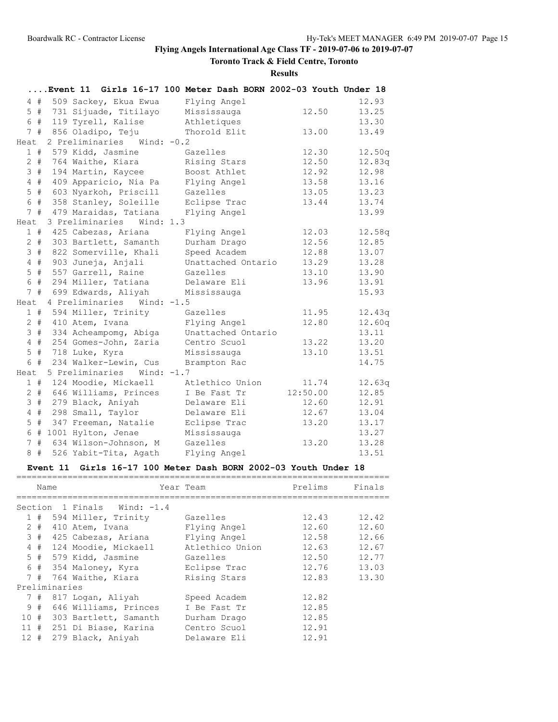# **Toronto Track & Field Centre, Toronto**

**Results**

|                 |                         | Event 11 Girls 16-17 100 Meter Dash BORN 2002-03 Youth Under 18 |                    |          |       |        |
|-----------------|-------------------------|-----------------------------------------------------------------|--------------------|----------|-------|--------|
|                 | $4$ #                   | 509 Sackey, Ekua Ewua                                           | Flying Angel       |          |       | 12.93  |
|                 | $5$ #                   | 731 Sijuade, Titilayo                                           | Mississauga        |          | 12.50 | 13.25  |
|                 | 6 #                     | 119 Tyrell, Kalise                                              | Athletiques        |          |       | 13.30  |
|                 | 7#                      | 856 Oladipo, Teju                                               | Thorold Elit       |          | 13.00 | 13.49  |
| Heat            |                         | 2 Preliminaries Wind: -0.2                                      |                    |          |       |        |
|                 | 1#                      | 579 Kidd, Jasmine                                               | Gazelles           |          | 12.30 | 12.50q |
|                 | $2 +$                   | 764 Waithe, Kiara                                               | Rising Stars       |          | 12.50 | 12.83q |
|                 | 3#                      | 194 Martin, Kaycee                                              | Boost Athlet       |          | 12.92 | 12.98  |
| $\overline{4}$  | #                       | 409 Apparicio, Nia Pa                                           | Flying Angel       |          | 13.58 | 13.16  |
| 5               | $\#$                    | 603 Nyarkoh, Priscill                                           | Gazelles           |          | 13.05 | 13.23  |
|                 | 6 #                     | 358 Stanley, Soleille                                           | Eclipse Trac       |          | 13.44 | 13.74  |
|                 | 7#                      | 479 Maraidas, Tatiana                                           | Flying Angel       |          |       | 13.99  |
| Heat            |                         | 3 Preliminaries Wind: 1.3                                       |                    |          |       |        |
|                 | 1#                      | 425 Cabezas, Ariana                                             | Flying Angel       |          | 12.03 | 12.58q |
|                 | $2$ #                   | 303 Bartlett, Samanth                                           | Durham Drago       |          | 12.56 | 12.85  |
|                 | 3#                      | 822 Somerville, Khali                                           | Speed Academ       |          | 12.88 | 13.07  |
|                 | $4$ #                   | 903 Juneja, Anjali                                              | Unattached Ontario |          | 13.29 | 13.28  |
| 5 <sup>5</sup>  | $\#$                    | 557 Garrell, Raine                                              | Gazelles           |          | 13.10 | 13.90  |
|                 | 6 #                     | 294 Miller, Tatiana                                             | Delaware Eli       |          | 13.96 | 13.91  |
|                 | 7#                      | 699 Edwards, Aliyah                                             | Mississauga        |          |       | 15.93  |
| Heat            |                         | 4 Preliminaries<br>Wind: $-1.5$                                 |                    |          |       |        |
|                 | 1#                      | 594 Miller, Trinity                                             | Gazelles           |          | 11.95 | 12.43q |
|                 | $2$ #                   | 410 Atem, Ivana                                                 | Flying Angel       |          | 12.80 | 12.60q |
|                 | 3#                      | 334 Acheampomg, Abiga                                           | Unattached Ontario |          |       | 13.11  |
|                 | $\#$<br>$4\overline{ }$ | 254 Gomes-John, Zaria                                           | Centro Scuol       |          | 13.22 | 13.20  |
| 5               | #                       | 718 Luke, Kyra                                                  | Mississauga        |          | 13.10 | 13.51  |
|                 | 6 #                     | 234 Walker-Lewin, Cus                                           | Brampton Rac       |          |       | 14.75  |
| Heat            |                         | 5 Preliminaries<br>Wind: $-1.7$                                 |                    |          |       |        |
|                 | 1#                      | 124 Moodie, Mickaell                                            | Atlethico Union    |          | 11.74 | 12.63q |
|                 | $2 +$                   | 646 Williams, Princes                                           | I Be Fast Tr       | 12:50.00 |       | 12.85  |
|                 | 3#                      | 279 Black, Aniyah                                               | Delaware Eli       |          | 12.60 | 12.91  |
| $\overline{4}$  | $\#$                    | 298 Small, Taylor                                               | Delaware Eli       |          | 12.67 | 13.04  |
| 5               | #                       | 347 Freeman, Natalie                                            | Eclipse Trac       |          | 13.20 | 13.17  |
|                 | 6 #                     | 1001 Hylton, Jenae                                              | Mississauga        |          |       | 13.27  |
| $7\phantom{.0}$ | #                       | 634 Wilson-Johnson, M                                           | Gazelles           |          | 13.20 | 13.28  |
| 8               | #                       | 526 Yabit-Tita, Agath                                           | Flying Angel       |          |       | 13.51  |

# **Event 11 Girls 16-17 100 Meter Dash BORN 2002-03 Youth Under 18**

|        | Name  |               |                             | Year Team       | Prelims | Finals |
|--------|-------|---------------|-----------------------------|-----------------|---------|--------|
|        |       |               | Section 1 Finals Wind: -1.4 |                 |         |        |
|        | 1#    |               | 594 Miller, Trinity         | Gazelles        | 12.43   | 12.42  |
|        | $2 +$ |               | 410 Atem, Ivana             | Flying Angel    | 12.60   | 12.60  |
|        | 3#    |               | 425 Cabezas, Ariana         | Flying Angel    | 12.58   | 12.66  |
|        |       |               | 4 # 124 Moodie, Mickaell    | Atlethico Union | 12.63   | 12.67  |
|        |       |               | 5 # 579 Kidd, Jasmine       | Gazelles        | 12.50   | 12.77  |
|        |       |               | 6 # 354 Maloney, Kyra       | Eclipse Trac    | 12.76   | 13.03  |
|        |       |               | 7 # 764 Waithe, Kiara       | Rising Stars    | 12.83   | 13.30  |
|        |       | Preliminaries |                             |                 |         |        |
|        | 7#    |               | 817 Logan, Aliyah           | Speed Academ    | 12.82   |        |
|        | 9#    |               | 646 Williams, Princes       | I Be Fast Tr    | 12.85   |        |
|        |       |               | 10 # 303 Bartlett, Samanth  | Durham Drago    | 12.85   |        |
| 11#    |       |               | 251 Di Biase, Karina        | Centro Scuol    | 12.91   |        |
| $12 +$ |       |               | 279 Black, Aniyah           | Delaware Eli    | 12.91   |        |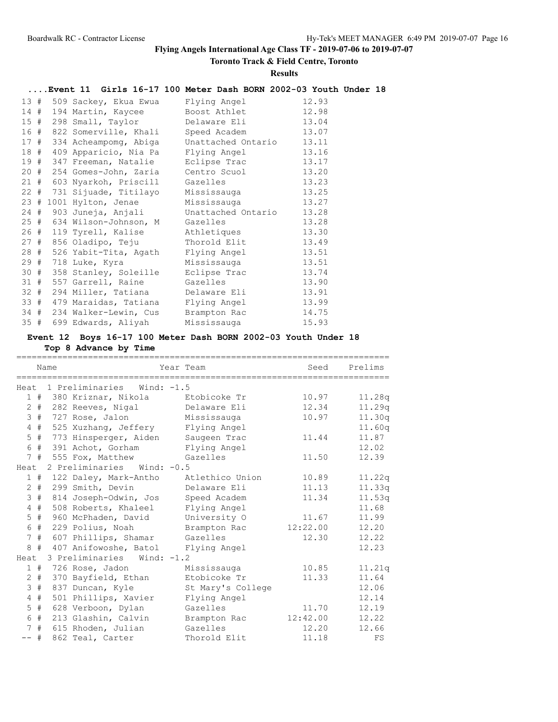# **Toronto Track & Field Centre, Toronto**

### **Results**

# **....Event 11 Girls 16-17 100 Meter Dash BORN 2002-03 Youth Under 18**

| 13#    |   | 509 Sackey, Ekua Ewua      | Flying Angel       | 12.93 |
|--------|---|----------------------------|--------------------|-------|
| 14#    |   | 194 Martin, Kaycee         | Boost Athlet       | 12.98 |
| 15#    |   | 298 Small, Taylor          | Delaware Eli       | 13.04 |
| 16     | # | 822 Somerville, Khali      | Speed Academ       | 13.07 |
| 17#    |   | 334 Acheampomg, Abiga      | Unattached Ontario | 13.11 |
| 18 #   |   | 409 Apparicio, Nia Pa      | Flying Angel       | 13.16 |
| 19     | # | 347 Freeman, Natalie       | Eclipse Trac       | 13.17 |
| 20#    |   | 254 Gomes-John, Zaria      | Centro Scuol       | 13.20 |
| 21#    |   | 603 Nyarkoh, Priscill      | Gazelles           | 13.23 |
|        |   | 22 # 731 Sijuade, Titilayo | Mississauga        | 13.25 |
|        |   | 23 # 1001 Hylton, Jenae    | Mississauga        | 13.27 |
|        |   | 24 # 903 Juneja, Anjali    | Unattached Ontario | 13.28 |
| 25#    |   | 634 Wilson-Johnson, M      | Gazelles           | 13.28 |
| 26 #   |   | 119 Tyrell, Kalise         | Athletiques        | 13.30 |
| 27#    |   | 856 Oladipo, Teju          | Thorold Elit       | 13.49 |
| 28 #   |   | 526 Yabit-Tita, Agath      | Flying Angel       | 13.51 |
| 29#    |   | 718 Luke, Kyra             | Mississauga        | 13.51 |
| 30#    |   | 358 Stanley, Soleille      | Eclipse Trac       | 13.74 |
| 31#    |   | 557 Garrell, Raine         | Gazelles           | 13.90 |
| $32 +$ |   | 294 Miller, Tatiana        | Delaware Eli       | 13.91 |
| 33#    |   | 479 Maraidas, Tatiana      | Flying Angel       | 13.99 |
| 34#    |   | 234 Walker-Lewin, Cus      | Brampton Rac       | 14.75 |
| 35#    |   | 699 Edwards, Aliyah        | Mississauga        | 15.93 |

# **Event 12 Boys 16-17 100 Meter Dash BORN 2002-03 Youth Under 18**

# **Top 8 Advance by Time**

|                 |       | Name |                                 | Year Team         | Seed     | Prelims |
|-----------------|-------|------|---------------------------------|-------------------|----------|---------|
|                 |       |      | Heat 1 Preliminaries Wind: -1.5 |                   |          |         |
|                 |       |      | 1 # 380 Kriznar, Nikola         | Etobicoke Tr      | 10.97    | 11.28q  |
|                 |       |      | 2 # 282 Reeves, Nigal           | Delaware Eli      | 12.34    | 11.29q  |
|                 | 3#    |      | 727 Rose, Jalon                 | Mississauga       | 10.97    | 11.30q  |
|                 | $4$ # |      | 525 Xuzhang, Jeffery            | Flying Angel      |          | 11.60q  |
|                 | $5$ # |      | 773 Hinsperger, Aiden           | Saugeen Trac      | 11.44    | 11.87   |
| 6               | #     |      | 391 Achot, Gorham               | Flying Angel      |          | 12.02   |
|                 | 7#    |      | 555 Fox, Matthew                | Gazelles          | 11.50    | 12.39   |
| Heat            |       |      | 2 Preliminaries Wind: -0.5      |                   |          |         |
|                 | 1#    |      | 122 Daley, Mark-Antho           | Atlethico Union   | 10.89    | 11.22q  |
|                 | $2$ # |      | 299 Smith, Devin                | Delaware Eli      | 11.13    | 11.33q  |
|                 | 3#    |      | 814 Joseph-Odwin, Jos           | Speed Academ      | 11.34    | 11.53q  |
| $\overline{4}$  | #     |      | 508 Roberts, Khaleel            | Flying Angel      |          | 11.68   |
| 5               | #     |      | 960 McPhaden, David             | University O      | 11.67    | 11.99   |
|                 | 6 #   |      | 229 Polius, Noah                | Brampton Rac      | 12:22.00 | 12.20   |
|                 | 7#    |      | 607 Phillips, Shamar            | Gazelles          | 12.30    | 12.22   |
| 8               | #     |      | 407 Anifowoshe, Batol           | Flying Angel      |          | 12.23   |
| Heat            |       |      | 3 Preliminaries Wind: -1.2      |                   |          |         |
|                 |       |      | 1 # 726 Rose, Jadon             | Mississauga       | 10.85    | 11.21q  |
|                 | $2 +$ |      | 370 Bayfield, Ethan             | Etobicoke Tr      | 11.33    | 11.64   |
| 3               | #     |      | 837 Duncan, Kyle                | St Mary's College |          | 12.06   |
| 4               | #     |      | 501 Phillips, Xavier            | Flying Angel      |          | 12.14   |
| 5               | #     |      | 628 Verboon, Dylan              | Gazelles          | 11.70    | 12.19   |
| 6               | #     |      | 213 Glashin, Calvin             | Brampton Rac      | 12:42.00 | 12.22   |
| $7\phantom{.0}$ | #     |      | 615 Rhoden, Julian              | Gazelles          | 12.20    | 12.66   |
| $--$ #          |       |      | 862 Teal, Carter                | Thorold Elit      | 11.18    | FS      |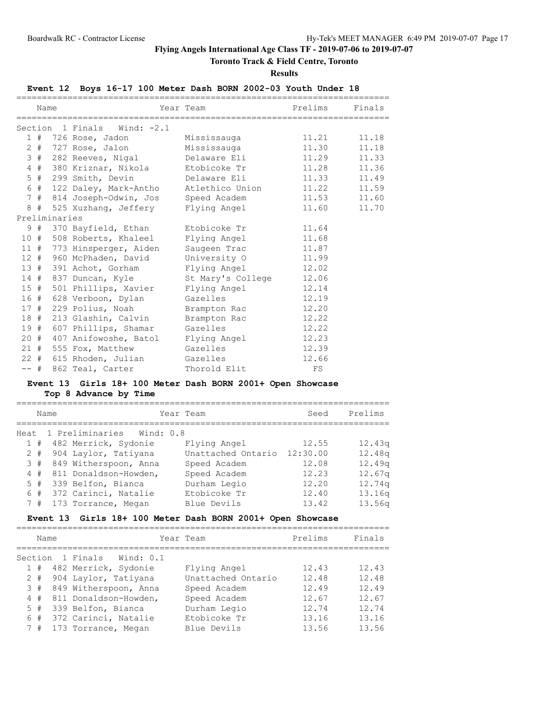# **Toronto Track & Field Centre, Toronto**

**Results**

# **Event 12 Boys 16-17 100 Meter Dash BORN 2002-03 Youth Under 18**

|        | Name |               |                                                    | Year Team                   | Prelims | Finals |
|--------|------|---------------|----------------------------------------------------|-----------------------------|---------|--------|
|        |      |               | Section 1 Finals Wind: -2.1                        |                             |         |        |
|        |      |               | 1 # 726 Rose, Jadon                                | Mississauga                 | 11.21   | 11.18  |
|        |      |               | 2 # 727 Rose, Jalon                                | Mississauga 11.30           |         | 11.18  |
|        |      |               | 3 # 282 Reeves, Nigal                              | Delaware Eli 11.29 11.33    |         |        |
|        |      |               | 4 # 380 Kriznar, Nikola                            | Etobicoke Tr and 11.28      |         | 11.36  |
|        |      |               | 5 # 299 Smith, Devin Delaware Eli 11.33 11.49      |                             |         |        |
|        |      |               | 6 # 122 Daley, Mark-Antho                          | Atlethico Union 11.22 11.59 |         |        |
|        |      |               | 7 # 814 Joseph-Odwin, Jos Speed Academ 11.53 11.60 |                             |         |        |
|        | 8#   |               | 525 Xuzhang, Jeffery     Flying Angel              |                             | 11.60   | 11.70  |
|        |      | Preliminaries |                                                    |                             |         |        |
|        |      |               | 9 # 370 Bayfield, Ethan                            | Etobicoke Tr                | 11.64   |        |
|        |      |               | 10 # 508 Roberts, Khaleel                          | Flying Angel 11.68          |         |        |
|        |      |               | 11 # 773 Hinsperger, Aiden                         | Saugeen Trac                | 11.87   |        |
|        |      |               | 12 # 960 McPhaden, David                           | University 0 11.99          |         |        |
|        |      |               | 13 # 391 Achot, Gorham                             | Flying Angel 12.02          |         |        |
|        |      |               | 14 # 837 Duncan, Kyle                              | St Mary's College 12.06     |         |        |
|        |      |               | 15 # 501 Phillips, Xavier                          | Flying Angel 12.14          |         |        |
| 16#    |      |               | 628 Verboon, Dylan                                 | Gazelles                    | 12.19   |        |
|        | 17#  |               | 229 Polius, Noah                                   | Brampton Rac 12.20          |         |        |
| 18 #   |      |               | 213 Glashin, Calvin                                | Brampton Rac                | 12.22   |        |
| 19#    |      |               | 607 Phillips, Shamar                               | Gazelles                    | 12.22   |        |
|        | 20 # |               | 407 Anifowoshe, Batol Flying Angel 12.23           |                             |         |        |
|        |      |               | 21 # 555 Fox, Matthew                              | Gazelles                    | 12.39   |        |
|        |      |               | 22 # 615 Rhoden, Julian Gazelles                   |                             | 12.66   |        |
| $--$ # |      |               | 862 Teal, Carter                                   | Thorold Elit                | FS      |        |

# **Event 13 Girls 18+ 100 Meter Dash BORN 2001+ Open Showcase Top 8 Advance by Time**

| Name |       | Year Team                 |                    | Seed     | Prelims |
|------|-------|---------------------------|--------------------|----------|---------|
| Heat |       | 1 Preliminaries Wind: 0.8 |                    |          |         |
|      |       | 1 # 482 Merrick, Sydonie  | Flying Angel       | 12.55    | 12.43q  |
|      | $2 +$ | 904 Laylor, Tatiyana      | Unattached Ontario | 12:30.00 | 12.48q  |
|      | 3#    | 849 Witherspoon, Anna     | Speed Academ       | 12.08    | 12.49q  |
|      | 4#    | 811 Donaldson-Howden,     | Speed Academ       | 12.23    | 12.67q  |
|      | 5#    | 339 Belfon, Bianca        | Durham Legio       | 12.20    | 12.74q  |
|      | 6#    | 372 Carinci, Natalie      | Etobicoke Tr       | 12.40    | 13.16q  |
|      | 7#    | 173 Torrance, Megan       | Blue Devils        | 13.42    | 13.56q  |

# **Event 13 Girls 18+ 100 Meter Dash BORN 2001+ Open Showcase**

|         | Name  |                         | Year Team          | Prelims | Finals |
|---------|-------|-------------------------|--------------------|---------|--------|
| Section |       | 1 Finals<br>Wind: $0.1$ |                    |         |        |
|         | 1#    | 482 Merrick, Sydonie    | Flying Angel       | 12.43   | 12.43  |
|         | $2 +$ | 904 Laylor, Tatiyana    | Unattached Ontario | 12.48   | 12.48  |
|         | 3#    | 849 Witherspoon, Anna   | Speed Academ       | 12.49   | 12.49  |
|         | 4#    | 811 Donaldson-Howden,   | Speed Academ       | 12.67   | 12.67  |
|         | 5#    | 339 Belfon, Bianca      | Durham Legio       | 12.74   | 12.74  |
|         | 6#    | 372 Carinci, Natalie    | Etobicoke Tr       | 13.16   | 13.16  |
|         | 7#    | 173 Torrance, Megan     | Blue Devils        | 13.56   | 13.56  |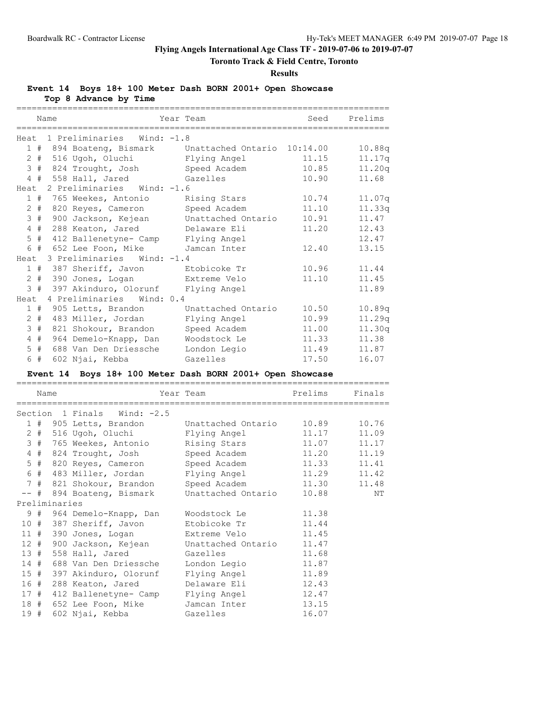# **Toronto Track & Field Centre, Toronto**

#### **Results**

**Event 14 Boys 18+ 100 Meter Dash BORN 2001+ Open Showcase**

**Top 8 Advance by Time**

|      |       | Name |                                        | Year Team                                            |       | Seed Prelims |
|------|-------|------|----------------------------------------|------------------------------------------------------|-------|--------------|
|      |       |      |                                        |                                                      |       |              |
|      |       |      | Heat 1 Preliminaries Wind: -1.8        |                                                      |       |              |
|      |       |      |                                        | 1 # 894 Boateng, Bismark Unattached Ontario 10:14.00 |       | 10.88q       |
|      |       |      | 2 # 516 Ugoh, Oluchi                   | Flying Angel                                         | 11.15 | 11.17q       |
|      |       |      | 3 # 824 Trought, Josh                  | Speed Academ                                         | 10.85 | 11.20q       |
|      |       |      | 4 # 558 Hall, Jared Gazelles           |                                                      | 10.90 | 11.68        |
|      |       |      | Heat 2 Preliminaries Wind: -1.6        |                                                      |       |              |
|      |       |      | 1 # 765 Weekes, Antonio                | Rising Stars                                         | 10.74 | 11.07q       |
|      |       |      | 2 # 820 Reyes, Cameron                 | Speed Academ                                         | 11.10 | 11.33q       |
|      |       |      | 3 # 900 Jackson, Kejean                | Unattached Ontario                                   | 10.91 | 11.47        |
|      |       |      | 4 # 288 Keaton, Jared                  | Delaware Eli                                         | 11.20 | 12.43        |
|      |       |      | 5 # 412 Ballenetyne- Camp Flying Angel |                                                      |       | 12.47        |
|      |       |      | 6 # 652 Lee Foon, Mike                 | Jamcan Inter                                         | 12.40 | 13.15        |
| Heat |       |      | 3 Preliminaries Wind: -1.4             |                                                      |       |              |
|      |       |      | 1 # 387 Sheriff, Javon Btobicoke Tr    |                                                      | 10.96 | 11.44        |
|      |       |      | 2 # 390 Jones, Logan Extreme Velo      |                                                      | 11.10 | 11.45        |
|      |       |      | 3 # 397 Akinduro, Olorunf Flying Angel |                                                      |       | 11.89        |
|      |       |      | Heat 4 Preliminaries Wind: 0.4         |                                                      |       |              |
|      |       |      | 1 # 905 Letts, Brandon                 | Unattached Ontario                                   | 10.50 | 10.89q       |
|      |       |      | 2 # 483 Miller, Jordan                 | Flying Angel                                         | 10.99 | 11.29q       |
|      |       |      | 3 # 821 Shokour, Brandon               | Speed Academ                                         | 11.00 | 11.30q       |
|      | $4$ # |      | 964 Demelo-Knapp, Dan                  | Woodstock Le                                         | 11.33 | 11.38        |
|      | $5$ # |      | 688 Van Den Driessche                  | London Legio                                         | 11.49 | 11.87        |
|      | 6 #   |      | 602 Njai, Kebba                        | Gazelles                                             | 17.50 | 16.07        |

# **Event 14 Boys 18+ 100 Meter Dash BORN 2001+ Open Showcase**

|     | Name |               |                                                             | Year Team                | Prelims | Finals |  |  |
|-----|------|---------------|-------------------------------------------------------------|--------------------------|---------|--------|--|--|
|     |      |               | Section 1 Finals Wind: -2.5                                 |                          |         |        |  |  |
|     |      |               | 1 # 905 Letts, Brandon Unattached Ontario 10.89 10.76       |                          |         |        |  |  |
|     |      |               | 2 # 516 Ugoh, Oluchi     Flying Angel       11.17     11.09 |                          |         |        |  |  |
|     |      |               | 3 # 765 Weekes, Antonio                                     | Rising Stars 11.07 11.17 |         |        |  |  |
|     |      |               | 4 # 824 Trought, Josh                                       | Speed Academ 11.20 11.19 |         |        |  |  |
|     |      |               | 5 # 820 Reyes, Cameron Speed Academ 11.33 11.41             |                          |         |        |  |  |
|     |      |               | 6 # 483 Miller, Jordan Flying Angel 11.29 11.42             |                          |         |        |  |  |
|     |      |               | 7 # 821 Shokour, Brandon                                    | Speed Academ 11.30 11.48 |         |        |  |  |
|     |      |               | -- # 894 Boateng, Bismark                                   | Unattached Ontario       | 10.88   | NΤ     |  |  |
|     |      | Preliminaries |                                                             |                          |         |        |  |  |
|     |      |               | 9 # 964 Demelo-Knapp, Dan Woodstock Le                      |                          | 11.38   |        |  |  |
|     |      |               | 10 # 387 Sheriff, Javon Btobicoke Tr 11.44                  |                          |         |        |  |  |
|     |      |               | 11 # 390 Jones, Logan Extreme Velo 11.45                    |                          |         |        |  |  |
|     |      |               | 12 # 900 Jackson, Kejean Unattached Ontario 11.47           |                          |         |        |  |  |
|     |      |               | 13 # 558 Hall, Jared Gazelles                               | 11.68                    |         |        |  |  |
|     |      |               | 14 # 688 Van Den Driessche                                  | London Legio             | 11.87   |        |  |  |
|     |      |               | 15 # 397 Akinduro, Olorunf                                  | Flying Angel 11.89       |         |        |  |  |
|     |      |               | 16 # 288 Keaton, Jared                                      | Delaware Eli 12.43       |         |        |  |  |
|     |      |               | 17 # 412 Ballenetyne- Camp                                  | Flying Angel 12.47       |         |        |  |  |
|     |      |               | 18 # 652 Lee Foon, Mike                                     | Jamcan Inter             | 13.15   |        |  |  |
| 19# |      |               | 602 Njai, Kebba                                             | Gazelles                 | 16.07   |        |  |  |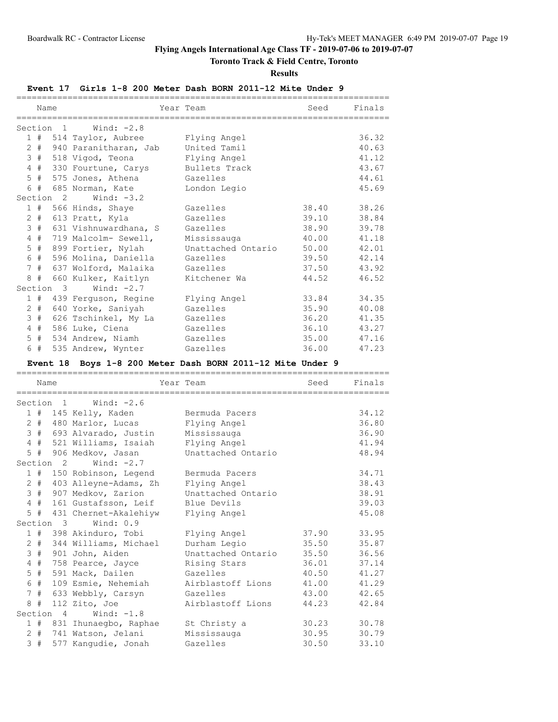# **Toronto Track & Field Centre, Toronto**

**Results**

# **Event 17 Girls 1-8 200 Meter Dash BORN 2011-12 Mite Under 9**

|                | Name   |           |                           | Year Team                            | Seed  | Finals      |
|----------------|--------|-----------|---------------------------|--------------------------------------|-------|-------------|
|                |        |           |                           | ==================================== |       |             |
|                |        |           | Section 1 Wind: -2.8      |                                      |       |             |
|                |        |           | 1 # 514 Taylor, Aubree    | Flying Angel                         |       | 36.32       |
|                |        |           | 2 # 940 Paranitharan, Jab | United Tamil                         |       | 40.63       |
|                | 3#     |           | 518 Vigod, Teona          | Flying Angel                         |       | 41.12       |
|                | $4$ #  |           | 330 Fourtune, Carys       | Bullets Track                        |       | 43.67       |
|                | $5$ #  |           | 575 Jones, Athena         | Gazelles                             |       | 44.61       |
|                | 6#     |           | 685 Norman, Kate          | London Legio                         |       | 45.69       |
|                |        | Section 2 | Wind: -3.2                |                                      |       |             |
|                |        |           | 1 # 566 Hinds, Shaye      | Gazelles                             | 38.40 | 38.26       |
|                | $2 \#$ |           | 613 Pratt, Kyla           | Gazelles                             | 39.10 | 38.84       |
|                | 3#     |           | 631 Vishnuwardhana, S     | Gazelles                             | 38.90 | 39.78       |
| $\overline{4}$ | #      |           | 719 Malcolm- Sewell,      | Mississauga                          | 40.00 | 41.18       |
|                | $5$ #  |           | 899 Fortier, Nylah        | Unattached Ontario                   | 50.00 | 42.01       |
|                | 6 #    |           | 596 Molina, Daniella      | Gazelles                             | 39.50 | 42.14       |
|                | 7#     |           | 637 Wolford, Malaika      | Gazelles                             | 37.50 | 43.92       |
|                | 8#     |           | 660 Kulker, Kaitlyn       | Kitchener Wa                         | 44.52 | 46.52       |
|                |        | Section 3 | Wind: $-2.7$              |                                      |       |             |
|                |        |           | 1 # 439 Ferguson, Regine  | Flying Angel                         | 33.84 | 34.35       |
| $\mathbf{2}$   | #      |           | 640 Yorke, Saniyah        | Gazelles                             | 35.90 | 40.08       |
|                | 3#     |           | 626 Tschinkel, My La      | Gazelles                             | 36.20 | 41.35       |
| $\overline{4}$ | #      |           | 586 Luke, Ciena           | Gazelles                             | 36.10 | 43.27       |
| 5              | #      |           | 534 Andrew, Niamh         | Gazelles                             |       | 35.00 47.16 |
|                | 6 #    |           | 535 Andrew, Wynter        | Gazelles                             | 36.00 | 47.23       |

# **Event 18 Boys 1-8 200 Meter Dash BORN 2011-12 Mite Under 9**

|             | Name      |                      |                           | Year Team          | Seed  | Finals |
|-------------|-----------|----------------------|---------------------------|--------------------|-------|--------|
|             |           |                      | Section $1$ Wind: $-2.6$  |                    |       |        |
|             |           |                      | 1 # 145 Kelly, Kaden      | Bermuda Pacers     |       | 34.12  |
|             | $2 +$     |                      | 480 Marlor, Lucas         | Flying Angel       |       | 36.80  |
|             | 3#        |                      | 693 Alvarado, Justin      | Mississauga        |       | 36.90  |
|             |           |                      | 4 # 521 Williams, Isaiah  | Flying Angel       |       | 41.94  |
|             |           |                      | 5 # 906 Medkov, Jasan     | Unattached Ontario |       | 48.94  |
|             |           | Section <sub>2</sub> | Wind: $-2.7$              |                    |       |        |
|             |           |                      | 1 # 150 Robinson, Legend  | Bermuda Pacers     |       | 34.71  |
|             | $2 +$     |                      | 403 Alleyne-Adams, Zh     | Flying Angel       |       | 38.43  |
|             | 3#        |                      | 907 Medkov, Zarion        | Unattached Ontario |       | 38.91  |
|             | 4#        |                      | 161 Gustafsson, Leif      | Blue Devils        |       | 39.03  |
| $5^{\circ}$ | #         |                      | 431 Chernet-Akalehiyw     | Flying Angel       |       | 45.08  |
|             |           | Section 3            | Wind: 0.9                 |                    |       |        |
|             |           |                      | 1 # 398 Akinduro, Tobi    | Flying Angel       | 37.90 | 33.95  |
|             | $2 +$     |                      | 344 Williams, Michael     | Durham Legio       | 35.50 | 35.87  |
|             | 3#        |                      | 901 John, Aiden           | Unattached Ontario | 35.50 | 36.56  |
|             | $4$ #     |                      | 758 Pearce, Jayce         | Rising Stars       | 36.01 | 37.14  |
|             | $5$ #     |                      | 591 Mack, Dailen          | Gazelles           | 40.50 | 41.27  |
|             | 6 #       |                      | 109 Esmie, Nehemiah       | Airblastoff Lions  | 41.00 | 41.29  |
|             | 7#        |                      | 633 Webbly, Carsyn        | Gazelles           | 43.00 | 42.65  |
|             | 8#        |                      | 112 Zito, Joe             | Airblastoff Lions  | 44.23 | 42.84  |
|             |           | Section 4            | Wind: $-1.8$              |                    |       |        |
|             |           |                      | 1 # 831 Ihunaegbo, Raphae | St Christy a       | 30.23 | 30.78  |
|             | $2 \pm 1$ |                      | 741 Watson, Jelani        | Mississauga        | 30.95 | 30.79  |
|             | 3#        |                      | 577 Kanqudie, Jonah       | Gazelles           | 30.50 | 33.10  |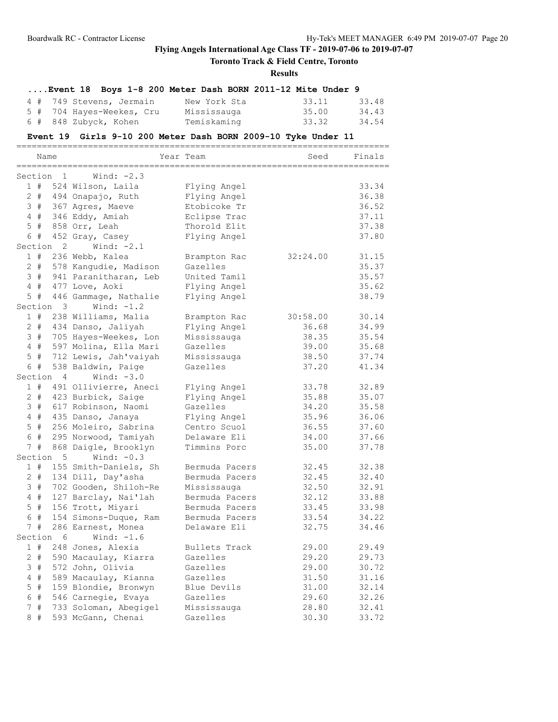# **Toronto Track & Field Centre, Toronto**

#### **Results**

# **....Event 18 Boys 1-8 200 Meter Dash BORN 2011-12 Mite Under 9**

| 4 # 749 Stevens, Jermain  | New York Sta | 33.11 | 33.48 |
|---------------------------|--------------|-------|-------|
| 5 # 704 Hayes-Weekes, Cru | Mississauga  | 35.00 | 34.43 |
| 6 # 848 Zubyck, Kohen     | Temiskaming  | 33.32 | 34.54 |

#### **Event 19 Girls 9-10 200 Meter Dash BORN 2009-10 Tyke Under 11**

|             | Name<br>============ |                      | Year Team             |                | Seed     | Finals |
|-------------|----------------------|----------------------|-----------------------|----------------|----------|--------|
| Section     |                      | $\mathbf{1}$         | Wind: $-2.3$          |                |          |        |
|             | 1#                   |                      | 524 Wilson, Laila     | Flying Angel   |          | 33.34  |
|             | $2 +$                |                      | 494 Onapajo, Ruth     | Flying Angel   |          | 36.38  |
|             | 3#                   |                      | 367 Agres, Maeve      | Etobicoke Tr   |          | 36.52  |
|             | 4#                   |                      | 346 Eddy, Amiah       | Eclipse Trac   |          | 37.11  |
| 5           | #                    |                      | 858 Orr, Leah         | Thorold Elit   |          | 37.38  |
|             | 6 #                  |                      | 452 Gray, Casey       | Flying Angel   |          | 37.80  |
|             |                      | Section <sub>2</sub> | Wind: $-2.1$          |                |          |        |
|             | 1#                   |                      | 236 Webb, Kalea       | Brampton Rac   | 32:24.00 | 31.15  |
|             | 2#                   |                      | 578 Kangudie, Madison | Gazelles       |          | 35.37  |
|             | 3#                   |                      | 941 Paranitharan, Leb | United Tamil   |          | 35.57  |
|             | 4#                   |                      | 477 Love, Aoki        | Flying Angel   |          | 35.62  |
| 5           | #                    |                      | 446 Gammage, Nathalie | Flying Angel   |          | 38.79  |
|             |                      | Section 3            | Wind: $-1.2$          |                |          |        |
|             | 1#                   |                      | 238 Williams, Malia   | Brampton Rac   | 30:58.00 | 30.14  |
|             | $2 +$                |                      | 434 Danso, Jaliyah    | Flying Angel   | 36.68    | 34.99  |
|             | 3#                   |                      | 705 Hayes-Weekes, Lon | Mississauga    | 38.35    | 35.54  |
|             | 4#                   |                      | 597 Molina, Ella Mari | Gazelles       | 39.00    | 35.68  |
| 5           | #                    |                      | 712 Lewis, Jah'vaiyah | Mississauga    | 38.50    | 37.74  |
|             | 6 #                  |                      | 538 Baldwin, Paige    | Gazelles       | 37.20    | 41.34  |
|             |                      | Section 4            | Wind: $-3.0$          |                |          |        |
|             | 1#                   |                      | 491 Ollivierre, Aneci | Flying Angel   | 33.78    | 32.89  |
|             | $2 +$                |                      | 423 Burbick, Saige    | Flying Angel   | 35.88    | 35.07  |
| 3           | #                    |                      | 617 Robinson, Naomi   | Gazelles       | 34.20    | 35.58  |
|             | 4#                   |                      | 435 Danso, Janaya     | Flying Angel   | 35.96    | 36.06  |
|             | $5$ #                |                      | 256 Moleiro, Sabrina  | Centro Scuol   | 36.55    | 37.60  |
|             | 6 #                  |                      | 295 Norwood, Tamiyah  | Delaware Eli   | 34.00    | 37.66  |
|             | 7#                   |                      | 868 Daigle, Brooklyn  | Timmins Porc   | 35.00    | 37.78  |
|             |                      | Section 5            | Wind: $-0.3$          |                |          |        |
|             | 1#                   |                      | 155 Smith-Daniels, Sh | Bermuda Pacers | 32.45    | 32.38  |
|             | $2 +$                |                      | 134 Dill, Day'asha    | Bermuda Pacers | 32.45    | 32.40  |
|             | 3#                   |                      | 702 Gooden, Shiloh-Re | Mississauga    | 32.50    | 32.91  |
|             | 4#                   |                      | 127 Barclay, Nai'lah  | Bermuda Pacers | 32.12    | 33.88  |
|             | $5$ #                |                      | 156 Trott, Miyari     | Bermuda Pacers | 33.45    | 33.98  |
| 6           | $\#$                 |                      | 154 Simons-Duque, Ram | Bermuda Pacers | 33.54    | 34.22  |
| $7^{\circ}$ | #                    |                      | 286 Earnest, Monea    | Delaware Eli   | 32.75    | 34.46  |
| Section     |                      | 6                    | Wind: $-1.6$          |                |          |        |
|             | 1#                   |                      | 248 Jones, Alexia     | Bullets Track  | 29.00    | 29.49  |
|             | $2 +$                |                      | 590 Macaulay, Kiarra  | Gazelles       | 29.20    | 29.73  |
| 3           | #                    |                      | 572 John, Olivia      | Gazelles       | 29.00    | 30.72  |
| 4           | #                    |                      | 589 Macaulay, Kianna  | Gazelles       | 31.50    | 31.16  |
| 5           | #                    |                      | 159 Blondie, Bronwyn  | Blue Devils    | 31.00    | 32.14  |
| 6           | $\#$                 |                      | 546 Carnegie, Evaya   | Gazelles       | 29.60    | 32.26  |
| 7           | #                    |                      | 733 Soloman, Abegigel | Mississauga    | 28.80    | 32.41  |
|             | $8 +$                |                      | 593 McGann, Chenai    | Gazelles       | 30.30    | 33.72  |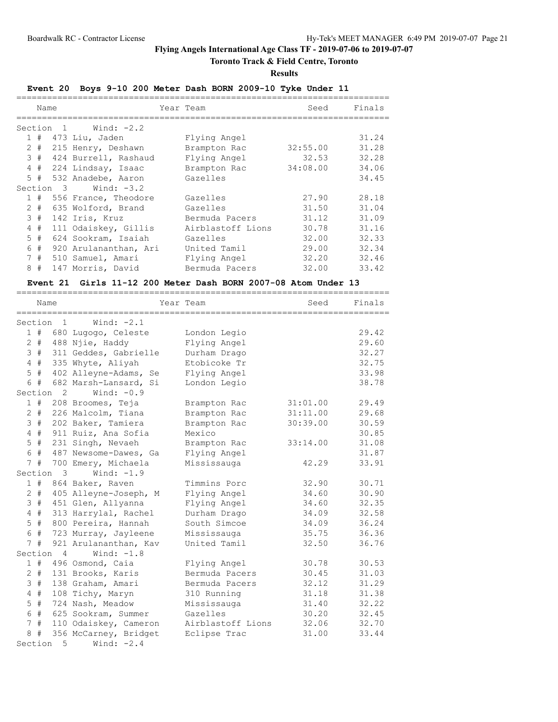# **Toronto Track & Field Centre, Toronto**

**Results**

# **Event 20 Boys 9-10 200 Meter Dash BORN 2009-10 Tyke Under 11**

|   | Name  |           |                          | Year Team         | Seed     | Finals |
|---|-------|-----------|--------------------------|-------------------|----------|--------|
|   |       | Section 1 | Wind: -2.2               |                   |          |        |
|   | 1#    |           | 473 Liu, Jaden           | Flying Angel      |          | 31.24  |
|   | $2 +$ |           | 215 Henry, Deshawn       | Brampton Rac      | 32:55.00 | 31.28  |
|   | 3#    |           | 424 Burrell, Rashaud     | Flying Angel      | 32.53    | 32.28  |
|   | 4#    |           | 224 Lindsay, Isaac       | Brampton Rac      | 34:08.00 | 34.06  |
|   | 5#    |           | 532 Anadebe, Aaron       | Gazelles          |          | 34.45  |
|   |       | Section 3 | Wind: -3.2               |                   |          |        |
|   |       |           | 1 # 556 France, Theodore | Gazelles          | 27.90    | 28.18  |
|   | $2 +$ |           | 635 Wolford, Brand       | Gazelles          | 31.50    | 31.04  |
|   | 3#    |           | 142 Iris, Kruz           | Bermuda Pacers    | 31.12    | 31.09  |
|   | 4#    |           | 111 Odaiskey, Gillis     | Airblastoff Lions | 30.78    | 31.16  |
|   | 5#    |           | 624 Sookram, Isaiah      | Gazelles          | 32.00    | 32.33  |
| 6 | #     |           | 920 Arulananthan, Ari    | United Tamil      | 29.00    | 32.34  |
|   | 7#    |           | 510 Samuel, Amari        | Flying Angel      | 32.20    | 32.46  |
|   | 8#    |           | 147 Morris, David        | Bermuda Pacers    | 32.00    | 33.42  |

# **Event 21 Girls 11-12 200 Meter Dash BORN 2007-08 Atom Under 13**

|                 |       | ===========          |                       |                   |          |        |
|-----------------|-------|----------------------|-----------------------|-------------------|----------|--------|
|                 | Name  |                      |                       | Year Team         | Seed     | Finals |
| Section         |       | $\overline{1}$       | Wind: $-2.1$          |                   |          |        |
|                 | 1#    |                      | 680 Lugogo, Celeste   | London Legio      |          | 29.42  |
| $\mathbf{2}$    | #     |                      | 488 Njie, Haddy       | Flying Angel      |          | 29.60  |
| $\mathcal{S}$   | #     |                      | 311 Geddes, Gabrielle | Durham Drago      |          | 32.27  |
| $\overline{4}$  | #     |                      | 335 Whyte, Aliyah     | Etobicoke Tr      |          | 32.75  |
| 5               | #     |                      | 402 Alleyne-Adams, Se | Flying Angel      |          | 33.98  |
|                 | 6 #   |                      | 682 Marsh-Lansard, Si | London Legio      |          | 38.78  |
|                 |       | Section <sub>2</sub> | Wind: $-0.9$          |                   |          |        |
|                 | 1#    |                      | 208 Broomes, Teja     | Brampton Rac      | 31:01.00 | 29.49  |
|                 | $2 +$ |                      | 226 Malcolm, Tiana    | Brampton Rac      | 31:11.00 | 29.68  |
|                 | 3#    |                      | 202 Baker, Tamiera    | Brampton Rac      | 30:39.00 | 30.59  |
|                 | $4$ # |                      | 911 Ruiz, Ana Sofia   | Mexico            |          | 30.85  |
| 5               | $\#$  |                      | 231 Singh, Nevaeh     | Brampton Rac      | 33:14.00 | 31.08  |
| 6               | #     |                      | 487 Newsome-Dawes, Ga | Flying Angel      |          | 31.87  |
| 7 <sup>7</sup>  | $\#$  |                      | 700 Emery, Michaela   | Mississauga       | 42.29    | 33.91  |
| Section         |       | 3                    | Wind: $-1.9$          |                   |          |        |
|                 | 1#    |                      | 864 Baker, Raven      | Timmins Porc      | 32.90    | 30.71  |
|                 | $2 +$ |                      | 405 Alleyne-Joseph, M | Flying Angel      | 34.60    | 30.90  |
| 3               | #     |                      | 451 Glen, Allyanna    | Flying Angel      | 34.60    | 32.35  |
| $4\overline{ }$ | #     |                      | 313 Harrylal, Rachel  | Durham Drago      | 34.09    | 32.58  |
| 5               | #     |                      | 800 Pereira, Hannah   | South Simcoe      | 34.09    | 36.24  |
| 6               | $\#$  |                      | 723 Murray, Jayleene  | Mississauga       | 35.75    | 36.36  |
| $7\overline{ }$ | $\#$  |                      | 921 Arulananthan, Kav | United Tamil      | 32.50    | 36.76  |
| Section         |       | $\overline{4}$       | Wind: $-1.8$          |                   |          |        |
|                 | 1#    |                      | 496 Osmond, Caia      | Flying Angel      | 30.78    | 30.53  |
| $\overline{2}$  | #     |                      | 131 Brooks, Karis     | Bermuda Pacers    | 30.45    | 31.03  |
| 3               | #     |                      | 138 Graham, Amari     | Bermuda Pacers    | 32.12    | 31.29  |
| $\overline{4}$  | #     |                      | 108 Tichy, Maryn      | 310 Running       | 31.18    | 31.38  |
| 5               | $\#$  |                      | 724 Nash, Meadow      | Mississauga       | 31.40    | 32.22  |
| 6               | $\#$  |                      | 625 Sookram, Summer   | Gazelles          | 30.20    | 32.45  |
| 7               | #     |                      | 110 Odaiskey, Cameron | Airblastoff Lions | 32.06    | 32.70  |
| 8               | #     |                      | 356 McCarney, Bridget | Eclipse Trac      | 31.00    | 33.44  |
| Section         |       | 5                    | Wind: $-2.4$          |                   |          |        |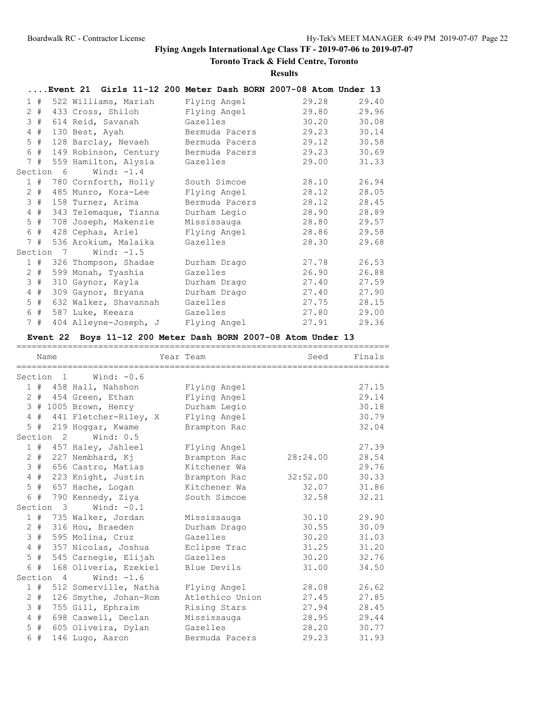# **Toronto Track & Field Centre, Toronto**

**Results**

|   |         |           | Event 21 Girls 11-12 200 Meter Dash BORN 2007-08 Atom Under 13 |                |       |       |
|---|---------|-----------|----------------------------------------------------------------|----------------|-------|-------|
|   |         |           | 1 # 522 Williams, Mariah                                       | Flying Angel   | 29.28 | 29.40 |
|   | $2 \pm$ |           | 433 Cross, Shiloh                                              | Flying Angel   | 29.80 | 29.96 |
|   | 3#      |           | 614 Reid, Savanah                                              | Gazelles       | 30.20 | 30.08 |
|   | $4$ #   |           | 130 Best, Ayah                                                 | Bermuda Pacers | 29.23 | 30.14 |
|   | $5$ #   |           | 128 Barclay, Nevaeh                                            | Bermuda Pacers | 29.12 | 30.58 |
|   | 6 #     |           | 149 Robinson, Century                                          | Bermuda Pacers | 29.23 | 30.69 |
|   |         |           | 7 # 559 Hamilton, Alysia                                       | Gazelles       | 29.00 | 31.33 |
|   |         | Section 6 | Wind: $-1.4$                                                   |                |       |       |
|   |         |           | 1 # 780 Cornforth, Holly                                       | South Simcoe   | 28.10 | 26.94 |
|   | $2$ #   |           | 485 Munro, Kora-Lee                                            | Flying Angel   | 28.12 | 28.05 |
|   | 3#      |           | 158 Turner, Arima                                              | Bermuda Pacers | 28.12 | 28.45 |
|   | 4#      |           | 343 Telemaque, Tianna                                          | Durham Legio   | 28.90 | 28.89 |
|   | $5$ #   |           | 708 Joseph, Makenzie                                           | Mississauga    | 28.80 | 29.57 |
|   | 6 #     |           | 428 Cephas, Ariel                                              | Flying Angel   | 28.86 | 29.58 |
|   |         |           | 7 # 536 Arokium, Malaika                                       | Gazelles       | 28.30 | 29.68 |
|   |         | Section 7 | Wind: $-1.5$                                                   |                |       |       |
|   |         |           | 1 # 326 Thompson, Shadae                                       | Durham Drago   | 27.78 | 26.53 |
| 2 | #       |           | 599 Monah, Tyashia                                             | Gazelles       | 26.90 | 26.88 |
|   | 3#      |           | 310 Gaynor, Kayla                                              | Durham Drago   | 27.40 | 27.59 |
|   | 4#      |           | 309 Gaynor, Bryana                                             | Durham Drago   | 27.40 | 27.90 |
|   | 5 #     |           | 632 Walker, Shavannah                                          | Gazelles       | 27.75 | 28.15 |
|   | 6#      |           | 587 Luke, Keeara                                               | Gazelles       | 27.80 | 29.00 |
|   | 7#      |           | 404 Alleyne-Joseph, J                                          | Flying Angel   | 27.91 | 29.36 |

# **Event 22 Boys 11-12 200 Meter Dash BORN 2007-08 Atom Under 13**

| Name                |                           | Year Team       | Seed     | Finals |
|---------------------|---------------------------|-----------------|----------|--------|
| Section 1           | Wind: $-0.6$              |                 |          |        |
|                     | 1 # 458 Hall, Nahshon     | Flying Angel    |          | 27.15  |
|                     | 2 # 454 Green, Ethan      | Flying Angel    |          | 29.14  |
|                     | 3 # 1005 Brown, Henry     | Durham Legio    |          | 30.18  |
|                     | 4 # 441 Fletcher-Riley, X | Flying Angel    |          | 30.79  |
|                     | 5 # 219 Hoggar, Kwame     | Brampton Rac    |          | 32.04  |
| Section 2           | Wind: 0.5                 |                 |          |        |
|                     | 1 # 457 Haley, Jahleel    | Flying Angel    |          | 27.39  |
| $2 +$               | 227 Nembhard, Kj          | Brampton Rac    | 28:24.00 | 28.54  |
|                     | 3 # 656 Castro, Matias    | Kitchener Wa    |          | 29.76  |
| 4#                  | 223 Knight, Justin        | Brampton Rac    | 32:52.00 | 30.33  |
| #<br>5              | 657 Hache, Logan          | Kitchener Wa    | 32.07    | 31.86  |
| 6 #                 | 790 Kennedy, Ziya         | South Simcoe    | 32.58    | 32.21  |
| Section 3           | Wind: $-0.1$              |                 |          |        |
|                     | 1 # 735 Walker, Jordan    | Mississauga     | 30.10    | 29.90  |
|                     | 2 # 316 Hou, Braeden      | Durham Drago    | 30.55    | 30.09  |
| 3#                  | 595 Molina, Cruz          | Gazelles        | 30.20    | 31.03  |
| 4#                  | 357 Nicolas, Joshua       | Eclipse Trac    | 31.25    | 31.20  |
|                     | 5 # 545 Carnegie, Elijah  | Gazelles        | 30.20    | 32.76  |
| 6 #                 | 168 Oliveria, Ezekiel     | Blue Devils     | 31.00    | 34.50  |
| Section 4           | Wind: $-1.6$              |                 |          |        |
|                     | 1 # 512 Somerville, Natha | Flying Angel    | 28.08    | 26.62  |
| $2 +$               | 126 Smythe, Johan-Rom     | Atlethico Union | 27.45    | 27.85  |
| 3#                  | 755 Gill, Ephraim         | Rising Stars    | 27.94    | 28.45  |
| #<br>$\overline{4}$ | 698 Caswell, Declan       | Mississauga     | 28.95    | 29.44  |
| 5#                  | 605 Oliveira, Dylan       | Gazelles        | 28.20    | 30.77  |
| 6 #                 | 146 Lugo, Aaron           | Bermuda Pacers  | 29.23    | 31.93  |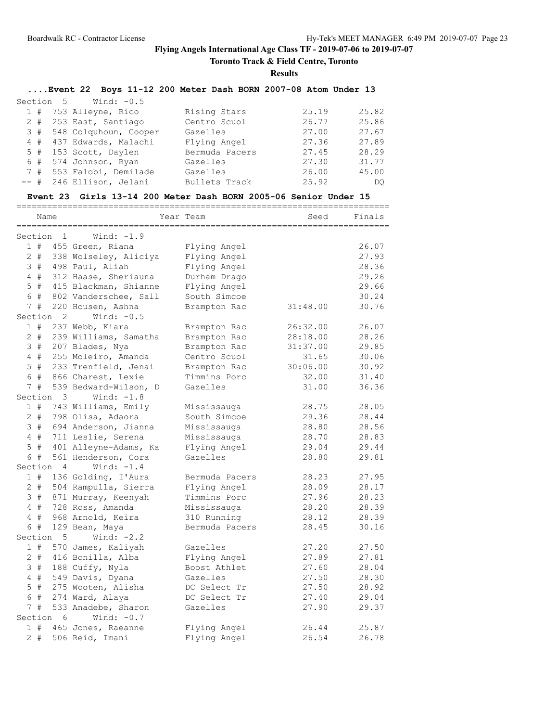**Toronto Track & Field Centre, Toronto**

**Results**

# **....Event 22 Boys 11-12 200 Meter Dash BORN 2007-08 Atom Under 13**

|  | Section 5 Wind: -0.5      |                |       |       |
|--|---------------------------|----------------|-------|-------|
|  | 1 # 753 Alleyne, Rico     | Rising Stars   | 25.19 | 25.82 |
|  | 2 # 253 East, Santiago    | Centro Scuol   | 26.77 | 25.86 |
|  | 3 # 548 Colquhoun, Cooper | Gazelles       | 27.00 | 27.67 |
|  | 4 # 437 Edwards, Malachi  | Flying Angel   | 27.36 | 27.89 |
|  | 5 # 153 Scott, Daylen     | Bermuda Pacers | 27.45 | 28.29 |
|  | 6 # 574 Johnson, Ryan     | Gazelles       | 27.30 | 31.77 |
|  | 7 # 553 Falobi, Demilade  | Gazelles       | 26.00 | 45.00 |
|  | -- # 246 Ellison, Jelani  | Bullets Track  | 25.92 | DO    |

#### **Event 23 Girls 13-14 200 Meter Dash BORN 2005-06 Senior Under 15**

|                | Name  |                      |                       | Year Team      | Seed     | Finals |
|----------------|-------|----------------------|-----------------------|----------------|----------|--------|
|                |       | Section 1            | Wind: $-1.9$          |                |          |        |
|                | 1#    |                      | 455 Green, Riana      | Flying Angel   |          | 26.07  |
|                | $2$ # |                      | 338 Wolseley, Aliciya | Flying Angel   |          | 27.93  |
|                | 3#    |                      | 498 Paul, Aliah       | Flying Angel   |          | 28.36  |
|                | 4#    |                      | 312 Haase, Sheriauna  | Durham Drago   |          | 29.26  |
|                | $5$ # |                      | 415 Blackman, Shianne | Flying Angel   |          | 29.66  |
|                | 6 #   |                      | 802 Vanderschee, Sall | South Simcoe   |          | 30.24  |
|                | 7#    |                      | 220 Housen, Ashna     | Brampton Rac   | 31:48.00 | 30.76  |
|                |       | Section <sub>2</sub> | Wind: $-0.5$          |                |          |        |
|                | 1#    |                      | 237 Webb, Kiara       | Brampton Rac   | 26:32.00 | 26.07  |
|                | $2 +$ |                      | 239 Williams, Samatha | Brampton Rac   | 28:18.00 | 28.26  |
|                | 3#    |                      | 207 Blades, Nya       | Brampton Rac   | 31:37.00 | 29.85  |
|                | $4$ # |                      | 255 Moleiro, Amanda   | Centro Scuol   | 31.65    | 30.06  |
|                | $5$ # |                      | 233 Trenfield, Jenai  | Brampton Rac   | 30:06.00 | 30.92  |
|                | 6 #   |                      | 866 Charest, Lexie    | Timmins Porc   | 32.00    | 31.40  |
| 7 <sup>7</sup> | #     |                      | 539 Bedward-Wilson, D | Gazelles       | 31.00    | 36.36  |
|                |       | Section 3            | Wind: $-1.8$          |                |          |        |
|                | 1#    |                      | 743 Williams, Emily   | Mississauga    | 28.75    | 28.05  |
|                | $2 +$ |                      | 798 Olisa, Adaora     | South Simcoe   | 29.36    | 28.44  |
|                | 3#    |                      | 694 Anderson, Jianna  | Mississauga    | 28.80    | 28.56  |
|                | 4#    |                      | 711 Leslie, Serena    | Mississauga    | 28.70    | 28.83  |
|                | $5$ # |                      | 401 Alleyne-Adams, Ka | Flying Angel   | 29.04    | 29.44  |
|                | 6 #   |                      | 561 Henderson, Cora   | Gazelles       | 28.80    | 29.81  |
|                |       | Section 4            | Wind: $-1.4$          |                |          |        |
|                | 1#    |                      | 136 Golding, I'Aura   | Bermuda Pacers | 28.23    | 27.95  |
|                | $2 +$ |                      | 504 Rampulla, Sierra  | Flying Angel   | 28.09    | 28.17  |
|                | 3#    |                      | 871 Murray, Keenyah   | Timmins Porc   | 27.96    | 28.23  |
|                | 4#    |                      | 728 Ross, Amanda      | Mississauga    | 28.20    | 28.39  |
| 4              | #     |                      | 968 Arnold, Keira     | 310 Running    | 28.12    | 28.39  |
|                | 6 #   |                      | 129 Bean, Maya        | Bermuda Pacers | 28.45    | 30.16  |
|                |       | Section 5            | Wind: $-2.2$          |                |          |        |
|                | 1#    |                      | 570 James, Kaliyah    | Gazelles       | 27.20    | 27.50  |
|                | $2 +$ |                      | 416 Bonilla, Alba     | Flying Angel   | 27.89    | 27.81  |
|                | 3#    |                      | 188 Cuffy, Nyla       | Boost Athlet   | 27.60    | 28.04  |
|                | $4$ # |                      | 549 Davis, Dyana      | Gazelles       | 27.50    | 28.30  |
|                | $5$ # |                      | 275 Wooten, Alisha    | DC Select Tr   | 27.50    | 28.92  |
|                | 6 #   |                      | 274 Ward, Alaya       | DC Select Tr   | 27.40    | 29.04  |
|                | 7#    |                      | 533 Anadebe, Sharon   | Gazelles       | 27.90    | 29.37  |
|                |       | Section 6            | Wind: $-0.7$          |                |          |        |
|                | 1#    |                      | 465 Jones, Raeanne    | Flying Angel   | 26.44    | 25.87  |
|                | $2 +$ |                      | 506 Reid, Imani       | Flying Angel   | 26.54    | 26.78  |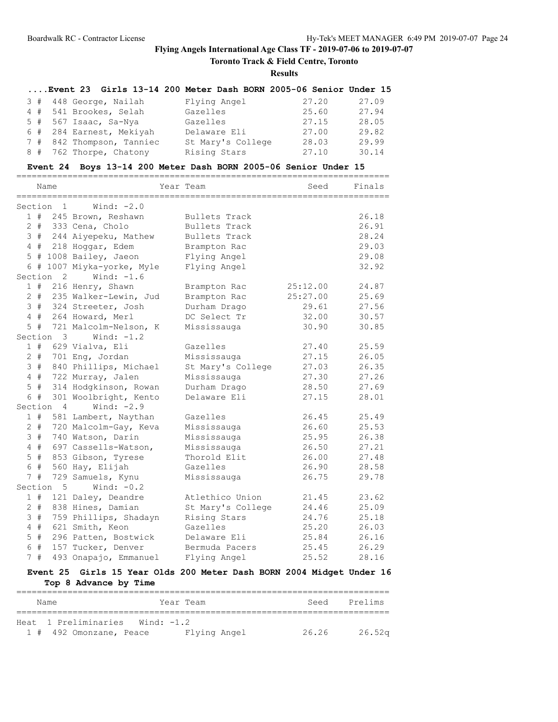**Toronto Track & Field Centre, Toronto**

**Results**

|  | Event 23 Girls 13-14 200 Meter Dash BORN 2005-06 Senior Under 15 |                   |       |       |
|--|------------------------------------------------------------------|-------------------|-------|-------|
|  | 3 # 448 George, Nailah                                           | Flying Angel      | 27.20 | 27.09 |
|  | 4 # 541 Brookes, Selah                                           | Gazelles          | 25.60 | 27.94 |
|  | $5$ # 567 Isaac, Sa-Nya                                          | Gazelles          | 27.15 | 28.05 |
|  | 6 # 284 Earnest, Mekiyah                                         | Delaware Eli      | 27.00 | 29.82 |
|  | 7 # 842 Thompson, Tanniec                                        | St Mary's College | 28.03 | 29.99 |
|  | 8 # 762 Thorpe, Chatony                                          | Rising Stars      | 27.10 | 30.14 |

# **Event 24 Boys 13-14 200 Meter Dash BORN 2005-06 Senior Under 15**

|                 |       | Name           |                        | Year Team         | Seed     | =======<br>Finals |
|-----------------|-------|----------------|------------------------|-------------------|----------|-------------------|
| Section         |       | 1              | Wind: $-2.0$           |                   |          |                   |
|                 | 1#    |                | 245 Brown, Reshawn     | Bullets Track     |          | 26.18             |
|                 | $2 +$ |                | 333 Cena, Cholo        | Bullets Track     |          | 26.91             |
| 3               | #     |                | 244 Aiyepeku, Mathew   | Bullets Track     |          | 28.24             |
|                 | 4#    |                | 218 Hoggar, Edem       | Brampton Rac      |          | 29.03             |
|                 |       |                | 5 # 1008 Bailey, Jaeon | Flying Angel      |          | 29.08             |
|                 | 6#    |                | 1007 Miyka-yorke, Myle | Flying Angel      |          | 32.92             |
| Section         |       | 2              | Wind: $-1.6$           |                   |          |                   |
|                 | 1#    |                | 216 Henry, Shawn       | Brampton Rac      | 25:12.00 | 24.87             |
|                 | $2 +$ |                | 235 Walker-Lewin, Jud  | Brampton Rac      | 25:27.00 | 25.69             |
|                 | 3#    |                | 324 Streeter, Josh     | Durham Drago      | 29.61    | 27.56             |
|                 | 4#    |                | 264 Howard, Merl       | DC Select Tr      | 32.00    | 30.57             |
|                 | $5$ # |                | 721 Malcolm-Nelson, K  | Mississauga       | 30.90    | 30.85             |
|                 |       | Section 3      | Wind: $-1.2$           |                   |          |                   |
|                 | 1#    |                | 629 Vialva, Eli        | Gazelles          | 27.40    | 25.59             |
|                 | $2 +$ |                | 701 Eng, Jordan        | Mississauga       | 27.15    | 26.05             |
| 3               | #     |                | 840 Phillips, Michael  | St Mary's College | 27.03    | 26.35             |
| $4\overline{ }$ | #     |                | 722 Murray, Jalen      | Mississauga       | 27.30    | 27.26             |
| 5               | $\#$  |                | 314 Hodgkinson, Rowan  | Durham Drago      | 28.50    | 27.69             |
| 6               | #     |                | 301 Woolbright, Kento  | Delaware Eli      | 27.15    | 28.01             |
| Section         |       | $\overline{4}$ | Wind: $-2.9$           |                   |          |                   |
|                 | 1#    |                | 581 Lambert, Naythan   | Gazelles          | 26.45    | 25.49             |
|                 | $2$ # |                | 720 Malcolm-Gay, Keva  | Mississauga       | 26.60    | 25.53             |
|                 | 3#    |                | 740 Watson, Darin      | Mississauga       | 25.95    | 26.38             |
| $4\overline{ }$ | #     |                | 697 Cassells-Watson,   | Mississauga       | 26.50    | 27.21             |
| 5               | $\#$  |                | 853 Gibson, Tyrese     | Thorold Elit      | 26.00    | 27.48             |
| 6               | #     |                | 560 Hay, Elijah        | Gazelles          | 26.90    | 28.58             |
| $7^{\circ}$     | #     |                | 729 Samuels, Kynu      | Mississauga       | 26.75    | 29.78             |
| Section         |       | 5              | Wind: $-0.2$           |                   |          |                   |
|                 | 1#    |                | 121 Daley, Deandre     | Atlethico Union   | 21.45    | 23.62             |
|                 | $2 +$ |                | 838 Hines, Damian      | St Mary's College | 24.46    | 25.09             |
| 3               | #     |                | 759 Phillips, Shadayn  | Rising Stars      | 24.76    | 25.18             |
| $\overline{4}$  | #     |                | 621 Smith, Keon        | Gazelles          | 25.20    | 26.03             |
| 5               | $\#$  |                | 296 Patten, Bostwick   | Delaware Eli      | 25.84    | 26.16             |
| 6               | #     |                | 157 Tucker, Denver     | Bermuda Pacers    | 25.45    | 26.29             |
| $7\overline{ }$ | #     |                | 493 Onapajo, Emmanuel  | Flying Angel      | 25.52    | 28.16             |

# **Event 25 Girls 15 Year Olds 200 Meter Dash BORN 2004 Midget Under 16 Top 8 Advance by Time**

| Name                    |            | Year Team    | Seed  | Prelims            |
|-------------------------|------------|--------------|-------|--------------------|
|                         |            |              |       |                    |
| Heat 1 Preliminaries    | Wind: -1.2 |              |       |                    |
| 1 # 492 Omonzane, Peace |            | Flying Angel | 26.26 | 26.52 <sub>q</sub> |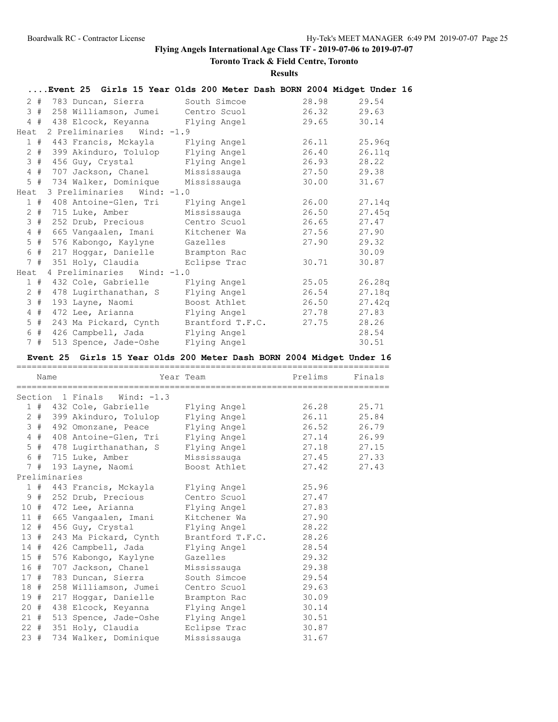**Toronto Track & Field Centre, Toronto**

**Results**

|       | Event 25 Girls 15 Year Olds 200 Meter Dash BORN 2004 Midget Under 16 |                  |       |             |
|-------|----------------------------------------------------------------------|------------------|-------|-------------|
|       | 2 # 783 Duncan, Sierra                                               | South Simcoe     | 28.98 | 29.54       |
|       | 3 # 258 Williamson, Jumei Centro Scuol                               |                  | 26.32 | 29.63       |
|       | 4 # 438 Elcock, Keyanna Flying Angel                                 |                  | 29.65 | 30.14       |
|       | Heat 2 Preliminaries Wind: -1.9                                      |                  |       |             |
|       | 1 # 443 Francis, Mckayla                                             | Flying Angel     | 26.11 | 25.96q      |
|       | 2 # 399 Akinduro, Tolulop                                            | Flying Angel     | 26.40 | 26.11q      |
| 3#    | 456 Guy, Crystal                                                     | Flying Angel     | 26.93 | 28.22       |
| 4#    | 707 Jackson, Chanel                                                  | Mississauga      |       | 27.50 29.38 |
|       | 5 # 734 Walker, Dominique                                            | Mississauga      | 30.00 | 31.67       |
| Heat  | 3 Preliminaries Wind: -1.0                                           |                  |       |             |
|       | 1 # 408 Antoine-Glen, Tri                                            | Flying Angel     | 26.00 | 27.14q      |
|       | 2 # 715 Luke, Amber                                                  | Mississauga      | 26.50 | 27.45q      |
| 3#    | 252 Drub, Precious                                                   | Centro Scuol     | 26.65 | 27.47       |
| 4#    | 665 Vangaalen, Imani                                                 | Kitchener Wa     | 27.56 | 27.90       |
| 5#    | 576 Kabongo, Kaylyne                                                 | Gazelles         | 27.90 | 29.32       |
| 6 #   | 217 Hoggar, Danielle                                                 | Brampton Rac     |       | 30.09       |
|       | 7 # 351 Holy, Claudia                                                | Eclipse Trac     | 30.71 | 30.87       |
| Heat  | 4 Preliminaries Wind: -1.0                                           |                  |       |             |
|       | 1 # 432 Cole, Gabrielle                                              | Flying Angel     | 25.05 | 26.28q      |
|       | 2 # 478 Lugirthanathan, S                                            | Flying Angel     | 26.54 | 27.18q      |
| 3#    | 193 Layne, Naomi                                                     | Boost Athlet     | 26.50 | 27.42q      |
| $4$ # | 472 Lee, Arianna                                                     | Flying Angel     | 27.78 | 27.83       |
| $5$ # | 243 Ma Pickard, Cynth                                                | Brantford T.F.C. | 27.75 | 28.26       |
|       | 6 # 426 Campbell, Jada                                               | Flying Angel     |       | 28.54       |
| 7#    | 513 Spence, Jade-Oshe                                                | Flying Angel     |       | 30.51       |

### **Event 25 Girls 15 Year Olds 200 Meter Dash BORN 2004 Midget Under 16**

|                | Name  |               |                             | Year Team                | Prelims | Finals |
|----------------|-------|---------------|-----------------------------|--------------------------|---------|--------|
|                |       |               | Section 1 Finals Wind: -1.3 |                          |         |        |
|                |       |               | 1 # 432 Cole, Gabrielle     | Flying Angel             | 26.28   | 25.71  |
| $\overline{2}$ | #     |               | 399 Akinduro, Tolulop       | Flying Angel             | 26.11   | 25.84  |
|                | 3#    |               | 492 Omonzane, Peace         | Flying Angel             | 26.52   | 26.79  |
|                | $4$ # |               | 408 Antoine-Glen, Tri       | Flying Angel             | 27.14   | 26.99  |
|                |       |               | 5 # 478 Lugirthanathan, S   | Flying Angel 27.18 27.15 |         |        |
|                |       |               | 6 # 715 Luke, Amber         | Mississauga 27.45 27.33  |         |        |
|                |       |               | 7 # 193 Layne, Naomi        | Boost Athlet             | 27.42   | 27.43  |
|                |       | Preliminaries |                             |                          |         |        |
|                |       |               | 1 # 443 Francis, Mckayla    | Flying Angel             | 25.96   |        |
|                |       |               | 9 # 252 Drub, Precious      | Centro Scuol             | 27.47   |        |
| 10#            |       |               | 472 Lee, Arianna            | Flying Angel 27.83       |         |        |
| $11$ #         |       |               | 665 Vangaalen, Imani        | Kitchener Wa 27.90       |         |        |
| 12#            |       |               | 456 Guy, Crystal            | Flying Angel             | 28.22   |        |
| 13#            |       |               | 243 Ma Pickard, Cynth       | Brantford T.F.C. 28.26   |         |        |
| 14#            |       |               | 426 Campbell, Jada          | Flying Angel             | 28.54   |        |
| 15#            |       |               | 576 Kabongo, Kaylyne        | Gazelles                 | 29.32   |        |
| 16#            |       |               | 707 Jackson, Chanel         | Mississauga              | 29.38   |        |
| 17#            |       |               | 783 Duncan, Sierra          | South Simcoe             | 29.54   |        |
| 18#            |       |               | 258 Williamson, Jumei       | Centro Scuol             | 29.63   |        |
| 19#            |       |               | 217 Hoqqar, Danielle        | Brampton Rac             | 30.09   |        |
| 20#            |       |               | 438 Elcock, Keyanna         | Flying Angel             | 30.14   |        |
| 21#            |       |               | 513 Spence, Jade-Oshe       | Flying Angel             | 30.51   |        |
| 22#            |       |               | 351 Holy, Claudia           | Eclipse Trac             | 30.87   |        |
| 23#            |       |               | 734 Walker, Dominique       | Mississauga              | 31.67   |        |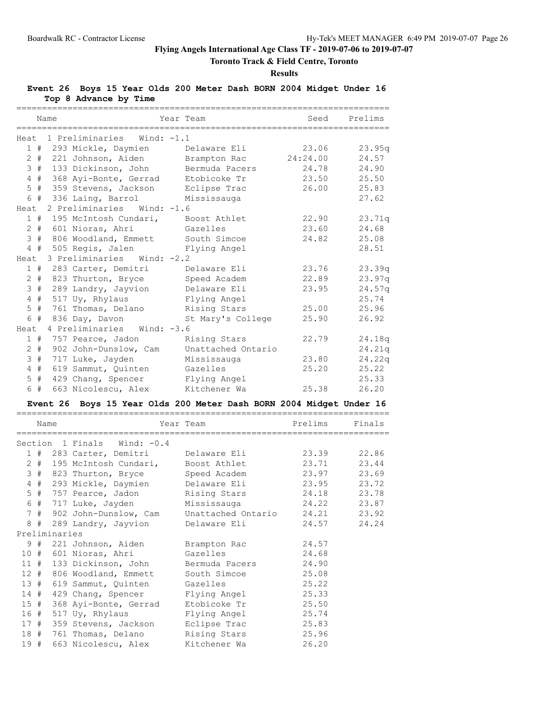# **Toronto Track & Field Centre, Toronto**

#### **Results**

### **Event 26 Boys 15 Year Olds 200 Meter Dash BORN 2004 Midget Under 16 Top 8 Advance by Time**

|                 |       | Name                                | Year Team          | Seed     | Prelims |
|-----------------|-------|-------------------------------------|--------------------|----------|---------|
|                 |       | Heat 1 Preliminaries Wind: -1.1     |                    |          |         |
|                 |       | 1 # 293 Mickle, Daymien             | Delaware Eli       | 23.06    | 23.95q  |
|                 |       | 2 # 221 Johnson, Aiden              | Brampton Rac       | 24:24.00 | 24.57   |
|                 | 3#    | 133 Dickinson, John                 | Bermuda Pacers     | 24.78    | 24.90   |
|                 | 4#    | 368 Ayi-Bonte, Gerrad               | Etobicoke Tr       | 23.50    | 25.50   |
|                 | $5$ # | 359 Stevens, Jackson                | Eclipse Trac       | 26.00    | 25.83   |
|                 | 6 #   | 336 Laing, Barrol                   | Mississauga        |          | 27.62   |
| Heat            |       | 2 Preliminaries Wind: -1.6          |                    |          |         |
|                 |       | 1 # 195 McIntosh Cundari,           | Boost Athlet       | 22.90    | 23.71q  |
|                 |       | 2 # 601 Nioras, Ahri                | Gazelles           | 23.60    | 24.68   |
| 3               |       | # 806 Woodland, Emmett South Simcoe |                    | 24.82    | 25.08   |
|                 |       | 4 # 505 Regis, Jalen                | Flying Angel       |          | 28.51   |
| Heat            |       | 3 Preliminaries Wind: -2.2          |                    |          |         |
|                 | 1#    | 283 Carter, Demitri                 | Delaware Eli       | 23.76    | 23.39q  |
|                 |       | 2 # 823 Thurton, Bryce              | Speed Academ       | 22.89    | 23.97q  |
| 3               | #     | 289 Landry, Jayvion                 | Delaware Eli       | 23.95    | 24.57q  |
|                 | 4#    | 517 Uy, Rhylaus                     | Flying Angel       |          | 25.74   |
| 5               | #     | 761 Thomas, Delano                  | Rising Stars       | 25.00    | 25.96   |
|                 |       | $6$ # 836 Day, Davon                | St Mary's College  | 25.90    | 26.92   |
| Heat            |       | 4 Preliminaries Wind: -3.6          |                    |          |         |
|                 | 1#    | 757 Pearce, Jadon                   | Rising Stars       | 22.79    | 24.18q  |
| $\mathbf{2}$    | #     | 902 John-Dunslow, Cam               | Unattached Ontario |          | 24.21q  |
| 3               | #     | 717 Luke, Jayden                    | Mississauga        | 23.80    | 24.22q  |
| $4\overline{ }$ | #     | 619 Sammut, Quinten                 | Gazelles           | 25.20    | 25.22   |
| 5               | #     | 429 Chang, Spencer                  | Flying Angel       |          | 25.33   |
|                 | 6 #   | 663 Nicolescu, Alex                 | Kitchener Wa       | 25.38    | 26.20   |

# **Event 26 Boys 15 Year Olds 200 Meter Dash BORN 2004 Midget Under 16**

|               | Name |  |                              |  | Year Team                                          | Prelims | Finals |  |
|---------------|------|--|------------------------------|--|----------------------------------------------------|---------|--------|--|
|               |      |  | Section 1 Finals Wind: -0.4  |  |                                                    |         |        |  |
|               |      |  |                              |  |                                                    |         |        |  |
|               |      |  |                              |  | 2 # 195 McIntosh Cundari, Boost Athlet 23.71 23.44 |         |        |  |
|               |      |  | 3 # 823 Thurton, Bryce       |  | Speed Academ 23.97 23.69                           |         |        |  |
|               |      |  |                              |  | 4 # 293 Mickle, Daymien belaware Eli (23.95 23.72  |         |        |  |
|               |      |  |                              |  | 5 # 757 Pearce, Jadon Rising Stars 24.18 23.78     |         |        |  |
|               |      |  |                              |  | 6 # 717 Luke, Jayden Mississauga 24.22 23.87       |         |        |  |
|               |      |  | 7 # 902 John-Dunslow, Cam    |  | Unattached Ontario 24.21 23.92                     |         |        |  |
|               |      |  | 8 # 289 Landry, Jayvion      |  | Delaware Eli                                       | 24.57   | 24.24  |  |
| Preliminaries |      |  |                              |  |                                                    |         |        |  |
|               |      |  |                              |  | 9 # 221 Johnson, Aiden Brampton Rac                | 24.57   |        |  |
|               |      |  | 10 # 601 Nioras, Ahri        |  | Gazelles                                           | 24.68   |        |  |
|               |      |  | 11 # 133 Dickinson, John     |  | Bermuda Pacers 24.90                               |         |        |  |
|               |      |  | 12 # 806 Woodland, Emmett    |  | South Simcoe 25.08                                 |         |        |  |
| 13#           |      |  | 619 Sammut, Quinten Gazelles |  | 25.22                                              |         |        |  |
|               |      |  | 14 # 429 Chang, Spencer      |  | Flying Angel 25.33                                 |         |        |  |
| 15#           |      |  |                              |  | 368 Ayi-Bonte, Gerrad Etobicoke Tr 25.50           |         |        |  |
|               | 16 # |  | 517 Uy, Rhylaus              |  | Flying Angel 25.74                                 |         |        |  |
|               |      |  | 17 # 359 Stevens, Jackson    |  | Eclipse Trac 25.83                                 |         |        |  |
|               |      |  | 18 # 761 Thomas, Delano      |  | Rising Stars 25.96                                 |         |        |  |
| 19#           |      |  | 663 Nicolescu, Alex          |  | Kitchener Wa                                       | 26.20   |        |  |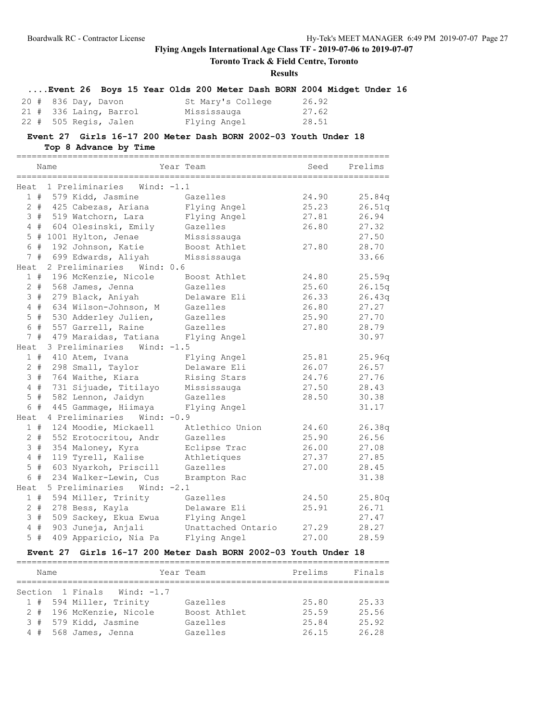**Toronto Track & Field Centre, Toronto**

### **Results**

|  |  |  |  |  | Event 26 Boys 15 Year Olds 200 Meter Dash BORN 2004 Midget Under 16 |  |
|--|--|--|--|--|---------------------------------------------------------------------|--|
|--|--|--|--|--|---------------------------------------------------------------------|--|

|  | 20 # 836 Day, Davon      | St Mary's College | 26.92 |
|--|--------------------------|-------------------|-------|
|  | $21$ # 336 Laing, Barrol | Mississauga       | 27.62 |
|  | 22 # 505 Regis, Jalen    | Flying Angel      | 28.51 |

### **Event 27 Girls 16-17 200 Meter Dash BORN 2002-03 Youth Under 18 Top 8 Advance by Time**

=========================================================================

|                  |       | Name         |                                 | Year Team          | Seed  | Prelims |
|------------------|-------|--------------|---------------------------------|--------------------|-------|---------|
|                  |       | ============ | Heat 1 Preliminaries Wind: -1.1 |                    |       |         |
|                  | 1#    |              | 579 Kidd, Jasmine               | Gazelles           | 24.90 | 25.84q  |
|                  | $2 +$ |              | 425 Cabezas, Ariana             | Flying Angel       | 25.23 | 26.51q  |
|                  | 3#    |              | 519 Watchorn, Lara              | Flying Angel       | 27.81 | 26.94   |
|                  | 4#    |              | 604 Olesinski, Emily            | Gazelles           | 26.80 | 27.32   |
| 5                |       |              | # 1001 Hylton, Jenae            | Mississauga        |       | 27.50   |
|                  | 6 #   |              | 192 Johnson, Katie              | Boost Athlet       | 27.80 | 28.70   |
|                  | 7#    |              | 699 Edwards, Aliyah             | Mississauga        |       | 33.66   |
| Heat             |       |              | 2 Preliminaries<br>Wind: 0.6    |                    |       |         |
|                  | 1#    |              | 196 McKenzie, Nicole            | Boost Athlet       | 24.80 | 25.59q  |
|                  | $2 +$ |              | 568 James, Jenna                | Gazelles           | 25.60 | 26.15q  |
|                  | 3#    |              | 279 Black, Aniyah               | Delaware Eli       | 26.33 | 26.43q  |
| 4                | #     |              | 634 Wilson-Johnson, M           | Gazelles           | 26.80 | 27.27   |
| 5                | #     |              | 530 Adderley Julien,            | Gazelles           | 25.90 | 27.70   |
| 6                | #     |              | 557 Garrell, Raine              | Gazelles           | 27.80 | 28.79   |
| 7 <sup>7</sup>   | #     |              | 479 Maraidas, Tatiana           | Flying Angel       |       | 30.97   |
| Heat             |       |              | 3 Preliminaries<br>Wind: $-1.5$ |                    |       |         |
|                  | 1#    |              | 410 Atem, Ivana                 | Flying Angel       | 25.81 | 25.96q  |
|                  | $2 +$ |              | 298 Small, Taylor               | Delaware Eli       | 26.07 | 26.57   |
|                  | 3#    |              | 764 Waithe, Kiara               | Rising Stars       | 24.76 | 27.76   |
| 4                | #     |              | 731 Sijuade, Titilayo           | Mississauga        | 27.50 | 28.43   |
| 5                | #     |              | 582 Lennon, Jaidyn              | Gazelles           | 28.50 | 30.38   |
|                  | 6 #   |              | 445 Gammage, Hiimaya            | Flying Angel       |       | 31.17   |
| Heat             |       |              | 4 Preliminaries<br>Wind: $-0.9$ |                    |       |         |
|                  | 1#    |              | 124 Moodie, Mickaell            | Atlethico Union    | 24.60 | 26.38q  |
|                  | $2 +$ |              | 552 Erotocritou, Andr           | Gazelles           | 25.90 | 26.56   |
| 3                | #     |              | 354 Maloney, Kyra               | Eclipse Trac       | 26.00 | 27.08   |
| $\overline{4}$   | $\#$  |              | 119 Tyrell, Kalise              | Athletiques        | 27.37 | 27.85   |
| 5                | $\#$  |              | 603 Nyarkoh, Priscill           | Gazelles           | 27.00 | 28.45   |
| $6 \overline{6}$ | #     |              | 234 Walker-Lewin, Cus           | Brampton Rac       |       | 31.38   |
| Heat             |       |              | Wind: $-2.1$<br>5 Preliminaries |                    |       |         |
|                  | 1#    |              | 594 Miller, Trinity             | Gazelles           | 24.50 | 25.80q  |
| $\overline{2}$   | $\#$  |              | 278 Bess, Kayla                 | Delaware Eli       | 25.91 | 26.71   |
| 3                | $\#$  |              | 509 Sackey, Ekua Ewua           | Flying Angel       |       | 27.47   |
| $\overline{4}$   | $\#$  |              | 903 Juneja, Anjali              | Unattached Ontario | 27.29 | 28.27   |
| 5                | #     |              | 409 Apparicio, Nia Pa           | Flying Angel       | 27.00 | 28.59   |

### **Event 27 Girls 16-17 200 Meter Dash BORN 2002-03 Youth Under 18**

| Name |  |                             | Year Team    | Prelims | Finals |  |  |  |  |  |
|------|--|-----------------------------|--------------|---------|--------|--|--|--|--|--|
|      |  |                             |              |         |        |  |  |  |  |  |
|      |  | Section 1 Finals Wind: -1.7 |              |         |        |  |  |  |  |  |
|      |  | 1 # 594 Miller, Trinity     | Gazelles     | 25.80   | 25.33  |  |  |  |  |  |
|      |  | 2 # 196 McKenzie, Nicole    | Boost Athlet | 25.59   | 25.56  |  |  |  |  |  |
|      |  | 3 # 579 Kidd, Jasmine       | Gazelles     | 25.84   | 25.92  |  |  |  |  |  |
|      |  | 4 # 568 James, Jenna        | Gazelles     | 26.15   | 26.28  |  |  |  |  |  |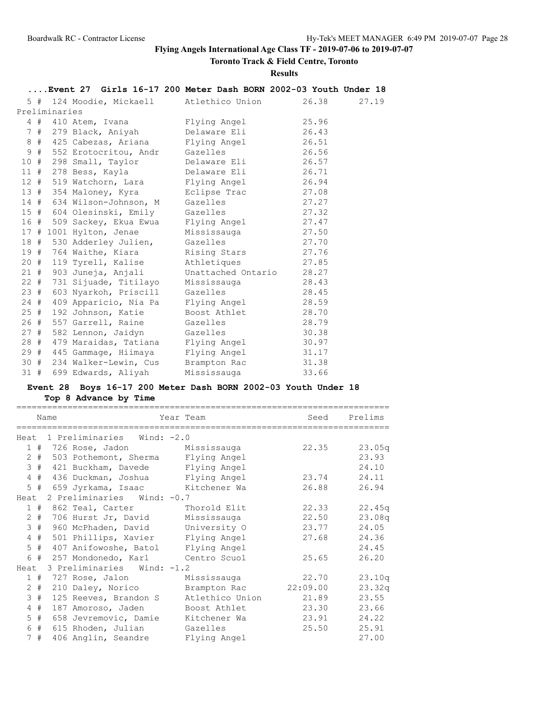# **Toronto Track & Field Centre, Toronto**

**Results**

|     |               | Event 27 Girls 16-17 200 Meter Dash BORN 2002-03 Youth Under 18 |                    |       |       |
|-----|---------------|-----------------------------------------------------------------|--------------------|-------|-------|
|     |               | 5 # 124 Moodie, Mickaell                                        | Atlethico Union    | 26.38 | 27.19 |
|     | Preliminaries |                                                                 |                    |       |       |
|     |               | 4 # 410 Atem, Ivana                                             | Flying Angel       | 25.96 |       |
|     |               | 7 # 279 Black, Aniyah                                           | Delaware Eli       | 26.43 |       |
|     |               | 8 # 425 Cabezas, Ariana                                         | Flying Angel       | 26.51 |       |
|     |               | 9 # 552 Erotocritou, Andr                                       | Gazelles           | 26.56 |       |
| 10# |               | 298 Small, Taylor                                               | Delaware Eli       | 26.57 |       |
|     |               | 11 # 278 Bess, Kayla                                            | Delaware Eli       | 26.71 |       |
|     |               | 12 # 519 Watchorn, Lara                                         | Flying Angel       | 26.94 |       |
|     |               | 13 # 354 Maloney, Kyra                                          | Eclipse Trac       | 27.08 |       |
|     |               | 14 # 634 Wilson-Johnson, M                                      | Gazelles           | 27.27 |       |
|     |               | 15 # 604 Olesinski, Emily                                       | Gazelles           | 27.32 |       |
|     |               | 16 # 509 Sackey, Ekua Ewua                                      | Flying Angel       | 27.47 |       |
|     |               | 17 # 1001 Hylton, Jenae                                         | Mississauga 27.50  |       |       |
|     |               | 18 # 530 Adderley Julien,                                       | Gazelles           | 27.70 |       |
|     |               | 19 # 764 Waithe, Kiara                                          | Rising Stars       | 27.76 |       |
|     |               | 20 # 119 Tyrell, Kalise                                         | Athletiques        | 27.85 |       |
| 21# |               | 903 Juneja, Anjali                                              | Unattached Ontario | 28.27 |       |
|     |               | 22 # 731 Sijuade, Titilayo                                      | Mississauga        | 28.43 |       |
|     |               | 23 # 603 Nyarkoh, Priscill                                      | Gazelles           | 28.45 |       |
|     |               | 24 # 409 Apparicio, Nia Pa                                      | Flying Angel       | 28.59 |       |
| 25# |               | 192 Johnson, Katie                                              | Boost Athlet       | 28.70 |       |
|     |               | 26 # 557 Garrell, Raine                                         | Gazelles           | 28.79 |       |
|     |               | 27 # 582 Lennon, Jaidyn                                         | Gazelles           | 30.38 |       |
|     |               | 28 # 479 Maraidas, Tatiana                                      | Flying Angel       | 30.97 |       |
|     |               | 29 # 445 Gammage, Hiimaya                                       | Flying Angel       | 31.17 |       |
|     |               | 30 # 234 Walker-Lewin, Cus                                      | Brampton Rac       | 31.38 |       |
| 31# |               | 699 Edwards, Aliyah                                             | Mississauga        | 33.66 |       |

# **Event 28 Boys 16-17 200 Meter Dash BORN 2002-03 Youth Under 18 Top 8 Advance by Time**

|                |           | Name |                                     | Year Team       | Seed     | Prelims |  |  |  |
|----------------|-----------|------|-------------------------------------|-----------------|----------|---------|--|--|--|
|                |           |      | Heat 1 Preliminaries Wind: -2.0     |                 |          |         |  |  |  |
|                |           |      | 1 # 726 Rose, Jadon Mississauga     |                 | 22.35    | 23.05q  |  |  |  |
|                | $2 \pm 1$ |      | 503 Pothemont, Sherma Flying Angel  |                 |          | 23.93   |  |  |  |
| $\mathcal{E}$  | #         |      | 421 Buckham, Davede Flying Angel    |                 |          | 24.10   |  |  |  |
|                | 4#        |      | 436 Duckman, Joshua Flying Angel    |                 | 23.74    | 24.11   |  |  |  |
|                |           |      | 5 # 659 Jyrkama, Isaac Kitchener Wa |                 | 26.88    | 26.94   |  |  |  |
| Heat           |           |      | 2 Preliminaries Wind: -0.7          |                 |          |         |  |  |  |
|                |           |      | 1 # 862 Teal, Carter                | Thorold Elit    | 22.33    | 22.45q  |  |  |  |
|                | $2$ #     |      | 706 Hurst Jr, David Mississauga     |                 | 22.50    | 23.08q  |  |  |  |
|                | 3#        |      | 960 McPhaden, David University O    |                 | 23.77    | 24.05   |  |  |  |
| $\overline{4}$ | #         |      | 501 Phillips, Xavier Flying Angel   |                 | 27.68    | 24.36   |  |  |  |
|                | $5$ #     |      | 407 Anifowoshe, Batol Flying Angel  |                 |          | 24.45   |  |  |  |
|                |           |      | 6 # 257 Mondonedo, Karl             | Centro Scuol    | 25.65    | 26.20   |  |  |  |
| Heat           |           |      | 3 Preliminaries Wind: -1.2          |                 |          |         |  |  |  |
|                |           |      | 1 # 727 Rose, Jalon Mississauga     |                 | 22.70    | 23.10q  |  |  |  |
|                | $2 +$     |      | 210 Daley, Norico                   | Brampton Rac    | 22:09.00 | 23.32q  |  |  |  |
|                | 3#        |      | 125 Reeves, Brandon S               | Atlethico Union | 21.89    | 23.55   |  |  |  |
| $\overline{4}$ | #         |      | 187 Amoroso, Jaden                  | Boost Athlet    | 23.30    | 23.66   |  |  |  |
|                | $5$ #     |      | 658 Jevremovic, Damie               | Kitchener Wa    | 23.91    | 24.22   |  |  |  |
| 6              | #         |      | 615 Rhoden, Julian                  | Gazelles        | 25.50    | 25.91   |  |  |  |
|                | 7#        |      | 406 Anglin, Seandre                 | Flying Angel    |          | 27.00   |  |  |  |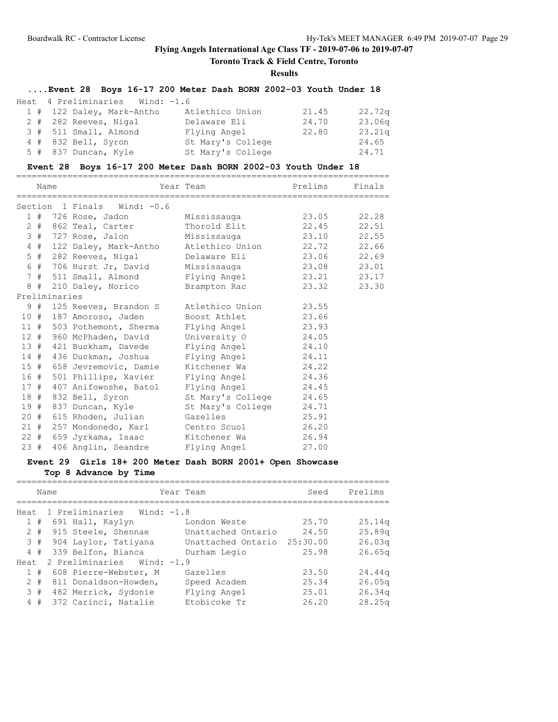**Toronto Track & Field Centre, Toronto**

### **Results**

# **....Event 28 Boys 16-17 200 Meter Dash BORN 2002-03 Youth Under 18**

| Heat 4 Preliminaries Wind: -1.6 |                   |       |                    |
|---------------------------------|-------------------|-------|--------------------|
| 1 # 122 Daley, Mark-Antho       | Atlethico Union   | 21.45 | 22.72q             |
| 2 # 282 Reeves, Nigal           | Delaware Eli      | 24.70 | 23.06 <sub>q</sub> |
| 3 # 511 Small, Almond           | Flying Angel      | 22.80 | 23.21q             |
| $4$ # 832 Bell, Syron           | St Mary's College |       | 24.65              |
| 5 # 837 Duncan, Kyle            | St Mary's College |       | 24.71              |

# **Event 28 Boys 16-17 200 Meter Dash BORN 2002-03 Youth Under 18**

|               | Name |                                          | Year Team                   | Prelims | Finals      |
|---------------|------|------------------------------------------|-----------------------------|---------|-------------|
|               |      | Section 1 Finals Wind: -0.6              |                             |         |             |
|               |      | 1 # 726 Rose, Jadon                      | Mississauga                 |         | 23.05 22.28 |
|               |      | 2 # 862 Teal, Carter                     | Thorold Elit 22.45 22.51    |         |             |
|               |      | 3 # 727 Rose, Jalon                      | Mississauga 23.10 22.55     |         |             |
|               |      | 4 # 122 Daley, Mark-Antho                | Atlethico Union 22.72 22.66 |         |             |
|               |      | 5 # 282 Reeves, Nigal                    | Delaware Eli 23.06 22.69    |         |             |
|               |      | 6 # 706 Hurst Jr, David                  | Mississauga 23.08 23.01     |         |             |
|               |      | 7 # 511 Small, Almond Flying Angel 23.21 |                             |         | 23.17       |
|               |      | 8 # 210 Daley, Norico                    | Brampton Rac                | 23.32   | 23.30       |
| Preliminaries |      |                                          |                             |         |             |
|               |      | 9 # 125 Reeves, Brandon S                | Atlethico Union             | 23.55   |             |
| 10 #          |      | 187 Amoroso, Jaden                       | Boost Athlet                | 23.66   |             |
|               |      | 11 # 503 Pothemont, Sherma               | Flying Angel 23.93          |         |             |
|               |      | 12 # 960 McPhaden, David                 | University O 24.05          |         |             |
| 13#           |      | 421 Buckham, Davede                      | Flying Angel 24.10          |         |             |
| 14#           |      | 436 Duckman, Joshua                      | Flying Angel 24.11          |         |             |
|               |      | 15 # 658 Jevremovic, Damie               | Kitchener Wa                | 24.22   |             |
| 16 #          |      | 501 Phillips, Xavier                     | Flying Angel 24.36          |         |             |
| 17#           |      | 407 Anifowoshe, Batol                    | Flying Angel 24.45          |         |             |
| 18 #          |      | 832 Bell, Syron                          | St Mary's College 24.65     |         |             |
| 19#           |      | 837 Duncan, Kyle                         | St Mary's College           | 24.71   |             |
| 20 #          |      | 615 Rhoden, Julian                       | Gazelles                    | 25.91   |             |
|               |      | 21 # 257 Mondonedo, Karl Centro Scuol    |                             | 26.20   |             |
| $22$ #        |      | 659 Jyrkama, Isaac                       | Kitchener Wa                | 26.94   |             |
| 23#           |      | 406 Anglin, Seandre Flying Angel         |                             | 27.00   |             |

# **Event 29 Girls 18+ 200 Meter Dash BORN 2001+ Open Showcase**

**Top 8 Advance by Time**

|      |       | Name |                            |  | Year Team          | Seed     | Prelims            |  |
|------|-------|------|----------------------------|--|--------------------|----------|--------------------|--|
| Heat |       |      | 1 Preliminaries Wind: -1.8 |  |                    |          |                    |  |
|      | 1#    |      | 691 Hall, Kaylyn           |  | London Weste       | 25.70    | 25.14 <sub>q</sub> |  |
|      | $2 +$ |      | 915 Steele, Shennae        |  | Unattached Ontario | 24.50    | 25.89 <sub>q</sub> |  |
|      | 3#    |      | 904 Laylor, Tatiyana       |  | Unattached Ontario | 25:30.00 | 26.03q             |  |
|      | 4#    |      | 339 Belfon, Bianca         |  | Durham Legio       | 25.98    | 26.65q             |  |
| Heat |       |      | 2 Preliminaries Wind: -1.9 |  |                    |          |                    |  |
|      | #     |      | 608 Pierre-Webster, M      |  | Gazelles           | 23.50    | 24.44 <sub>q</sub> |  |
|      | $2 +$ |      | 811 Donaldson-Howden,      |  | Speed Academ       | 25.34    | 26.05 <sub>q</sub> |  |
|      | 3#    |      | 482 Merrick, Sydonie       |  | Flying Angel       | 25.01    | 26.34q             |  |
|      | 4#    |      | 372 Carinci, Natalie       |  | Etobicoke Tr       | 26.20    | 28.25q             |  |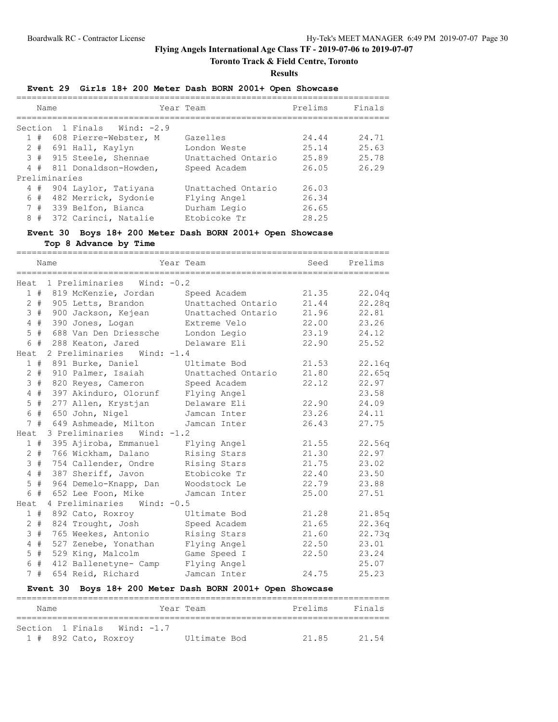# **Toronto Track & Field Centre, Toronto**

#### **Results**

### **Event 29 Girls 18+ 200 Meter Dash BORN 2001+ Open Showcase**

|                               | Name  |               |                         | Year Team          | Prelims | Finals |
|-------------------------------|-------|---------------|-------------------------|--------------------|---------|--------|
| Section 1 Finals Wind: $-2.9$ |       |               |                         |                    |         |        |
| $\mathbf{1}$                  | #     |               | 608 Pierre-Webster, M   | Gazelles           | 24.44   | 24.71  |
|                               | $2 +$ |               | 691 Hall, Kaylyn        | London Weste       | 25.14   | 25.63  |
|                               |       |               | 3 # 915 Steele, Shennae | Unattached Ontario | 25.89   | 25.78  |
|                               | 4#    |               | 811 Donaldson-Howden,   | Speed Academ       | 26.05   | 26.29  |
|                               |       | Preliminaries |                         |                    |         |        |
|                               | 4#    |               | 904 Laylor, Tatiyana    | Unattached Ontario | 26.03   |        |
|                               | 6 #   |               | 482 Merrick, Sydonie    | Flying Angel       | 26.34   |        |
|                               | 7#    |               | 339 Belfon, Bianca      | Durham Legio       | 26.65   |        |
| 8                             | #     |               | 372 Carinci, Natalie    | Etobicoke Tr       | 28.25   |        |
|                               |       |               |                         |                    |         |        |

**Event 30 Boys 18+ 200 Meter Dash BORN 2001+ Open Showcase Top 8 Advance by Time**

|                |       | Name<br>============ |                                   | ================================<br>Year Team<br>_________________________________ | Seed  | Prelims |
|----------------|-------|----------------------|-----------------------------------|------------------------------------------------------------------------------------|-------|---------|
|                |       |                      | Heat 1 Preliminaries Wind: $-0.2$ |                                                                                    |       |         |
|                |       |                      | 1 # 819 McKenzie, Jordan          | Speed Academ                                                                       | 21.35 | 22.04q  |
|                | $2 +$ |                      | 905 Letts, Brandon                | Unattached Ontario                                                                 | 21.44 | 22.28q  |
|                | 3#    |                      | 900 Jackson, Kejean               | Unattached Ontario                                                                 | 21.96 | 22.81   |
|                | $4$ # |                      | 390 Jones, Logan                  | Extreme Velo                                                                       | 22.00 | 23.26   |
|                | $5$ # |                      | 688 Van Den Driessche             | London Legio                                                                       | 23.19 | 24.12   |
|                | 6 #   |                      | 288 Keaton, Jared                 | Delaware Eli                                                                       | 22.90 | 25.52   |
| Heat           |       |                      | 2 Preliminaries Wind: -1.4        |                                                                                    |       |         |
|                | 1#    |                      | 891 Burke, Daniel                 | Ultimate Bod                                                                       | 21.53 | 22.16q  |
|                | $2 +$ |                      | 910 Palmer, Isaiah                | Unattached Ontario                                                                 | 21.80 | 22.65q  |
|                | 3#    |                      | 820 Reyes, Cameron                | Speed Academ                                                                       | 22.12 | 22.97   |
|                | 4#    |                      | 397 Akinduro, Olorunf             | Flying Angel                                                                       |       | 23.58   |
| 5              | #     |                      | 277 Allen, Krystjan               | Delaware Eli                                                                       | 22.90 | 24.09   |
| 6              | #     |                      | 650 John, Nigel                   | Jamcan Inter                                                                       | 23.26 | 24.11   |
|                | 7#    |                      | 649 Ashmeade, Milton              | Jamcan Inter                                                                       | 26.43 | 27.75   |
| Heat           |       |                      | 3 Preliminaries Wind: -1.2        |                                                                                    |       |         |
|                | 1#    |                      | 395 Ajiroba, Emmanuel             | Flying Angel                                                                       | 21.55 | 22.56q  |
|                | $2 +$ |                      | 766 Wickham, Dalano               | Rising Stars                                                                       | 21.30 | 22.97   |
| 3              | #     |                      | 754 Callender, Ondre              | Rising Stars                                                                       | 21.75 | 23.02   |
| 4              | #     |                      | 387 Sheriff, Javon                | Etobicoke Tr                                                                       | 22.40 | 23.50   |
| 5              | #     |                      | 964 Demelo-Knapp, Dan             | Woodstock Le                                                                       | 22.79 | 23.88   |
|                | 6 #   |                      | 652 Lee Foon, Mike                | Jamcan Inter                                                                       | 25.00 | 27.51   |
| Heat           |       |                      | 4 Preliminaries Wind: -0.5        |                                                                                    |       |         |
|                | 1#    |                      | 892 Cato, Roxroy                  | Ultimate Bod                                                                       | 21.28 | 21.85q  |
|                | $2 +$ |                      | 824 Trought, Josh                 | Speed Academ                                                                       | 21.65 | 22.36q  |
| 3              | #     |                      | 765 Weekes, Antonio               | Rising Stars                                                                       | 21.60 | 22.73q  |
| $\overline{4}$ | #     |                      | 527 Zenebe, Yonathan              | Flying Angel                                                                       | 22.50 | 23.01   |
| 5              | #     |                      | 529 King, Malcolm                 | Game Speed I                                                                       | 22.50 | 23.24   |
| 6              | #     |                      | 412 Ballenetyne- Camp             | Flying Angel                                                                       |       | 25.07   |
|                | 7#    |                      | 654 Reid, Richard                 | Jamcan Inter                                                                       | 24.75 | 25.23   |
|                |       | Event 30             |                                   | Boys 18+ 200 Meter Dash BORN 2001+ Open Showcase                                   |       |         |

| Name             |                        | Year Team    | Prelims | Finals |
|------------------|------------------------|--------------|---------|--------|
|                  |                        |              |         |        |
| Section 1 Finals | Wind: -1.7             |              |         |        |
|                  | $1$ # 892 Cato, Roxroy | Ultimate Bod | 2185    | 21 54  |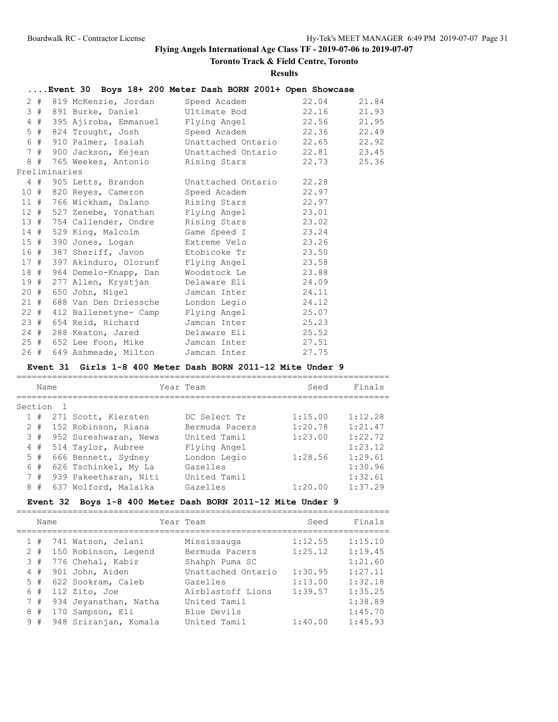# **Toronto Track & Field Centre, Toronto**

#### **Results**

|  |               |                            | Event 30 Boys 18+ 200 Meter Dash BORN 2001+ Open Showcase |       |       |
|--|---------------|----------------------------|-----------------------------------------------------------|-------|-------|
|  |               | 2 # 819 McKenzie, Jordan   | Speed Academ 22.04                                        |       | 21.84 |
|  |               |                            | 3 # 891 Burke, Daniel Ultimate Bod 22.16                  |       | 21.93 |
|  |               |                            | 4 # 395 Ajiroba, Emmanuel Flying Angel 22.56              |       | 21.95 |
|  |               |                            | 5 # 824 Trought, Josh Speed Academ 22.36                  |       | 22.49 |
|  |               |                            | 6 # 910 Palmer, Isaiah Unattached Ontario 22.65           |       | 22.92 |
|  |               |                            | 7 # 900 Jackson, Kejean Unattached Ontario 22.81          |       | 23.45 |
|  |               |                            |                                                           | 22.73 | 25.36 |
|  | Preliminaries |                            |                                                           |       |       |
|  |               |                            | 4 # 905 Letts, Brandon Unattached Ontario 22.28           |       |       |
|  |               |                            | 10 # 820 Reyes, Cameron Speed Academ 22.97                |       |       |
|  |               |                            | 11 # 766 Wickham, Dalano Rising Stars 22.97               |       |       |
|  |               |                            | 12 # 527 Zenebe, Yonathan Flying Angel 23.01              |       |       |
|  |               |                            | 13 # 754 Callender, Ondre Rising Stars 23.02              |       |       |
|  |               |                            | 14 # 529 King, Malcolm Game Speed I 23.24                 |       |       |
|  |               |                            | 15 # 390 Jones, Logan Extreme Velo 23.26                  |       |       |
|  |               |                            | 16 # 387 Sheriff, Javon Btobicoke Tr 23.50                |       |       |
|  |               |                            | 17 # 397 Akinduro, Olorunf Flying Angel 23.58             |       |       |
|  |               | 18 # 964 Demelo-Knapp, Dan | Woodstock Le 23.88                                        |       |       |
|  |               |                            | 19 # 277 Allen, Krystjan Delaware Eli 24.09               |       |       |
|  |               | 20 # 650 John, Nigel       | Jamcan Inter 24.11                                        |       |       |
|  |               | 21 # 688 Van Den Driessche | London Legio 24.12                                        |       |       |
|  |               |                            | 22 # 412 Ballenetyne- Camp Flying Angel 25.07             |       |       |
|  |               |                            | 23 # 654 Reid, Richard Jamcan Inter 25.23                 |       |       |
|  |               |                            | 24 # 288 Keaton, Jared Delaware Eli 25.52                 |       |       |
|  |               |                            | 25 # 652 Lee Foon, Mike Jamcan Inter 27.51                |       |       |
|  |               |                            | 26 # 649 Ashmeade, Milton Jamcan Inter                    | 27.75 |       |

# **Event 31 Girls 1-8 400 Meter Dash BORN 2011-12 Mite Under 9**

|   | Name    |  |                       |  | Year Team      |  | Seed    | Finals  |  |  |
|---|---------|--|-----------------------|--|----------------|--|---------|---------|--|--|
|   | Section |  |                       |  |                |  |         |         |  |  |
|   | 1#      |  | 271 Scott, Kiersten   |  | DC Select Tr   |  | 1:15.00 | 1:12.28 |  |  |
|   | $2 +$   |  | 152 Robinson, Riana   |  | Bermuda Pacers |  | 1:20.78 | 1:21.47 |  |  |
|   | 3#      |  | 952 Sureshwaran, News |  | United Tamil   |  | 1:23.00 | 1:22.72 |  |  |
|   | 4#      |  | 514 Taylor, Aubree    |  | Flying Angel   |  |         | 1:23.12 |  |  |
|   | 5#      |  | 666 Bennett, Sydney   |  | London Legio   |  | 1:28.56 | 1:29.61 |  |  |
|   | 6#      |  | 626 Tschinkel, My La  |  | Gazelles       |  |         | 1:30.96 |  |  |
|   | #       |  | 939 Pakeetharan, Niti |  | United Tamil   |  |         | 1:32.61 |  |  |
| 8 | #       |  | 637 Wolford, Malaika  |  | Gazelles       |  | 1:20.00 | 1:37.29 |  |  |

=========================================================================

# **Event 32 Boys 1-8 400 Meter Dash BORN 2011-12 Mite Under 9**

|   | Name  |                       | Year Team          | Seed    | Finals  |
|---|-------|-----------------------|--------------------|---------|---------|
|   | #     | 741 Watson, Jelani    | Mississauga        | 1:12.55 | 1:15.10 |
|   | $2 +$ | 150 Robinson, Legend  | Bermuda Pacers     | 1:25.12 | 1:19.45 |
| 3 | #     | 776 Chehal, Kabir     | Shahph Puma SC     |         | 1:21.60 |
| 4 | #     | 901 John, Aiden       | Unattached Ontario | 1:30.95 | 1:27.11 |
| 5 | #     | 622 Sookram, Caleb    | Gazelles           | 1:13.00 | 1:32.18 |
| 6 | #     | 112 Zito, Joe         | Airblastoff Lions  | 1:39.57 | 1:35.25 |
|   | 7#    | 934 Jevanathan, Natha | United Tamil       |         | 1:38.89 |
| 8 | #     | 170 Sampson, Eli      | Blue Devils        |         | 1:45.70 |
|   | 9#    | 948 Sriranjan, Komala | United Tamil       | 1:40.00 | 1:45.93 |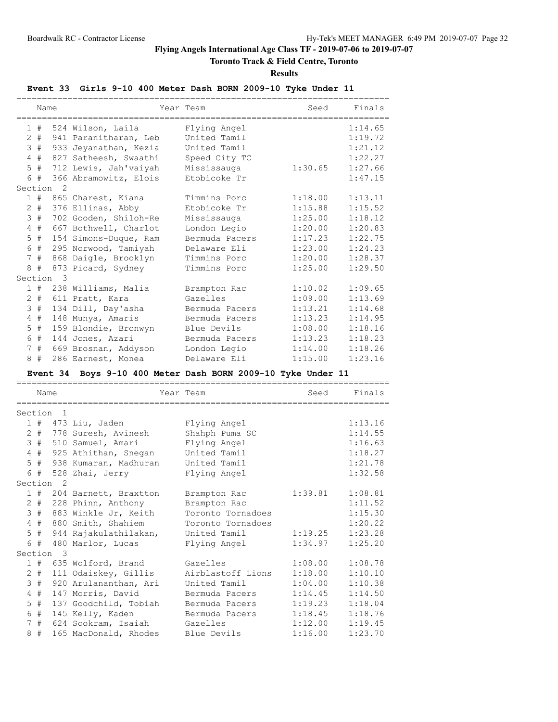# **Toronto Track & Field Centre, Toronto**

**Results**

# **Event 33 Girls 9-10 400 Meter Dash BORN 2009-10 Tyke Under 11**

|                 | Name |    |                       | Year Team      | Seed    | Finals  |
|-----------------|------|----|-----------------------|----------------|---------|---------|
|                 |      |    | 1 # 524 Wilson, Laila | Flying Angel   |         | 1:14.65 |
| 2               | #    |    | 941 Paranitharan, Leb | United Tamil   |         | 1:19.72 |
| 3               | #    |    | 933 Jeyanathan, Kezia | United Tamil   |         | 1:21.12 |
| $\overline{4}$  | #    |    | 827 Satheesh, Swaathi | Speed City TC  |         | 1:22.27 |
| 5               | #    |    | 712 Lewis, Jah'vaiyah | Mississauga    | 1:30.65 | 1:27.66 |
|                 | 6#   |    | 366 Abramowitz, Elois | Etobicoke Tr   |         | 1:47.15 |
| Section         |      | 2  |                       |                |         |         |
|                 | 1#   |    | 865 Charest, Kiana    | Timmins Porc   | 1:18.00 | 1:13.11 |
| $\overline{2}$  | #    |    | 376 Ellinas, Abby     | Etobicoke Tr   | 1:15.88 | 1:15.52 |
| 3               | #    |    | 702 Gooden, Shiloh-Re | Mississauga    | 1:25.00 | 1:18.12 |
| 4               | #    |    | 667 Bothwell, Charlot | London Legio   | 1:20.00 | 1:20.83 |
| 5               | #    |    | 154 Simons-Duque, Ram | Bermuda Pacers | 1:17.23 | 1:22.75 |
| 6               | #    |    | 295 Norwood, Tamiyah  | Delaware Eli   | 1:23.00 | 1:24.23 |
| $7\phantom{.0}$ | #    |    | 868 Daigle, Brooklyn  | Timmins Porc   | 1:20.00 | 1:28.37 |
| 8               | #    |    | 873 Picard, Sydney    | Timmins Porc   | 1:25.00 | 1:29.50 |
| Section         |      | -3 |                       |                |         |         |
|                 | 1#   |    | 238 Williams, Malia   | Brampton Rac   | 1:10.02 | 1:09.65 |
| $\overline{2}$  | #    |    | 611 Pratt, Kara       | Gazelles       | 1:09.00 | 1:13.69 |
| $\mathcal{S}$   | #    |    | 134 Dill, Day'asha    | Bermuda Pacers | 1:13.21 | 1:14.68 |
| 4               | #    |    | 148 Munya, Amaris     | Bermuda Pacers | 1:13.23 | 1:14.95 |
| 5               | #    |    | 159 Blondie, Bronwyn  | Blue Devils    | 1:08.00 | 1:18.16 |
| 6               | #    |    | 144 Jones, Azari      | Bermuda Pacers | 1:13.23 | 1:18.23 |
| 7               | #    |    | 669 Brosnan, Addyson  | London Legio   | 1:14.00 | 1:18.26 |
| 8               | #    |    | 286 Earnest, Monea    | Delaware Eli   | 1:15.00 | 1:23.16 |

# **Event 34 Boys 9-10 400 Meter Dash BORN 2009-10 Tyke Under 11**

|                 | Name    |                      |                       |  | Year Team         | Seed                | Finals  |  |
|-----------------|---------|----------------------|-----------------------|--|-------------------|---------------------|---------|--|
|                 |         |                      |                       |  |                   |                     |         |  |
| Section 1       |         |                      |                       |  |                   |                     |         |  |
|                 |         |                      | $1$ # 473 Liu, Jaden  |  | Flying Angel      |                     | 1:13.16 |  |
|                 | $2 \pm$ |                      | 778 Suresh, Avinesh   |  | Shahph Puma SC    |                     | 1:14.55 |  |
|                 | 3#      |                      | 510 Samuel, Amari     |  | Flying Angel      |                     | 1:16.63 |  |
|                 | $4$ #   |                      | 925 Athithan, Snegan  |  | United Tamil      |                     | 1:18.27 |  |
|                 | $5$ #   |                      | 938 Kumaran, Madhuran |  | United Tamil      |                     | 1:21.78 |  |
|                 | 6 #     |                      | 528 Zhai, Jerry       |  | Flying Angel      |                     | 1:32.58 |  |
|                 |         | Section <sub>2</sub> |                       |  |                   |                     |         |  |
|                 | 1#      |                      | 204 Barnett, Braxtton |  | Brampton Rac      | $1:39.81$ $1:08.81$ |         |  |
| $\overline{2}$  | #       |                      | 228 Phinn, Anthony    |  | Brampton Rac      |                     | 1:11.52 |  |
| 3               | #       |                      | 883 Winkle Jr, Keith  |  | Toronto Tornadoes |                     | 1:15.30 |  |
| $4\overline{ }$ | #       |                      | 880 Smith, Shahiem    |  | Toronto Tornadoes |                     | 1:20.22 |  |
|                 | $5$ #   |                      | 944 Rajakulathilakan, |  | United Tamil      | 1:19.25             | 1:23.28 |  |
|                 | 6#      |                      | 480 Marlor, Lucas     |  | Flying Angel      | 1:34.97             | 1:25.20 |  |
|                 |         | Section 3            |                       |  |                   |                     |         |  |
|                 | 1#      |                      | 635 Wolford, Brand    |  | Gazelles          | 1:08.00             | 1:08.78 |  |
| $\overline{2}$  | #       |                      | 111 Odaiskey, Gillis  |  | Airblastoff Lions | 1:18.00             | 1:10.10 |  |
| 3               | #       |                      | 920 Arulananthan, Ari |  | United Tamil      | 1:04.00             | 1:10.38 |  |
| $\overline{4}$  | #       |                      | 147 Morris, David     |  | Bermuda Pacers    | 1:14.45             | 1:14.50 |  |
| 5               | #       |                      | 137 Goodchild, Tobiah |  | Bermuda Pacers    | 1:19.23             | 1:18.04 |  |
|                 | 6#      |                      | 145 Kelly, Kaden      |  | Bermuda Pacers    | 1:18.45             | 1:18.76 |  |
| $7^{\circ}$     | #       |                      | 624 Sookram, Isaiah   |  | Gazelles          | 1:12.00             | 1:19.45 |  |
| 8               | #       |                      | 165 MacDonald, Rhodes |  | Blue Devils       | 1:16.00             | 1:23.70 |  |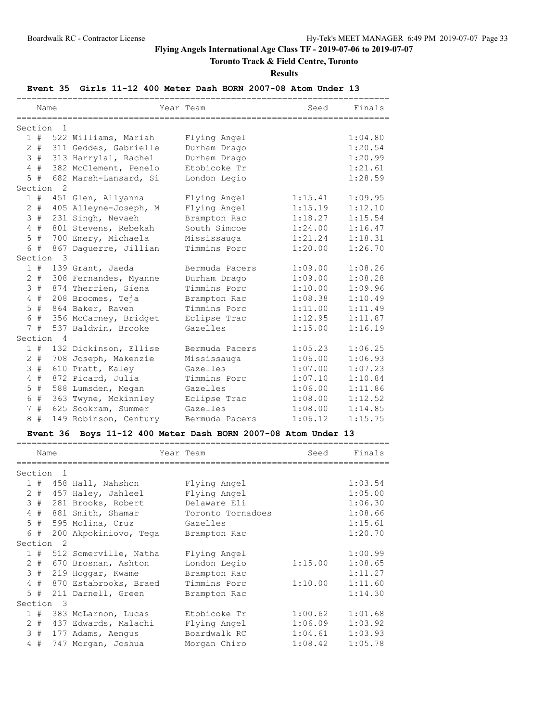# **Toronto Track & Field Centre, Toronto**

### **Results**

# **Event 35 Girls 11-12 400 Meter Dash BORN 2007-08 Atom Under 13**

|                |       |                      |                       | ,,,,,,,,,,,,,,,,,,,,,,,,,, |         |         |
|----------------|-------|----------------------|-----------------------|----------------------------|---------|---------|
|                | Name  |                      |                       | Year Team                  | Seed    | Finals  |
|                |       |                      |                       |                            |         |         |
| Section        |       | -1                   |                       |                            |         |         |
|                | 1#    |                      | 522 Williams, Mariah  | Flying Angel               |         | 1:04.80 |
| $\overline{2}$ | #     |                      | 311 Geddes, Gabrielle | Durham Drago               |         | 1:20.54 |
| 3              | #     |                      | 313 Harrylal, Rachel  | Durham Drago               |         | 1:20.99 |
| $\overline{4}$ | #     |                      | 382 McClement, Penelo | Etobicoke Tr               |         | 1:21.61 |
| 5              | #     |                      | 682 Marsh-Lansard, Si | London Legio               |         | 1:28.59 |
|                |       | Section <sub>2</sub> |                       |                            |         |         |
|                | 1#    |                      | 451 Glen, Allyanna    | Flying Angel               | 1:15.41 | 1:09.95 |
|                | $2$ # |                      | 405 Alleyne-Joseph, M | Flying Angel               | 1:15.19 | 1:12.10 |
| 3              | #     |                      | 231 Singh, Nevaeh     | Brampton Rac               | 1:18.27 | 1:15.54 |
| $\overline{4}$ | #     |                      | 801 Stevens, Rebekah  | South Simcoe               | 1:24.00 | 1:16.47 |
| $\mathsf S$    | $\#$  |                      | 700 Emery, Michaela   | Mississauga                | 1:21.24 | 1:18.31 |
|                | 6 #   |                      | 867 Daquerre, Jillian | Timmins Porc               | 1:20.00 | 1:26.70 |
| Section        |       | -3                   |                       |                            |         |         |
|                | 1#    |                      | 139 Grant, Jaeda      | Bermuda Pacers             | 1:09.00 | 1:08.26 |
|                | $2 +$ |                      | 308 Fernandes, Myanne | Durham Drago               | 1:09.00 | 1:08.28 |
| 3              | $\#$  |                      | 874 Therrien, Siena   | Timmins Porc               | 1:10.00 | 1:09.96 |
| 4              | $\#$  |                      | 208 Broomes, Teja     | Brampton Rac               | 1:08.38 | 1:10.49 |
| 5              | #     |                      | 864 Baker, Raven      | Timmins Porc               | 1:11.00 | 1:11.49 |
| 6              | $\#$  |                      | 356 McCarney, Bridget | Eclipse Trac               | 1:12.95 | 1:11.87 |
|                | 7#    |                      | 537 Baldwin, Brooke   | Gazelles                   | 1:15.00 | 1:16.19 |
|                |       | Section 4            |                       |                            |         |         |
|                | 1#    |                      | 132 Dickinson, Ellise | Bermuda Pacers             | 1:05.23 | 1:06.25 |
|                | $2 +$ |                      | 708 Joseph, Makenzie  | Mississauga                | 1:06.00 | 1:06.93 |
| 3              | $\#$  |                      | 610 Pratt, Kaley      | Gazelles                   | 1:07.00 | 1:07.23 |
| 4              | $\#$  |                      | 872 Picard, Julia     | Timmins Porc               | 1:07.10 | 1:10.84 |
| 5              | $\#$  |                      | 588 Lumsden, Megan    | Gazelles                   | 1:06.00 | 1:11.86 |
| 6              | #     |                      | 363 Twyne, Mckinnley  | Eclipse Trac               | 1:08.00 | 1:12.52 |
| 7              | $\#$  |                      | 625 Sookram, Summer   | Gazelles                   | 1:08.00 | 1:14.85 |
| 8              | #     |                      | 149 Robinson, Century | Bermuda Pacers             | 1:06.12 | 1:15.75 |

# **Event 36 Boys 11-12 400 Meter Dash BORN 2007-08 Atom Under 13**

| Name  |                      |                       | Year Team         | Seed    | Finals  |  |
|-------|----------------------|-----------------------|-------------------|---------|---------|--|
|       |                      |                       |                   |         |         |  |
|       | Section <sub>1</sub> |                       |                   |         |         |  |
|       |                      | 1 # 458 Hall, Nahshon | Flying Angel      |         | 1:03.54 |  |
| $2 +$ |                      | 457 Haley, Jahleel    | Flying Angel      |         | 1:05.00 |  |
| 3#    |                      | 281 Brooks, Robert    | Delaware Eli      |         | 1:06.30 |  |
| 4#    |                      | 881 Smith, Shamar     | Toronto Tornadoes |         | 1:08.66 |  |
| $5$ # |                      | 595 Molina, Cruz      | Gazelles          |         | 1:15.61 |  |
| 6#    |                      | 200 Akpokiniovo, Tega | Brampton Rac      |         | 1:20.70 |  |
|       | Section <sub>2</sub> |                       |                   |         |         |  |
| 1#    |                      | 512 Somerville, Natha | Flying Angel      |         | 1:00.99 |  |
| $2 +$ |                      | 670 Brosnan, Ashton   | London Legio      | 1:15.00 | 1:08.65 |  |
| 3#    |                      | 219 Hoqqar, Kwame     | Brampton Rac      |         | 1:11.27 |  |
| 4#    |                      | 870 Estabrooks, Braed | Timmins Porc      | 1:10.00 | 1:11.60 |  |
| $5$ # |                      | 211 Darnell, Green    | Brampton Rac      |         | 1:14.30 |  |
|       | Section 3            |                       |                   |         |         |  |
| 1#    |                      | 383 McLarnon, Lucas   | Etobicoke Tr      | 1:00.62 | 1:01.68 |  |
| $2 +$ |                      | 437 Edwards, Malachi  | Flying Angel      | 1:06.09 | 1:03.92 |  |
| 3#    |                      | 177 Adams, Aengus     | Boardwalk RC      | 1:04.61 | 1:03.93 |  |
| 4#    |                      | 747 Morgan, Joshua    | Morgan Chiro      | 1:08.42 | 1:05.78 |  |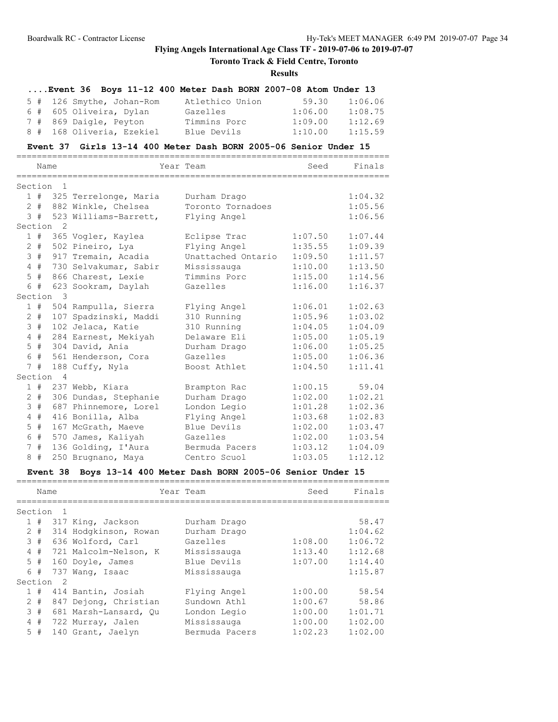# **Toronto Track & Field Centre, Toronto**

### **Results**

|  |                           | Event 36 Boys 11-12 400 Meter Dash BORN 2007-08 Atom Under 13 |         |         |
|--|---------------------------|---------------------------------------------------------------|---------|---------|
|  | 5 # 126 Smythe, Johan-Rom | Atlethico Union                                               | 59.30   | 1:06.06 |
|  | 6 # 605 Oliveira, Dylan   | Gazelles                                                      | 1:06.00 | 1:08.75 |
|  | 7 # 869 Daigle, Peyton    | Timmins Porc                                                  | 1:09.00 | 1:12.69 |
|  | 8 # 168 Oliveria, Ezekiel | Blue Devils                                                   | 1:10.00 | 1:15.59 |

### **Event 37 Girls 13-14 400 Meter Dash BORN 2005-06 Senior Under 15**

|                 | Name   |                      |                       | Year Team          | Seed    | Finals  |
|-----------------|--------|----------------------|-----------------------|--------------------|---------|---------|
| Section         |        | -1                   |                       |                    |         |         |
|                 | 1#     |                      | 325 Terrelonge, Maria | Durham Drago       |         | 1:04.32 |
|                 | $2 +$  |                      | 882 Winkle, Chelsea   | Toronto Tornadoes  |         | 1:05.56 |
|                 | 3#     |                      | 523 Williams-Barrett, | Flying Angel       |         | 1:06.56 |
|                 |        | Section <sub>2</sub> |                       |                    |         |         |
|                 | 1#     |                      | 365 Voqler, Kaylea    | Eclipse Trac       | 1:07.50 | 1:07.44 |
|                 | $2 \#$ |                      | 502 Pineiro, Lya      | Flying Angel       | 1:35.55 | 1:09.39 |
| $\mathcal{E}$   | #      |                      | 917 Tremain, Acadia   | Unattached Ontario | 1:09.50 | 1:11.57 |
| $\overline{4}$  | #      |                      | 730 Selvakumar, Sabir | Mississauga        | 1:10.00 | 1:13.50 |
| 5               | $\#$   |                      | 866 Charest, Lexie    | Timmins Porc       | 1:15.00 | 1:14.56 |
| 6               | #      |                      | 623 Sookram, Daylah   | Gazelles           | 1:16.00 | 1:16.37 |
| Section         |        | -3                   |                       |                    |         |         |
|                 | 1#     |                      | 504 Rampulla, Sierra  | Flying Angel       | 1:06.01 | 1:02.63 |
| $\mathbf{2}$    | #      |                      | 107 Spadzinski, Maddi | 310 Running        | 1:05.96 | 1:03.02 |
| 3               | #      |                      | 102 Jelaca, Katie     | 310 Running        | 1:04.05 | 1:04.09 |
| 4               | #      |                      | 284 Earnest, Mekiyah  | Delaware Eli       | 1:05.00 | 1:05.19 |
| 5               | #      |                      | 304 David, Ania       | Durham Drago       | 1:06.00 | 1:05.25 |
| 6               | #      |                      | 561 Henderson, Cora   | Gazelles           | 1:05.00 | 1:06.36 |
| $7^{\circ}$     | #      |                      | 188 Cuffy, Nyla       | Boost Athlet       | 1:04.50 | 1:11.41 |
| Section         |        | $\overline{4}$       |                       |                    |         |         |
|                 | 1#     |                      | 237 Webb, Kiara       | Brampton Rac       | 1:00.15 | 59.04   |
| 2               | #      |                      | 306 Dundas, Stephanie | Durham Drago       | 1:02.00 | 1:02.21 |
| 3               | #      |                      | 687 Phinnemore, Lorel | London Legio       | 1:01.28 | 1:02.36 |
| $\overline{4}$  | $\#$   |                      | 416 Bonilla, Alba     | Flying Angel       | 1:03.68 | 1:02.83 |
| 5               | #      |                      | 167 McGrath, Maeve    | Blue Devils        | 1:02.00 | 1:03.47 |
| 6               | $\#$   |                      | 570 James, Kaliyah    | Gazelles           | 1:02.00 | 1:03.54 |
| $7\phantom{.0}$ | $\#$   |                      | 136 Golding, I'Aura   | Bermuda Pacers     | 1:03.12 | 1:04.09 |
| 8               | #      |                      | 250 Brugnano, Maya    | Centro Scuol       | 1:03.05 | 1:12.12 |

# **Event 38 Boys 13-14 400 Meter Dash BORN 2005-06 Senior Under 15**

|         | Name  |     |                       | Year Team      | Seed    | Finals  |  |  |  |
|---------|-------|-----|-----------------------|----------------|---------|---------|--|--|--|
| Section |       |     |                       |                |         |         |  |  |  |
|         | 1#    |     | 317 King, Jackson     | Durham Drago   |         | 58.47   |  |  |  |
|         | $2 +$ |     | 314 Hodgkinson, Rowan | Durham Drago   |         | 1:04.62 |  |  |  |
|         | 3#    |     | 636 Wolford, Carl     | Gazelles       | 1:08.00 | 1:06.72 |  |  |  |
|         | 4#    |     | 721 Malcolm-Nelson, K | Mississauga    | 1:13.40 | 1:12.68 |  |  |  |
|         | $5$ # |     | 160 Doyle, James      | Blue Devils    | 1:07.00 | 1:14.40 |  |  |  |
|         | 6 #   |     | 737 Wang, Isaac       | Mississauga    |         | 1:15.87 |  |  |  |
| Section |       | - 2 |                       |                |         |         |  |  |  |
|         | 1#    |     | 414 Bantin, Josiah    | Flying Angel   | 1:00.00 | 58.54   |  |  |  |
|         | $2 +$ |     | 847 Dejong, Christian | Sundown Athl   | 1:00.67 | 58.86   |  |  |  |
|         | 3#    |     | 681 Marsh-Lansard, Ou | London Legio   | 1:00.00 | 1:01.71 |  |  |  |
|         | 4#    |     | 722 Murray, Jalen     | Mississauga    | 1:00.00 | 1:02.00 |  |  |  |
|         | $5$ # |     | 140 Grant, Jaelyn     | Bermuda Pacers | 1:02.23 | 1:02.00 |  |  |  |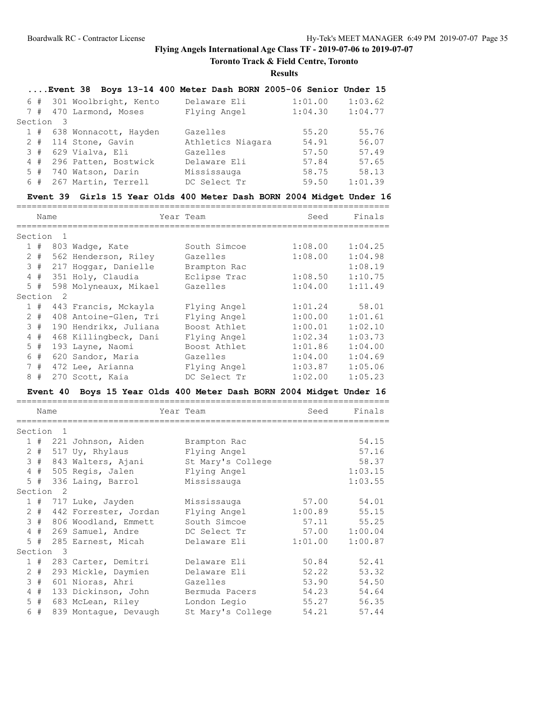**Toronto Track & Field Centre, Toronto**

**Results**

|       |           |                      |                           | Event 38 Boys 13-14 400 Meter Dash BORN 2005-06 Senior Under 15 |         |         |
|-------|-----------|----------------------|---------------------------|-----------------------------------------------------------------|---------|---------|
|       |           |                      | 6 # 301 Woolbright, Kento | Delaware Eli                                                    | 1:01.00 | 1:03.62 |
| 7#    |           | 470 Larmond, Moses   |                           | Flying Angel                                                    | 1:04.30 | 1:04.77 |
|       | Section 3 |                      |                           |                                                                 |         |         |
|       |           |                      | 1 # 638 Wonnacott, Hayden | Gazelles                                                        | 55.20   | 55.76   |
| $2 +$ |           | 114 Stone, Gavin     |                           | Athletics Niagara                                               | 54.91   | 56.07   |
|       |           | $3# 629$ Vialva, Eli |                           | Gazelles                                                        | 57.50   | 57.49   |
| 4#    |           |                      | 296 Patten, Bostwick      | Delaware Eli                                                    | 57.84   | 57.65   |
| 5#    |           | 740 Watson, Darin    |                           | Mississauga                                                     | 58.75   | 58.13   |
| 6#    |           | 267 Martin, Terrell  |                           | DC Select Tr                                                    | 59.50   | 1:01.39 |
|       |           |                      |                           |                                                                 |         |         |

### **Event 39 Girls 15 Year Olds 400 Meter Dash BORN 2004 Midget Under 16**

|                | Name    |                              |                                                            | Year Team                    | Seed           | Finals         |
|----------------|---------|------------------------------|------------------------------------------------------------|------------------------------|----------------|----------------|
|                | Section | 1                            |                                                            |                              |                |                |
|                | 1#      |                              | 803 Wadge, Kate                                            | South Simcoe                 | 1:08.00        | 1:04.25        |
| $\mathbf{2}$   | $\#$    |                              | 562 Henderson, Riley                                       | Gazelles                     | 1:08.00        | 1:04.98        |
|                | 3#      |                              | 217 Hoggar, Danielle                                       | Brampton Rac                 |                | 1:08.19        |
|                | $4$ #   |                              | 351 Holy, Claudia                                          | Eclipse Trac                 | 1:08.50        | 1:10.75        |
|                | $5$ #   |                              | 598 Molyneaux, Mikael                                      | Gazelles                     | 1:04.00        | 1:11.49        |
|                | Section | $\overline{2}$               |                                                            |                              |                |                |
|                | $1$ #   |                              | 443 Francis, Mckayla                                       | Flying Angel                 | 1:01.24        | 58.01          |
|                | $2 +$   |                              | 408 Antoine-Glen, Tri                                      | Flying Angel                 | 1:00.00        | 1:01.61        |
|                | 3#      |                              | 190 Hendrikx, Juliana                                      | Boost Athlet                 | 1:00.01        | 1:02.10        |
| 4              | #       |                              | 468 Killingbeck, Dani                                      | Flying Angel                 | 1:02.34        | 1:03.73        |
| 5              | #       |                              | 193 Layne, Naomi                                           | Boost Athlet                 | 1:01.86        | 1:04.00        |
| 6              | #       |                              | 620 Sandor, Maria                                          | Gazelles                     | 1:04.00        | 1:04.69        |
| 7              | #       |                              | 472 Lee, Arianna                                           | Flying Angel                 | 1:03.87        | 1:05.06        |
| 8              | #       |                              | 270 Scott, Kaia                                            | DC Select Tr                 | 1:02.00        | 1:05.23        |
|                |         | Event 40                     | Boys 15 Year Olds 400 Meter Dash BORN 2004 Midget Under 16 |                              |                |                |
|                |         |                              |                                                            |                              |                |                |
|                | Name    |                              |                                                            | Year Team                    | Seed           | Finals         |
|                | Section | ============<br>$\mathbf{1}$ |                                                            | ,,,,,,,,,,,,,,,,,,,,,,,,,    |                |                |
|                | 1#      |                              |                                                            |                              |                | 54.15          |
|                | $2 +$   |                              | 221 Johnson, Aiden                                         | Brampton Rac<br>Flying Angel |                | 57.16          |
|                | 3#      |                              | 517 Uy, Rhylaus<br>843 Walters, Ajani                      | St Mary's College            |                | 58.37          |
| $\overline{4}$ | #       |                              | 505 Regis, Jalen                                           | Flying Angel                 |                | 1:03.15        |
| 5              | #       |                              | 336 Laing, Barrol                                          | Mississauga                  |                | 1:03.55        |
|                | Section | $\overline{2}$               |                                                            |                              |                |                |
|                | 1#      |                              | 717 Luke, Jayden                                           | Mississauga                  | 57.00          | 54.01          |
|                | $2 +$   |                              | 442 Forrester, Jordan                                      | Flying Angel                 | 1:00.89        | 55.15          |
|                | 3#      |                              | 806 Woodland, Emmett                                       | South Simcoe                 | 57.11          | 55.25          |
| 4              | #       |                              | 269 Samuel, Andre                                          | DC Select Tr                 | 57.00          | 1:00.04        |
| 5              | #       |                              | 285 Earnest, Micah                                         | Delaware Eli                 | 1:01.00        | 1:00.87        |
|                | Section | 3                            |                                                            |                              |                |                |
|                | 1#      |                              | 283 Carter, Demitri                                        | Delaware Eli                 | 50.84          | 52.41          |
|                | $2 +$   |                              | 293 Mickle, Daymien                                        | Delaware Eli                 | 52.22          | 53.32          |
| 3              | #<br>4# |                              | 601 Nioras, Ahri<br>133 Dickinson, John                    | Gazelles<br>Bermuda Pacers   | 53.90<br>54.23 | 54.50<br>54.64 |

 5 # 683 McLean, Riley London Legio 55.27 56.35 6 # 839 Montague, Devaugh St Mary's College 54.21 57.44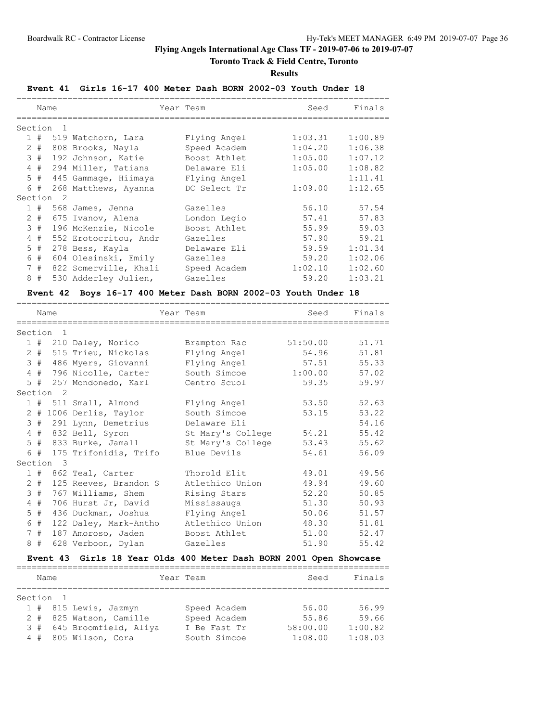# **Toronto Track & Field Centre, Toronto**

**Results**

### **Event 41 Girls 16-17 400 Meter Dash BORN 2002-03 Youth Under 18**

|         | Name  |     |                       | Year Team    | Seed    | Finals  |  |  |  |
|---------|-------|-----|-----------------------|--------------|---------|---------|--|--|--|
|         |       |     |                       |              |         |         |  |  |  |
| Section |       |     |                       |              |         |         |  |  |  |
|         | 1#    |     | 519 Watchorn, Lara    | Flying Angel | 1:03.31 | 1:00.89 |  |  |  |
| 2       | #     |     | 808 Brooks, Nayla     | Speed Academ | 1:04.20 | 1:06.38 |  |  |  |
|         | 3#    |     | 192 Johnson, Katie    | Boost Athlet | 1:05.00 | 1:07.12 |  |  |  |
| 4       | #     |     | 294 Miller, Tatiana   | Delaware Eli | 1:05.00 | 1:08.82 |  |  |  |
|         | $5$ # |     | 445 Gammage, Hiimaya  | Flying Angel |         | 1:11.41 |  |  |  |
| 6       | #     |     | 268 Matthews, Ayanna  | DC Select Tr | 1:09.00 | 1:12.65 |  |  |  |
| Section |       | - 2 |                       |              |         |         |  |  |  |
|         | 1#    |     | 568 James, Jenna      | Gazelles     | 56.10   | 57.54   |  |  |  |
| 2       | #     |     | 675 Ivanov, Alena     | London Legio | 57.41   | 57.83   |  |  |  |
| 3       | #     |     | 196 McKenzie, Nicole  | Boost Athlet | 55.99   | 59.03   |  |  |  |
| 4       | #     |     | 552 Erotocritou, Andr | Gazelles     | 57.90   | 59.21   |  |  |  |
| 5       | #     |     | 278 Bess, Kayla       | Delaware Eli | 59.59   | 1:01.34 |  |  |  |
| 6       | #     |     | 604 Olesinski, Emily  | Gazelles     | 59.20   | 1:02.06 |  |  |  |
| 7       | #     |     | 822 Somerville, Khali | Speed Academ | 1:02.10 | 1:02.60 |  |  |  |
| 8       | #     |     | 530 Adderley Julien,  | Gazelles     | 59.20   | 1:03.21 |  |  |  |

#### **Event 42 Boys 16-17 400 Meter Dash BORN 2002-03 Youth Under 18**

=========================================================================

|             | Name                 |                           | Year Team         | Seed     | Finals |
|-------------|----------------------|---------------------------|-------------------|----------|--------|
| Section     | $\overline{1}$       |                           |                   |          |        |
|             |                      | 1 # 210 Daley, Norico     | Brampton Rac      | 51:50.00 | 51.71  |
| $2 +$       |                      | 515 Trieu, Nickolas       | Flying Angel      | 54.96    | 51.81  |
| 3#          |                      | 486 Myers, Giovanni       | Flying Angel      | 57.51    | 55.33  |
| 4#          |                      | 796 Nicolle, Carter       | South Simcoe      | 1:00.00  | 57.02  |
|             |                      | 5 # 257 Mondonedo, Karl   | Centro Scuol      | 59.35    | 59.97  |
|             | Section <sub>2</sub> |                           |                   |          |        |
|             |                      | 1 # 511 Small, Almond     | Flying Angel      | 53.50    | 52.63  |
|             |                      | 2 # 1006 Derlis, Taylor   | South Simcoe      | 53.15    | 53.22  |
|             |                      | 3 # 291 Lynn, Demetrius   | Delaware Eli      |          | 54.16  |
| $4$ #       |                      | 832 Bell, Syron           | St Mary's College | 54.21    | 55.42  |
|             | 5#                   | 833 Burke, Jamall         | St Mary's College | 53.43    | 55.62  |
|             |                      | 6 # 175 Trifonidis, Trifo | Blue Devils       | 54.61    | 56.09  |
|             | Section 3            |                           |                   |          |        |
|             |                      | 1 # 862 Teal, Carter      | Thorold Elit      | 49.01    | 49.56  |
| $2 +$       |                      | 125 Reeves, Brandon S     | Atlethico Union   | 49.94    | 49.60  |
| 3#          |                      | 767 Williams, Shem        | Rising Stars      | 52.20    | 50.85  |
| $4$ #       |                      | 706 Hurst Jr, David       | Mississauga       | 51.30    | 50.93  |
| $5$ #       |                      | 436 Duckman, Joshua       | Flying Angel      | 50.06    | 51.57  |
| 6           | #                    | 122 Daley, Mark-Antho     | Atlethico Union   | 48.30    | 51.81  |
| $7^{\circ}$ | #                    | 187 Amoroso, Jaden        | Boost Athlet      | 51.00    | 52.47  |
| 8#          |                      | 628 Verboon, Dylan        | Gazelles          | 51.90    | 55.42  |

### **Event 43 Girls 18 Year Olds 400 Meter Dash BORN 2001 Open Showcase**

|           | Name |  |                           | Year Team    | Seed     | Finals  |  |  |  |  |
|-----------|------|--|---------------------------|--------------|----------|---------|--|--|--|--|
|           |      |  |                           |              |          |         |  |  |  |  |
| Section 1 |      |  |                           |              |          |         |  |  |  |  |
|           |      |  | 1 # 815 Lewis, Jazmyn     | Speed Academ | 56.00    | 56.99   |  |  |  |  |
|           |      |  | 2 # 825 Watson, Camille   | Speed Academ | 55.86    | 59.66   |  |  |  |  |
|           |      |  | 3 # 645 Broomfield, Aliya | I Be Fast Tr | 58:00.00 | 1:00.82 |  |  |  |  |
|           |      |  | 4 # 805 Wilson, Cora      | South Simcoe | 1:08.00  | 1:08.03 |  |  |  |  |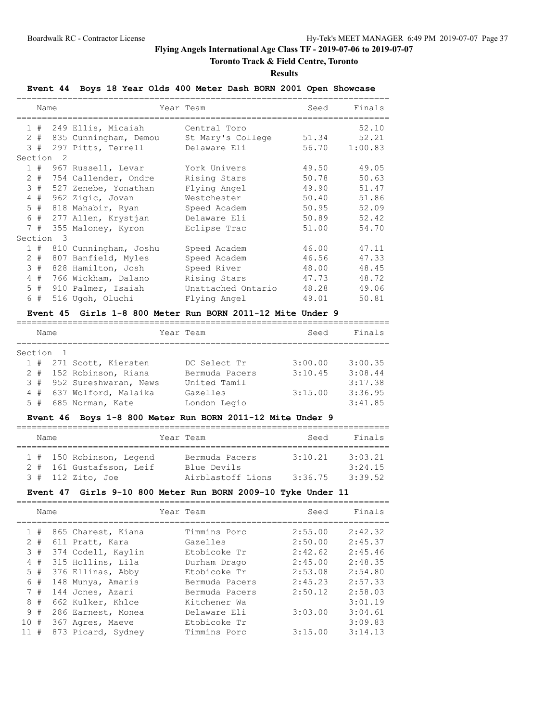# **Toronto Track & Field Centre, Toronto**

**Results**

# **Event 44 Boys 18 Year Olds 400 Meter Dash BORN 2001 Open Showcase**

|                | Name  |                         |                        | Year Team          | Seed  | Finals  |
|----------------|-------|-------------------------|------------------------|--------------------|-------|---------|
|                |       |                         |                        |                    |       |         |
|                | 1#    |                         | 249 Ellis, Micaiah     | Central Toro       |       | 52.10   |
|                | $2 +$ |                         | 835 Cunningham, Demou  | St Mary's College  | 51.34 | 52.21   |
|                | 3#    |                         | 297 Pitts, Terrell     | Delaware Eli       | 56.70 | 1:00.83 |
| Section        |       | $\overline{2}$          |                        |                    |       |         |
|                |       |                         | 1 # 967 Russell, Levar | York Univers       | 49.50 | 49.05   |
|                | $2 +$ |                         | 754 Callender, Ondre   | Rising Stars       | 50.78 | 50.63   |
|                | 3#    |                         | 527 Zenebe, Yonathan   | Flying Angel       | 49.90 | 51.47   |
|                | 4#    |                         | 962 Zigic, Jovan       | Westchester        | 50.40 | 51.86   |
|                | 5#    |                         | 818 Mahabir, Ryan      | Speed Academ       | 50.95 | 52.09   |
| 6              | #     |                         | 277 Allen, Krystjan    | Delaware Eli       | 50.89 | 52.42   |
|                | 7#    |                         | 355 Maloney, Kyron     | Eclipse Trac       | 51.00 | 54.70   |
| Section        |       | $\overline{\mathbf{3}}$ |                        |                    |       |         |
|                | 1#    |                         | 810 Cunningham, Joshu  | Speed Academ       | 46.00 | 47.11   |
|                | $2 +$ |                         | 807 Banfield, Myles    | Speed Academ       | 46.56 | 47.33   |
| 3              | #     |                         | 828 Hamilton, Josh     | Speed River        | 48.00 | 48.45   |
| $\overline{4}$ | #     |                         | 766 Wickham, Dalano    | Rising Stars       | 47.73 | 48.72   |
|                | $5$ # |                         | 910 Palmer, Isaiah     | Unattached Ontario | 48.28 | 49.06   |
|                | 6 #   |                         | 516 Ugoh, Oluchi       | Flying Angel       | 49.01 | 50.81   |

# **Event 45 Girls 1-8 800 Meter Run BORN 2011-12 Mite Under 9**

| Name      |    |  |                           | Year Team      | Seed    | Finals  |  |  |  |  |  |
|-----------|----|--|---------------------------|----------------|---------|---------|--|--|--|--|--|
|           |    |  |                           |                |         |         |  |  |  |  |  |
| Section 1 |    |  |                           |                |         |         |  |  |  |  |  |
|           |    |  | 1 # 271 Scott, Kiersten   | DC Select Tr   | 3:00.00 | 3:00.35 |  |  |  |  |  |
|           |    |  | 2 # 152 Robinson, Riana   | Bermuda Pacers | 3:10.45 | 3:08.44 |  |  |  |  |  |
|           |    |  | 3 # 952 Sureshwaran, News | United Tamil   |         | 3:17.38 |  |  |  |  |  |
|           |    |  | 4 # 637 Wolford, Malaika  | Gazelles       | 3:15.00 | 3:36.95 |  |  |  |  |  |
|           | 5# |  | 685 Norman, Kate          | London Legio   |         | 3:41.85 |  |  |  |  |  |

### **Event 46 Boys 1-8 800 Meter Run BORN 2011-12 Mite Under 9**

| Name |  |  |                                                                             |  | Year Team                                          | Seed               | Finals                        |  |  |  |  |  |  |
|------|--|--|-----------------------------------------------------------------------------|--|----------------------------------------------------|--------------------|-------------------------------|--|--|--|--|--|--|
|      |  |  | 1 # 150 Robinson, Legend<br>2 # 161 Gustafsson, Leif<br>$3$ # 112 Zito, Joe |  | Bermuda Pacers<br>Blue Devils<br>Airblastoff Lions | 3:10.21<br>3:36.75 | 3:03.21<br>3:24.15<br>3:39.52 |  |  |  |  |  |  |

### **Event 47 Girls 9-10 800 Meter Run BORN 2009-10 Tyke Under 11**

|     | Name  |  |                    |  | Year Team      | Seed    | Finals  |
|-----|-------|--|--------------------|--|----------------|---------|---------|
|     | 1#    |  | 865 Charest, Kiana |  | Timmins Porc   | 2:55.00 | 2:42.32 |
|     | $2 +$ |  | 611 Pratt, Kara    |  | Gazelles       | 2:50.00 | 2:45.37 |
|     | 3#    |  | 374 Codell, Kaylin |  | Etobicoke Tr   | 2:42.62 | 2:45.46 |
| 4   | #     |  | 315 Hollins, Lila  |  | Durham Drago   | 2:45.00 | 2:48.35 |
|     | 5#    |  | 376 Ellinas, Abby  |  | Etobicoke Tr   | 2:53.08 | 2:54.80 |
|     | 6#    |  | 148 Munya, Amaris  |  | Bermuda Pacers | 2:45.23 | 2:57.33 |
|     | 7#    |  | 144 Jones, Azari   |  | Bermuda Pacers | 2:50.12 | 2:58.03 |
|     | 8#    |  | 662 Kulker, Khloe  |  | Kitchener Wa   |         | 3:01.19 |
|     | 9#    |  | 286 Earnest, Monea |  | Delaware Eli   | 3:03.00 | 3:04.61 |
| 10# |       |  | 367 Agres, Maeve   |  | Etobicoke Tr   |         | 3:09.83 |
|     | #     |  | 873 Picard, Sydney |  | Timmins Porc   | 3:15.00 | 3:14.13 |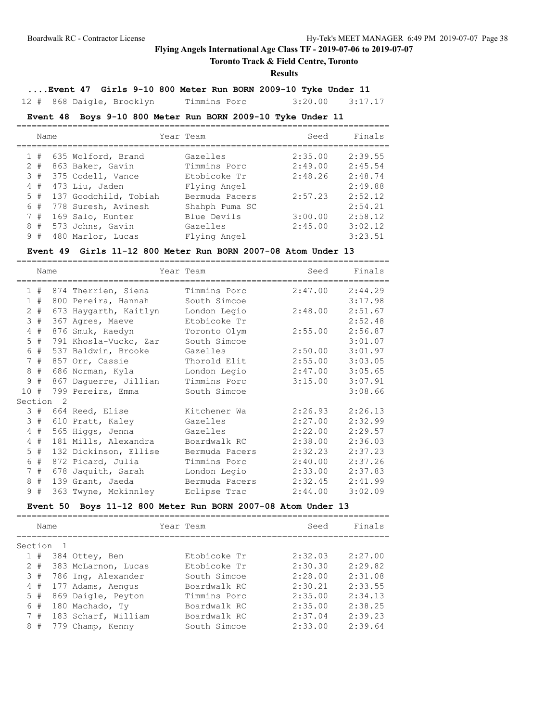# **Toronto Track & Field Centre, Toronto**

### **Results**

# **....Event 47 Girls 9-10 800 Meter Run BORN 2009-10 Tyke Under 11**

12 # 868 Daigle, Brooklyn Timmins Porc 3:20.00 3:17.17

# **Event 48 Boys 9-10 800 Meter Run BORN 2009-10 Tyke Under 11**

|   | Name  |  |                       | Year Team      | Seed    | Finals  |  |  |  |  |  |
|---|-------|--|-----------------------|----------------|---------|---------|--|--|--|--|--|
|   | #     |  | 635 Wolford, Brand    | Gazelles       | 2:35.00 | 2:39.55 |  |  |  |  |  |
|   | $2 +$ |  | 863 Baker, Gavin      | Timmins Porc   | 2:49.00 | 2:45.54 |  |  |  |  |  |
|   | 3#    |  | 375 Codell, Vance     | Etobicoke Tr   | 2:48.26 | 2:48.74 |  |  |  |  |  |
|   | 4#    |  | 473 Liu, Jaden        | Flying Angel   |         | 2:49.88 |  |  |  |  |  |
|   | 5#    |  | 137 Goodchild, Tobiah | Bermuda Pacers | 2:57.23 | 2:52.12 |  |  |  |  |  |
| 6 | #     |  | 778 Suresh, Avinesh   | Shahph Puma SC |         | 2:54.21 |  |  |  |  |  |
|   | 7#    |  | 169 Salo, Hunter      | Blue Devils    | 3:00.00 | 2:58.12 |  |  |  |  |  |
| 8 | #     |  | 573 Johns, Gavin      | Gazelles       | 2:45.00 | 3:02.12 |  |  |  |  |  |
| 9 | #     |  | 480 Marlor, Lucas     | Flying Angel   |         | 3:23.51 |  |  |  |  |  |

### **Event 49 Girls 11-12 800 Meter Run BORN 2007-08 Atom Under 13**

|                      | Name  |                       | Year Team      | Seed    | Finals  |
|----------------------|-------|-----------------------|----------------|---------|---------|
|                      | 1#    | 874 Therrien, Siena   | Timmins Porc   | 2:47.00 | 2:44.29 |
|                      | 1#    | 800 Pereira, Hannah   | South Simcoe   |         | 3:17.98 |
|                      | $2 +$ | 673 Haygarth, Kaitlyn | London Legio   | 2:48.00 | 2:51.67 |
|                      | 3#    | 367 Agres, Maeve      | Etobicoke Tr   |         | 2:52.48 |
|                      | 4#    | 876 Smuk, Raedyn      | Toronto Olym   | 2:55.00 | 2:56.87 |
|                      | $5$ # | 791 Khosla-Vucko, Zar | South Simcoe   |         | 3:01.07 |
|                      | 6 #   | 537 Baldwin, Brooke   | Gazelles       | 2:50.00 | 3:01.97 |
|                      | 7#    | 857 Orr, Cassie       | Thorold Elit   | 2:55.00 | 3:03.05 |
|                      | 8#    | 686 Norman, Kyla      | London Legio   | 2:47.00 | 3:05.65 |
|                      | 9#    | 867 Daquerre, Jillian | Timmins Porc   | 3:15.00 | 3:07.91 |
| 10#                  |       | 799 Pereira, Emma     | South Simcoe   |         | 3:08.66 |
| Section <sub>2</sub> |       |                       |                |         |         |
|                      | 3#    | 664 Reed, Elise       | Kitchener Wa   | 2:26.93 | 2:26.13 |
|                      | 3#    | 610 Pratt, Kaley      | Gazelles       | 2:27.00 | 2:32.99 |
|                      | 4#    | 565 Higgs, Jenna      | Gazelles       | 2:22.00 | 2:29.57 |
|                      | 4#    | 181 Mills, Alexandra  | Boardwalk RC   | 2:38.00 | 2:36.03 |
|                      | $5$ # | 132 Dickinson, Ellise | Bermuda Pacers | 2:32.23 | 2:37.23 |
|                      | 6 #   | 872 Picard, Julia     | Timmins Porc   | 2:40.00 | 2:37.26 |
|                      | 7#    | 678 Jaquith, Sarah    | London Legio   | 2:33.00 | 2:37.83 |
| 8                    | #     | 139 Grant, Jaeda      | Bermuda Pacers | 2:32.45 | 2:41.99 |
|                      | 9#    | 363 Twyne, Mckinnley  | Eclipse Trac   | 2:44.00 | 3:02.09 |

# **Event 50 Boys 11-12 800 Meter Run BORN 2007-08 Atom Under 13**

| Name    |       |     |                     |  | Year Team    | Seed    | Finals  |
|---------|-------|-----|---------------------|--|--------------|---------|---------|
| Section |       |     |                     |  |              |         |         |
|         | 1#    |     | 384 Ottey, Ben      |  | Etobicoke Tr | 2:32.03 | 2:27.00 |
|         | $2 +$ |     | 383 McLarnon, Lucas |  | Etobicoke Tr | 2:30.30 | 2:29.82 |
|         | 3#    |     | 786 Ing, Alexander  |  | South Simcoe | 2:28.00 | 2:31.08 |
|         | 4#    |     | 177 Adams, Aengus   |  | Boardwalk RC | 2:30.21 | 2:33.55 |
|         | 5#    |     | 869 Daigle, Peyton  |  | Timmins Porc | 2:35.00 | 2:34.13 |
|         | 6#    |     | 180 Machado, Ty     |  | Boardwalk RC | 2:35.00 | 2:38.25 |
|         | 7#    |     | 183 Scharf, William |  | Boardwalk RC | 2:37.04 | 2:39.23 |
| 8       | #     | 779 | Champ, Kenny        |  | South Simcoe | 2:33.00 | 2:39.64 |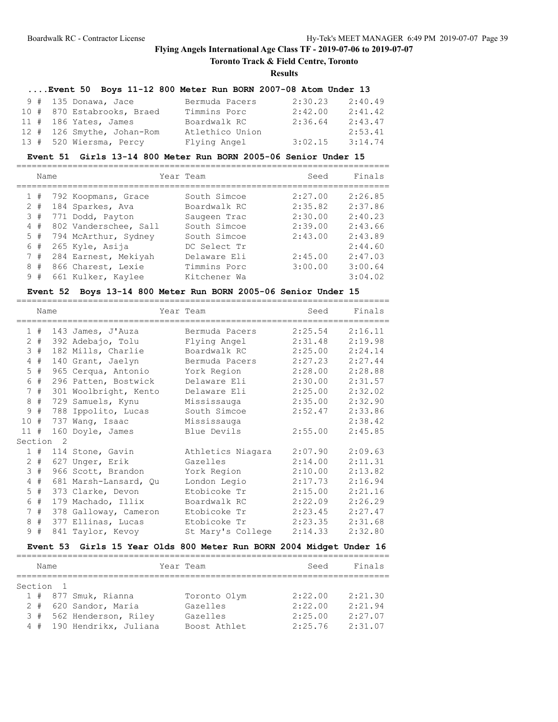# **Toronto Track & Field Centre, Toronto**

#### **Results**

# **....Event 50 Boys 11-12 800 Meter Run BORN 2007-08 Atom Under 13**

| 9 # 135 Donawa, Jace       | Bermuda Pacers  | 2:30.23 | 2:40.49 |
|----------------------------|-----------------|---------|---------|
| 10 # 870 Estabrooks, Braed | Timmins Porc    | 2:42.00 | 2:41.42 |
| $11$ # 186 Yates, James    | Boardwalk RC    | 2:36.64 | 2:43.47 |
| 12 # 126 Smythe, Johan-Rom | Atlethico Union |         | 2:53.41 |
| 13 # 520 Wiersma, Percy    | Flying Angel    | 3:02.15 | 3:14.74 |

### **Event 51 Girls 13-14 800 Meter Run BORN 2005-06 Senior Under 15**

|   | Name  |                       | Year Team    | Seed    | Finals  |
|---|-------|-----------------------|--------------|---------|---------|
|   | 1#    | 792 Koopmans, Grace   | South Simcoe | 2:27.00 | 2:26.85 |
|   | $2 +$ | 184 Sparkes, Ava      | Boardwalk RC | 2:35.82 | 2:37.86 |
|   | 3#    | 771 Dodd, Payton      | Saugeen Trac | 2:30.00 | 2:40.23 |
|   | 4#    | 802 Vanderschee, Sall | South Simcoe | 2:39.00 | 2:43.66 |
|   | 5#    | 794 McArthur, Sydney  | South Simcoe | 2:43.00 | 2:43.89 |
|   | 6#    | 265 Kyle, Asija       | DC Select Tr |         | 2:44.60 |
|   | 7#    | 284 Earnest, Mekiyah  | Delaware Eli | 2:45.00 | 2:47.03 |
| 8 | #     | 866 Charest, Lexie    | Timmins Porc | 3:00.00 | 3:00.64 |
|   | 9#    | 661 Kulker, Kaylee    | Kitchener Wa |         | 3:04.02 |

#### **Event 52 Boys 13-14 800 Meter Run BORN 2005-06 Senior Under 15**

|                      | Name |     |                       | Year Team         | Seed    | Finals  |  |  |  |  |  |
|----------------------|------|-----|-----------------------|-------------------|---------|---------|--|--|--|--|--|
| $\mathbf{1}$         | #    |     | 143 James, J'Auza     | Bermuda Pacers    | 2:25.54 | 2:16.11 |  |  |  |  |  |
| 2                    | #    |     | 392 Adebajo, Tolu     | Flying Angel      | 2:31.48 | 2:19.98 |  |  |  |  |  |
| 3                    | #    |     | 182 Mills, Charlie    | Boardwalk RC      | 2:25.00 | 2:24.14 |  |  |  |  |  |
| $\overline{4}$       | #    |     | 140 Grant, Jaelyn     | Bermuda Pacers    | 2:27.23 | 2:27.44 |  |  |  |  |  |
| 5                    | #    |     | 965 Cerqua, Antonio   | York Region       | 2:28.00 | 2:28.88 |  |  |  |  |  |
| 6                    | #    |     | 296 Patten, Bostwick  | Delaware Eli      | 2:30.00 | 2:31.57 |  |  |  |  |  |
| $7^{\circ}$          | #    |     | 301 Woolbright, Kento | Delaware Eli      | 2:25.00 | 2:32.02 |  |  |  |  |  |
| 8                    | #    | 729 | Samuels, Kynu         | Mississauga       | 2:35.00 | 2:32.90 |  |  |  |  |  |
| 9                    | #    | 788 | Ippolito, Lucas       | South Simcoe      | 2:52.47 | 2:33.86 |  |  |  |  |  |
| 10                   | #    | 737 | Wang, Isaac           | Mississauga       |         | 2:38.42 |  |  |  |  |  |
| $11$ #               |      |     | 160 Doyle, James      | Blue Devils       | 2:55.00 | 2:45.85 |  |  |  |  |  |
| Section <sub>2</sub> |      |     |                       |                   |         |         |  |  |  |  |  |
| $\mathbf{1}$         | #    |     | 114 Stone, Gavin      | Athletics Niagara | 2:07.90 | 2:09.63 |  |  |  |  |  |
| 2                    | #    |     | 627 Unger, Erik       | Gazelles          | 2:14.00 | 2:11.31 |  |  |  |  |  |
| 3                    | #    |     | 966 Scott, Brandon    | York Region       | 2:10.00 | 2:13.82 |  |  |  |  |  |
| 4                    | #    |     | 681 Marsh-Lansard, Qu | London Legio      | 2:17.73 | 2:16.94 |  |  |  |  |  |
| 5                    | #    |     | 373 Clarke, Devon     | Etobicoke Tr      | 2:15.00 | 2:21.16 |  |  |  |  |  |
| 6                    | $\#$ |     | 179 Machado, Illix    | Boardwalk RC      | 2:22.09 | 2:26.29 |  |  |  |  |  |
| $7\phantom{.0}$      | #    |     | 378 Galloway, Cameron | Etobicoke Tr      | 2:23.45 | 2:27.47 |  |  |  |  |  |
| 8                    | #    |     | 377 Ellinas, Lucas    | Etobicoke Tr      | 2:23.35 | 2:31.68 |  |  |  |  |  |
| 9                    | #    |     | 841 Taylor, Kevoy     | St Mary's College | 2:14.33 | 2:32.80 |  |  |  |  |  |

# **Event 53 Girls 15 Year Olds 800 Meter Run BORN 2004 Midget Under 16**

| Name      |                           | Year Team    | Seed    | Finals  |  |  |  |  |
|-----------|---------------------------|--------------|---------|---------|--|--|--|--|
|           |                           |              |         |         |  |  |  |  |
| Section 1 |                           |              |         |         |  |  |  |  |
|           | 1 # 877 Smuk, Rianna      | Toronto Olym | 2:22.00 | 2:21.30 |  |  |  |  |
|           | 2 # 620 Sandor, Maria     | Gazelles     | 2:22.00 | 2:21.94 |  |  |  |  |
|           | 3 # 562 Henderson, Riley  | Gazelles     | 2:25.00 | 2:27.07 |  |  |  |  |
|           | 4 # 190 Hendrikx, Juliana | Boost Athlet | 2:25.76 | 2:31.07 |  |  |  |  |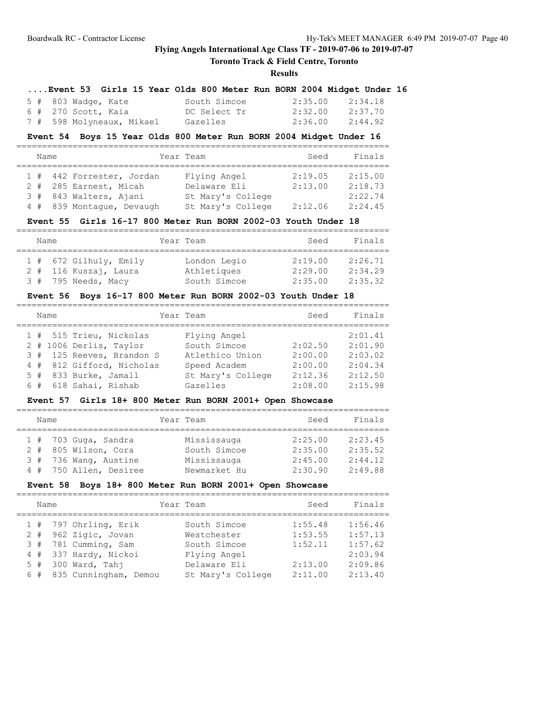# **Toronto Track & Field Centre, Toronto**

### **Results**

|  |  |                    |  |  |              |  | Event 53 Girls 15 Year Olds 800 Meter Run BORN 2004 Midget Under 16 |  |
|--|--|--------------------|--|--|--------------|--|---------------------------------------------------------------------|--|
|  |  | 5 # 803 Wadge Kate |  |  | South Simcoe |  | 2.35 00 2.34 18                                                     |  |

| J # 000 Wadde, Nate       | PONCH PINCOS |                 | 4:33.UU 4:34.IO |
|---------------------------|--------------|-----------------|-----------------|
| 6 #  270 Scott, Kaia      | DC Select Tr | 2:32.00 2:37.70 |                 |
| 7 # 598 Molyneaux, Mikael | Gazelles     | 2:36.00         | 2:44.92         |

#### **Event 54 Boys 15 Year Olds 800 Meter Run BORN 2004 Midget Under 16**

| Name |                           | Year Team         | Seed    | Finals  |
|------|---------------------------|-------------------|---------|---------|
|      |                           |                   |         |         |
|      | 1 # 442 Forrester, Jordan | Flying Angel      | 2:19.05 | 2:15.00 |
|      | 2 # 285 Earnest, Micah    | Delaware Eli      | 2:13.00 | 2:18.73 |
|      | 3 # 843 Walters, Ajani    | St Mary's College |         | 2:22.74 |
|      | 4 # 839 Montaque, Devaugh | St Mary's College | 2:12.06 | 2:24.45 |

### **Event 55 Girls 16-17 800 Meter Run BORN 2002-03 Youth Under 18**

| Name |                        | Year Team    | Seed    | Finals  |
|------|------------------------|--------------|---------|---------|
|      |                        |              |         |         |
|      | 1 # 672 Gilhuly, Emily | London Legio | 2:19.00 | 2:26.71 |
|      | 2 # 116 Kuszaj, Laura  | Athletiques  | 2:29.00 | 2:34.29 |
|      | 3 # 795 Needs, Macy    | South Simcoe | 2:35.00 | 2:35.32 |

### **Event 56 Boys 16-17 800 Meter Run BORN 2002-03 Youth Under 18**

|  | Name |                           | Year Team         | Seed    | Finals  |
|--|------|---------------------------|-------------------|---------|---------|
|  |      | 1 # 515 Trieu, Nickolas   | Flying Angel      |         | 2:01.41 |
|  |      | 2 # 1006 Derlis, Taylor   | South Simcoe      | 2:02.50 | 2:01.90 |
|  |      | 3 # 125 Reeves, Brandon S | Atlethico Union   | 2:00.00 | 2:03.02 |
|  |      | 4 # 812 Gifford, Nicholas | Speed Academ      | 2:00.00 | 2:04.34 |
|  |      | $5$ # 833 Burke, Jamall   | St Mary's College | 2:12.36 | 2:12.50 |
|  |      | $6$ # $618$ Sahai, Rishab | Gazelles          | 2:08.00 | 2:15.98 |

# **Event 57 Girls 18+ 800 Meter Run BORN 2001+ Open Showcase**

| Name |                        | Year Team    | Seed    | Finals  |
|------|------------------------|--------------|---------|---------|
|      |                        |              |         |         |
|      | $1$ # 703 Guga, Sandra | Mississauga  | 2:25.00 | 2:23.45 |
|      | 2 # 805 Wilson, Cora   | South Simcoe | 2:35.00 | 2:35.52 |
|      | 3 # 736 Wang, Austine  | Mississauga  | 2:45.00 | 2:44.12 |
|      | 4 # 750 Allen, Desiree | Newmarket Hu | 2:30.90 | 2:49.88 |

### **Event 58 Boys 18+ 800 Meter Run BORN 2001+ Open Showcase**

| Name                                                                                                                                                | Year Team                                                                                        | Seed                                                | Finals                                                         |
|-----------------------------------------------------------------------------------------------------------------------------------------------------|--------------------------------------------------------------------------------------------------|-----------------------------------------------------|----------------------------------------------------------------|
| $1$ # 797 Ohrling, Erik<br>2 # 962 Zigic, Jovan<br>3 # 781 Cumming, Sam<br>4 # 337 Hardy, Nickoi<br>5 # 300 Ward, Tahi<br>6 # 835 Cunningham, Demou | South Simcoe<br>Westchester<br>South Simcoe<br>Flying Angel<br>Delaware Eli<br>St Mary's College | 1:55.48<br>1:53.55<br>1:52.11<br>2:13.00<br>2:11.00 | 1:56.46<br>1:57.13<br>1:57.62<br>2:03.94<br>2:09.86<br>2:13.40 |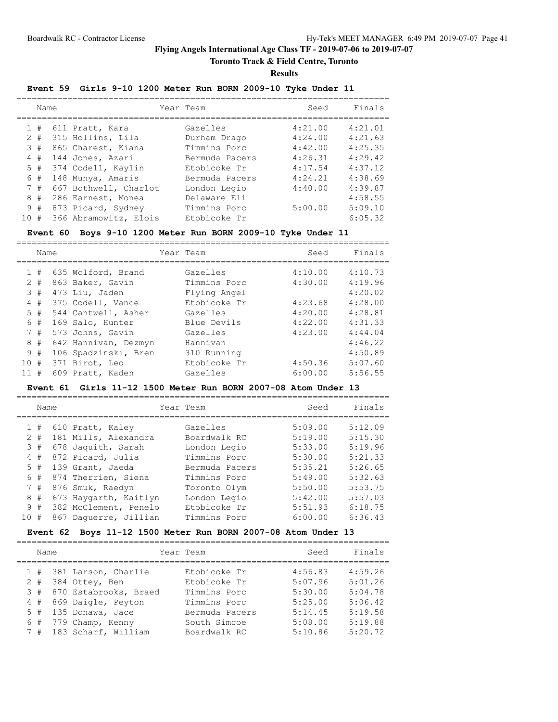# **Toronto Track & Field Centre, Toronto**

**Results**

### **Event 59 Girls 9-10 1200 Meter Run BORN 2009-10 Tyke Under 11**

|     | Name              |                                                            | Year Team                                | Seed                          | Finals                        |
|-----|-------------------|------------------------------------------------------------|------------------------------------------|-------------------------------|-------------------------------|
|     | 1#<br>$2 +$<br>3# | 611 Pratt, Kara<br>315 Hollins, Lila<br>865 Charest, Kiana | Gazelles<br>Durham Drago<br>Timmins Porc | 4:21.00<br>4:24.00<br>4:42.00 | 4:21.01<br>4:21.63<br>4:25.35 |
|     | 4#                | 144 Jones, Azari                                           | Bermuda Pacers                           | 4:26.31                       | 4:29.42                       |
|     | 5#<br>6#          | 374 Codell, Kaylin<br>148 Munya, Amaris                    | Etobicoke Tr<br>Bermuda Pacers           | 4:17.54<br>4:24.21            | 4:37.12<br>4:38.69            |
|     | 7#<br>8#          | 667 Bothwell, Charlot<br>286 Earnest, Monea                | London Legio<br>Delaware Eli             | 4:40.00                       | 4:39.87<br>4:58.55            |
| 10# | 9#                | 873 Picard, Sydney<br>366 Abramowitz, Elois                | Timmins Porc<br>Etobicoke Tr             | 5:00.00                       | 5:09.10<br>6:05.32            |

#### **Event 60 Boys 9-10 1200 Meter Run BORN 2009-10 Tyke Under 11**

|              | Name  |                      | Year Team    | Seed    | Finals  |
|--------------|-------|----------------------|--------------|---------|---------|
|              |       |                      |              |         |         |
| $\mathbf{1}$ | #     | 635 Wolford, Brand   | Gazelles     | 4:10.00 | 4:10.73 |
|              | $2 +$ | 863 Baker, Gavin     | Timmins Porc | 4:30.00 | 4:19.96 |
|              | 3#    | 473 Liu, Jaden       | Flying Angel |         | 4:20.02 |
|              | 4#    | 375 Codell, Vance    | Etobicoke Tr | 4:23.68 | 4:28.00 |
|              | 5#    | 544 Cantwell, Asher  | Gazelles     | 4:20.00 | 4:28.81 |
| 6            | #     | 169 Salo, Hunter     | Blue Devils  | 4:22.00 | 4:31.33 |
|              | 7#    | 573 Johns, Gavin     | Gazelles     | 4:23.00 | 4:44.04 |
|              | $8 +$ | 642 Hannivan, Dezmyn | Hannivan     |         | 4:46.22 |
| 9            | #     | 106 Spadzinski, Bren | 310 Running  |         | 4:50.89 |
| 10#          |       | 371 Birot, Leo       | Etobicoke Tr | 4:50.36 | 5:07.60 |
| 11           | #     | 609 Pratt, Kaden     | Gazelles     | 6:00.00 | 5:56.55 |

#### **Event 61 Girls 11-12 1500 Meter Run BORN 2007-08 Atom Under 13**

|                                                              |      |                                                                                                                                                                                                                               | Seed      | Finals  |
|--------------------------------------------------------------|------|-------------------------------------------------------------------------------------------------------------------------------------------------------------------------------------------------------------------------------|-----------|---------|
|                                                              |      | Gazelles                                                                                                                                                                                                                      | 5:09.00   | 5:12.09 |
|                                                              |      | Boardwalk RC                                                                                                                                                                                                                  | 5:19.00   | 5:15.30 |
|                                                              |      | London Legio                                                                                                                                                                                                                  | 5:33.00   | 5:19.96 |
|                                                              |      | Timmins Porc                                                                                                                                                                                                                  | 5:30.00   | 5:21.33 |
|                                                              |      | Bermuda Pacers                                                                                                                                                                                                                | 5:35.21   | 5:26.65 |
|                                                              |      | Timmins Porc                                                                                                                                                                                                                  | 5:49.00   | 5:32.63 |
|                                                              |      | Toronto Olym                                                                                                                                                                                                                  | 5:50.00   | 5:53.75 |
|                                                              |      | London Legio                                                                                                                                                                                                                  | 5:42.00   | 5:57.03 |
|                                                              |      | Etobicoke Tr                                                                                                                                                                                                                  | 5:51.93   | 6:18.75 |
|                                                              |      | Timmins Porc                                                                                                                                                                                                                  | 6:00.00   | 6:36.43 |
| 1#<br>$2 +$<br>3#<br>4#<br>5#<br>6#<br>7#<br>8#<br>9#<br>10# | Name | 610 Pratt, Kaley<br>181 Mills, Alexandra<br>678 Jaquith, Sarah<br>872 Picard, Julia<br>139 Grant, Jaeda<br>874 Therrien, Siena<br>876 Smuk, Raedyn<br>673 Haygarth, Kaitlyn<br>382 McClement, Penelo<br>867 Daquerre, Jillian | Year Team |         |

### **Event 62 Boys 11-12 1500 Meter Run BORN 2007-08 Atom Under 13**

| Name |                           | Year Team      | Seed    | Finals  |
|------|---------------------------|----------------|---------|---------|
|      | 1 # 381 Larson, Charlie   | Etobicoke Tr   | 4:56.83 | 4:59.26 |
| 2#   | 384 Ottey, Ben            | Etobicoke Tr   | 5:07.96 | 5:01.26 |
|      | 3 # 870 Estabrooks, Braed | Timmins Porc   | 5:30.00 | 5:04.78 |
|      | 4 # 869 Daigle, Peyton    | Timmins Porc   | 5:25.00 | 5:06.42 |
|      | $5$ # 135 Donawa, Jace    | Bermuda Pacers | 5:14.45 | 5:19.58 |
|      | $6$ # 779 Champ, Kenny    | South Simcoe   | 5:08.00 | 5:19.88 |
| 7#   | 183 Scharf, William       | Boardwalk RC   | 5:10.86 | 5:20.72 |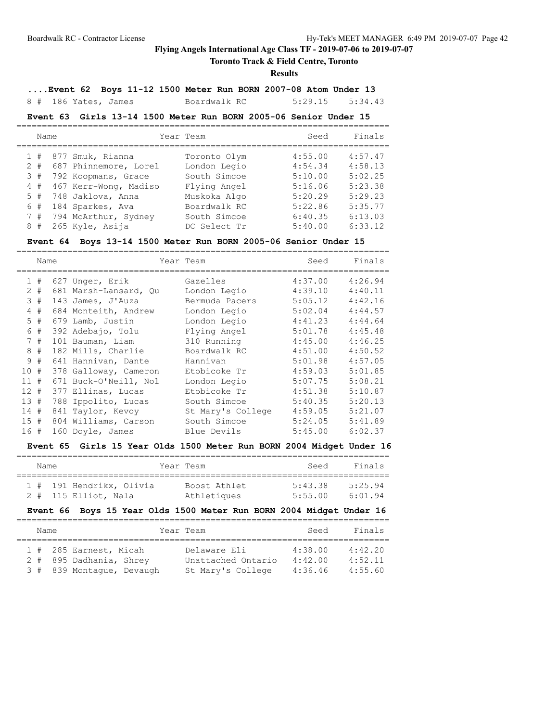# **Toronto Track & Field Centre, Toronto**

### **Results**

**....Event 62 Boys 11-12 1500 Meter Run BORN 2007-08 Atom Under 13**

8 # 186 Yates, James Boardwalk RC 5:29.15 5:34.43

### **Event 63 Girls 13-14 1500 Meter Run BORN 2005-06 Senior Under 15**

| Name  |                          | Year Team    | Seed    | Finals  |
|-------|--------------------------|--------------|---------|---------|
|       | 1 # 877 Smuk, Rianna     | Toronto Olym | 4:55.00 | 4:57.47 |
| $2 +$ | 687 Phinnemore, Lorel    | London Legio | 4:54.34 | 4:58.13 |
| 3#    | 792 Koopmans, Grace      | South Simcoe | 5:10.00 | 5:02.25 |
| 4#    | 467 Kerr-Wong, Madiso    | Flying Angel | 5:16.06 | 5:23.38 |
| 5#    | 748 Jaklova, Anna        | Muskoka Algo | 5:20.29 | 5:29.23 |
| 6#    | 184 Sparkes, Ava         | Boardwalk RC | 5:22.86 | 5:35.77 |
|       | 7 # 794 McArthur, Sydney | South Simcoe | 6:40.35 | 6:13.03 |
| 8#    | 265 Kyle, Asija          | DC Select Tr | 5:40.00 | 6:33.12 |

### **Event 64 Boys 13-14 1500 Meter Run BORN 2005-06 Senior Under 15**

|      | Name |     |                       | Year Team         | Seed    | Finals  |
|------|------|-----|-----------------------|-------------------|---------|---------|
|      | 1#   |     | 627 Unger, Erik       | Gazelles          | 4:37.00 | 4:26.94 |
| 2    | #    |     | 681 Marsh-Lansard, Ou | London Legio      | 4:39.10 | 4:40.11 |
| 3    | #    |     | 143 James, J'Auza     | Bermuda Pacers    | 5:05.12 | 4:42.16 |
| 4    | #    |     | 684 Monteith, Andrew  | London Legio      | 5:02.04 | 4:44.57 |
|      | 5#   |     | 679 Lamb, Justin      | London Legio      | 4:41.23 | 4:44.64 |
| 6    | #    |     | 392 Adebajo, Tolu     | Flying Angel      | 5:01.78 | 4:45.48 |
|      | 7#   |     | 101 Bauman, Liam      | 310 Running       | 4:45.00 | 4:46.25 |
| 8    | #    |     | 182 Mills, Charlie    | Boardwalk RC      | 4:51.00 | 4:50.52 |
| 9    | #    |     | 641 Hannivan, Dante   | Hannivan          | 5:01.98 | 4:57.05 |
| 10#  |      |     | 378 Galloway, Cameron | Etobicoke Tr      | 4:59.03 | 5:01.85 |
| 11#  |      |     | 671 Buck-O'Neill, Nol | London Legio      | 5:07.75 | 5:08.21 |
| 12#  |      |     | 377 Ellinas, Lucas    | Etobicoke Tr      | 4:51.38 | 5:10.87 |
| 13#  |      | 788 | Ippolito, Lucas       | South Simcoe      | 5:40.35 | 5:20.13 |
| 14#  |      |     | 841 Taylor, Kevoy     | St Mary's College | 4:59.05 | 5:21.07 |
| 15#  |      |     | 804 Williams, Carson  | South Simcoe      | 5:24.05 | 5:41.89 |
| 16 # |      |     | 160 Doyle, James      | Blue Devils       | 5:45.00 | 6:02.37 |

### **Event 65 Girls 15 Year Olds 1500 Meter Run BORN 2004 Midget Under 16**

| Name |                          | Year Team    | Seed    | Finals          |
|------|--------------------------|--------------|---------|-----------------|
|      |                          |              |         |                 |
|      | 1 # 191 Hendrikx, Olivia | Boost Athlet | 5:43.38 | 5:25.94         |
|      | $2$ # 115 Elliot, Nala   | Athletiques  | 5:55.00 | $6 \cdot 01$ 94 |

# **Event 66 Boys 15 Year Olds 1500 Meter Run BORN 2004 Midget Under 16**

|  |  |  |      |  |                                                                                | Seed                      | Finals  |  |
|--|--|--|------|--|--------------------------------------------------------------------------------|---------------------------|---------|--|
|  |  |  |      |  |                                                                                |                           |         |  |
|  |  |  |      |  |                                                                                |                           | 4:42.20 |  |
|  |  |  |      |  | Unattached Ontario                                                             | 4:42.00                   | 4:52.11 |  |
|  |  |  |      |  | St Mary's College                                                              | 4:36.46                   | 4:55.60 |  |
|  |  |  | Name |  | 1 # 285 Earnest, Micah<br>2 # 895 Dadhania, Shrey<br>3 # 839 Montaque, Devaugh | Year Team<br>Delaware Eli | 4:38.00 |  |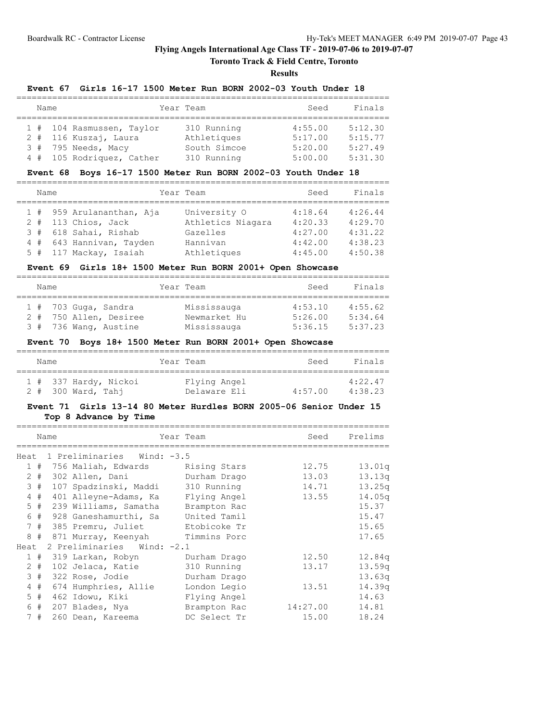# **Toronto Track & Field Centre, Toronto**

**Results**

### **Event 67 Girls 16-17 1500 Meter Run BORN 2002-03 Youth Under 18**

| Name |                           | Year Team    | Seed    | Finals  |
|------|---------------------------|--------------|---------|---------|
|      |                           |              |         |         |
|      | 1 # 104 Rasmussen, Taylor | 310 Running  | 4:55.00 | 5:12.30 |
|      | 2 # 116 Kuszaj, Laura     | Athletiques  | 5:17.00 | 5:15.77 |
|      | 3 # 795 Needs, Macy       | South Simcoe | 5:20.00 | 5:27.49 |
|      | 4 # 105 Rodriquez, Cather | 310 Running  | 5:00.00 | 5:31.30 |

#### **Event 68 Boys 16-17 1500 Meter Run BORN 2002-03 Youth Under 18**

| Name |                           | Year Team         | Seed    | Finals  |
|------|---------------------------|-------------------|---------|---------|
|      |                           |                   |         |         |
|      | 1 # 959 Arulananthan, Aja | University O      | 4:18.64 | 4:26.44 |
|      | $2$ # 113 Chios, Jack     | Athletics Niagara | 4:20.33 | 4:29.70 |
|      | 3 # 618 Sahai, Rishab     | Gazelles          | 4:27.00 | 4:31.22 |
|      | 4 # 643 Hannivan, Tayden  | Hannivan          | 4:42.00 | 4:38.23 |
|      | 5 # 117 Mackay, Isaiah    | Athletiques       | 4:45.00 | 4:50.38 |

### **Event 69 Girls 18+ 1500 Meter Run BORN 2001+ Open Showcase**

|  | Name |                        | Year Team    | Seed    | Finals  |
|--|------|------------------------|--------------|---------|---------|
|  |      |                        |              |         |         |
|  |      | $1$ # 703 Guga, Sandra | Mississauga  | 4:53.10 | 4:55.62 |
|  |      | 2 # 750 Allen, Desiree | Newmarket Hu | 5:26.00 | 5:34.64 |
|  |      | 3 # 736 Wang, Austine  | Mississauga  | 5:36.15 | 5:37.23 |

#### **Event 70 Boys 18+ 1500 Meter Run BORN 2001+ Open Showcase**

| Name |                       | Year Team    | Seed    | Finals  |
|------|-----------------------|--------------|---------|---------|
|      | 1 # 337 Hardy, Nickoi | Flying Angel |         | 4:22.47 |
|      | $2$ # 300 Ward, Tahi  | Delaware Eli | 4:57.00 | 4:38.23 |

### **Event 71 Girls 13-14 80 Meter Hurdles BORN 2005-06 Senior Under 15 Top 8 Advance by Time**

|      |       | Name | Year Team                         |              | Seed     | Prelims            |
|------|-------|------|-----------------------------------|--------------|----------|--------------------|
| Heat |       |      | 1 Preliminaries Wind: -3.5        |              |          |                    |
|      |       |      | 1 # 756 Maliah, Edwards           | Rising Stars | 12.75    | 13.01q             |
|      |       |      | 2 # 302 Allen, Dani               | Durham Drago | 13.03    | 13.13q             |
|      | 3#    |      | 107 Spadzinski, Maddi 310 Running |              | 14.71    | 13.25q             |
|      | $4$ # |      | 401 Alleyne-Adams, Ka             | Flying Angel | 13.55    | 14.05 <sub>q</sub> |
|      | $5$ # |      | 239 Williams, Samatha             | Brampton Rac |          | 15.37              |
|      | 6#    |      | 928 Ganeshamurthi, Sa             | United Tamil |          | 15.47              |
|      | 7#    |      | 385 Premru, Juliet                | Etobicoke Tr |          | 15.65              |
|      | 8#    |      | 871 Murray, Keenyah               | Timmins Porc |          | 17.65              |
| Heat |       |      | 2 Preliminaries Wind: -2.1        |              |          |                    |
|      | 1#    |      | 319 Larkan, Robyn                 | Durham Drago | 12.50    | 12.84q             |
|      | $2 +$ |      | 102 Jelaca, Katie                 | 310 Running  | 13.17    | 13.59q             |
|      | 3#    |      | 322 Rose, Jodie                   | Durham Drago |          | 13.63q             |
|      | 4#    |      | 674 Humphries, Allie              | London Legio | 13.51    | 14.39q             |
|      | 5#    |      | 462 Idowu, Kiki                   | Flying Angel |          | 14.63              |
|      | 6#    |      | 207 Blades, Nya                   | Brampton Rac | 14:27.00 | 14.81              |
|      | 7#    |      | 260 Dean, Kareema                 | DC Select Tr | 15.00    | 18.24              |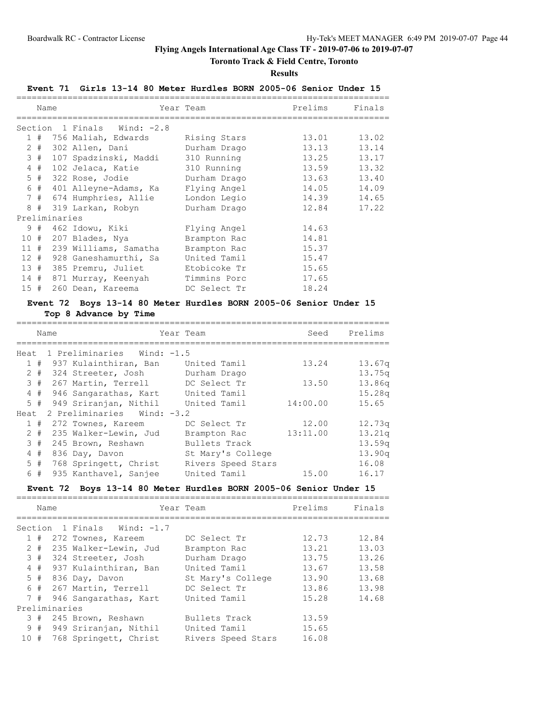# **Toronto Track & Field Centre, Toronto**

#### **Results**

### **Event 71 Girls 13-14 80 Meter Hurdles BORN 2005-06 Senior Under 15**

|        | Name  |               |                             | Year Team    | Prelims | Finals |
|--------|-------|---------------|-----------------------------|--------------|---------|--------|
|        |       |               | Section 1 Finals Wind: -2.8 |              |         |        |
|        |       |               | 1 # 756 Maliah, Edwards     | Rising Stars | 13.01   | 13.02  |
|        | $2 +$ |               | 302 Allen, Dani             | Durham Drago | 13.13   | 13.14  |
|        | 3#    |               | 107 Spadzinski, Maddi       | 310 Running  | 13.25   | 13.17  |
|        | $4$ # |               | 102 Jelaca, Katie           | 310 Running  | 13.59   | 13.32  |
|        |       |               | 5 # 322 Rose, Jodie         | Durham Drago | 13.63   | 13.40  |
|        | 6#    |               | 401 Alleyne-Adams, Ka       | Flying Angel | 14.05   | 14.09  |
|        |       |               | 7 # 674 Humphries, Allie    | London Legio | 14.39   | 14.65  |
|        |       |               | 8 # 319 Larkan, Robyn       | Durham Drago | 12.84   | 17.22  |
|        |       | Preliminaries |                             |              |         |        |
|        | 9#    |               | 462 Idowu, Kiki             | Flying Angel | 14.63   |        |
| 10#    |       |               | 207 Blades, Nya             | Brampton Rac | 14.81   |        |
| 11#    |       |               | 239 Williams, Samatha       | Brampton Rac | 15.37   |        |
| $12 +$ |       |               | 928 Ganeshamurthi, Sa       | United Tamil | 15.47   |        |
|        |       |               | 13 # 385 Premru, Juliet     | Etobicoke Tr | 15.65   |        |
|        |       |               | 14 # 871 Murray, Keenyah    | Timmins Porc | 17.65   |        |
| 15#    |       |               | 260 Dean, Kareema           | DC Select Tr | 18.24   |        |

# **Event 72 Boys 13-14 80 Meter Hurdles BORN 2005-06 Senior Under 15**

# **Top 8 Advance by Time**

|       | Name | Year Team                  |                    | Seed     | Prelims |
|-------|------|----------------------------|--------------------|----------|---------|
|       |      |                            |                    |          |         |
| Heat  |      | 1 Preliminaries Wind: -1.5 |                    |          |         |
| 1#    |      | 937 Kulainthiran, Ban      | United Tamil       | 13.24    | 13.67q  |
| $2 +$ |      | 324 Streeter, Josh         | Durham Drago       |          | 13.75q  |
| 3#    |      | 267 Martin, Terrell        | DC Select Tr       | 13.50    | 13.86q  |
| 4#    |      | 946 Sangarathas, Kart      | United Tamil       |          | 15.28q  |
| $5$ # |      | 949 Sriranjan, Nithil      | United Tamil       | 14:00.00 | 15.65   |
| Heat  |      | 2 Preliminaries Wind: -3.2 |                    |          |         |
| 1#    |      | 272 Townes, Kareem         | DC Select Tr       | 12.00    | 12.73q  |
| $2 +$ |      | 235 Walker-Lewin, Jud      | Brampton Rac       | 13:11.00 | 13.21q  |
| 3#    |      | 245 Brown, Reshawn         | Bullets Track      |          | 13.59q  |
| 4#    |      | 836 Day, Davon             | St Mary's College  |          | 13.90q  |
| $5$ # |      | 768 Springett, Christ      | Rivers Speed Stars |          | 16.08   |
| 6 #   |      | 935 Kanthavel, Sanjee      | United Tamil       | 15.00    | 16.17   |

#### **Event 72 Boys 13-14 80 Meter Hurdles BORN 2005-06 Senior Under 15**

|     | Name |               |                             | Year Team          | Prelims | Finals |
|-----|------|---------------|-----------------------------|--------------------|---------|--------|
|     |      |               |                             |                    |         |        |
|     |      |               | Section 1 Finals Wind: -1.7 |                    |         |        |
|     | 1#   |               | 272 Townes, Kareem          | DC Select Tr       | 12.73   | 12.84  |
|     |      |               | 2 # 235 Walker-Lewin, Jud   | Brampton Rac       | 13.21   | 13.03  |
|     | 3#   |               | 324 Streeter, Josh          | Durham Drago       | 13.75   | 13.26  |
|     |      |               | 4 # 937 Kulainthiran, Ban   | United Tamil       | 13.67   | 13.58  |
|     |      |               | $5$ # 836 Day, Davon        | St Mary's College  | 13.90   | 13.68  |
|     |      |               | 6 # 267 Martin, Terrell     | DC Select Tr       | 13.86   | 13.98  |
|     | 7#   |               | 946 Sangarathas, Kart       | United Tamil       | 15.28   | 14.68  |
|     |      | Preliminaries |                             |                    |         |        |
|     | 3#   |               | 245 Brown, Reshawn          | Bullets Track      | 13.59   |        |
|     |      |               | 9 # 949 Sriranjan, Nithil   | United Tamil       | 15.65   |        |
| 10# |      |               | 768 Springett, Christ       | Rivers Speed Stars | 16.08   |        |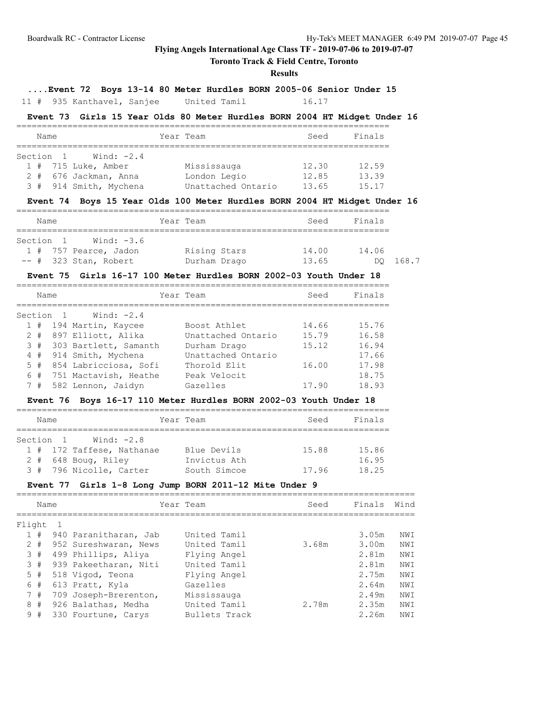# **Toronto Track & Field Centre, Toronto**

### **Results**

**....Event 72 Boys 13-14 80 Meter Hurdles BORN 2005-06 Senior Under 15**

11 # 935 Kanthavel, Sanjee United Tamil 16.17

### **Event 73 Girls 15 Year Olds 80 Meter Hurdles BORN 2004 HT Midget Under 16**

| Name      |                        |  | Year Team          | Seed  | Finals |  |  |
|-----------|------------------------|--|--------------------|-------|--------|--|--|
|           |                        |  |                    |       |        |  |  |
| Section 1 | Wind: -2.4             |  |                    |       |        |  |  |
|           | $1$ # 715 Luke, Amber  |  | Mississauga        | 12.30 | 12.59  |  |  |
|           | 2 # 676 Jackman, Anna  |  | London Legio       | 12.85 | 13.39  |  |  |
|           | 3 # 914 Smith, Mychena |  | Unattached Ontario | 13.65 | 15.17  |  |  |

### **Event 74 Boys 15 Year Olds 100 Meter Hurdles BORN 2004 HT Midget Under 16**

| Name      |                            | Year Team    | Seed  | Finals |       |
|-----------|----------------------------|--------------|-------|--------|-------|
|           |                            |              |       |        |       |
| Section 1 | Wind: -3.6                 |              |       |        |       |
|           | $1$ $\#$ 757 Pearce, Jadon | Rising Stars | 14.00 | 14.06  |       |
|           | $--$ # 323 Stan, Robert    | Durham Drago | 13.65 |        | 168.7 |

### **Event 75 Girls 16-17 100 Meter Hurdles BORN 2002-03 Youth Under 18**

|           | Name  |                           | Year Team          | Seed  | Finals |
|-----------|-------|---------------------------|--------------------|-------|--------|
|           |       |                           |                    |       |        |
| Section 1 |       | Wind: $-2.4$              |                    |       |        |
|           | 1#    | 194 Martin, Kaycee        | Boost Athlet       | 14.66 | 15.76  |
|           | $2 +$ | 897 Elliott, Alika        | Unattached Ontario | 15.79 | 16.58  |
|           |       | 3 # 303 Bartlett, Samanth | Durham Drago       | 15.12 | 16.94  |
|           | 4#    | 914 Smith, Mychena        | Unattached Ontario |       | 17.66  |
|           | $5$ # | 854 Labricciosa, Sofi     | Thorold Elit       | 16.00 | 17.98  |
|           | 6#    | 751 Mactavish, Heathe     | Peak Velocit       |       | 18.75  |
|           | 7#    | 582 Lennon, Jaidyn        | Gazelles           | 17.90 | 18.93  |

# **Event 76 Boys 16-17 110 Meter Hurdles BORN 2002-03 Youth Under 18**

|           | Name |  |                           | Year Team    | Seed  | Finals |  |  |  |  |
|-----------|------|--|---------------------------|--------------|-------|--------|--|--|--|--|
|           |      |  |                           |              |       |        |  |  |  |  |
| Section 1 |      |  | Wind: -2.8                |              |       |        |  |  |  |  |
|           |      |  | 1 # 172 Taffese, Nathanae | Blue Devils  | 15.88 | 15.86  |  |  |  |  |
|           |      |  | $2$ # 648 Boug, Riley     | Invictus Ath |       | 16.95  |  |  |  |  |
|           |      |  | 3 # 796 Nicolle, Carter   | South Simcoe | 17.96 | 18.25  |  |  |  |  |

### **Event 77 Girls 1-8 Long Jump BORN 2011-12 Mite Under 9**

|        | Name |                       | Year Team     | Seed  | Finals | Wind |
|--------|------|-----------------------|---------------|-------|--------|------|
| Flight |      |                       |               |       |        |      |
| 1#     |      | 940 Paranitharan, Jab | United Tamil  |       | 3.05m  | NWI  |
| $2 +$  |      | 952 Sureshwaran, News | United Tamil  | 3.68m | 3.00m  | NWI  |
| 3#     |      | 499 Phillips, Aliya   | Flying Angel  |       | 2.81m  | NWI  |
|        | 3#   | 939 Pakeetharan, Niti | United Tamil  |       | 2.81m  | NWI  |
| 5#     |      | 518 Vigod, Teona      | Flying Angel  |       | 2.75m  | NWI  |
|        | 6#   | 613 Pratt, Kyla       | Gazelles      |       | 2.64m  | NWI  |
| 7#     |      | 709 Joseph-Brerenton, | Mississauga   |       | 2.49m  | NWI  |
| 8      | #    | 926 Balathas, Medha   | United Tamil  | 2.78m | 2.35m  | NWI  |
| 9#     |      | 330 Fourtune, Carys   | Bullets Track |       | 2.26m  | NWI  |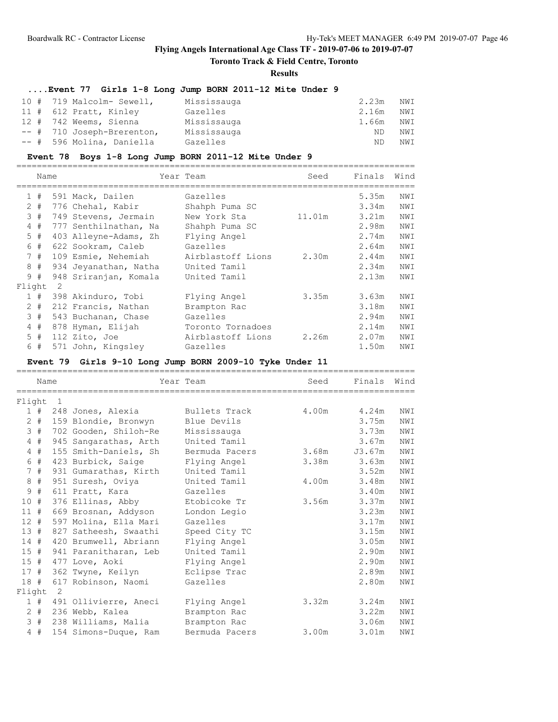# **Toronto Track & Field Centre, Toronto**

#### **Results**

# **....Event 77 Girls 1-8 Long Jump BORN 2011-12 Mite Under 9**

| 10 # 719 Malcolm- Sewell,  | Mississauga | 2.23m | NWI |
|----------------------------|-------------|-------|-----|
| 11 # 612 Pratt, Kinley     | Gazelles    | 2.16m | NWI |
| 12 # 742 Weems, Sienna     | Mississauga | 1.66m | NWI |
| -- # 710 Joseph-Brerenton, | Mississauga | ND.   | NWI |
| -- # 596 Molina, Daniella  | Gazelles    | ND.   | NWI |

#### **Event 78 Boys 1-8 Long Jump BORN 2011-12 Mite Under 9**

|                | Name  |                |                       | Year Team         | Seed   | Finals | Wind |
|----------------|-------|----------------|-----------------------|-------------------|--------|--------|------|
|                | 1#    |                | 591 Mack, Dailen      | Gazelles          |        | 5.35m  | NWI  |
|                | $2 +$ |                | 776 Chehal, Kabir     | Shahph Puma SC    |        | 3.34m  | NWI  |
| 3              | #     |                | 749 Stevens, Jermain  | New York Sta      | 11.01m | 3.21m  | NWI  |
| $\overline{4}$ | #     |                | 777 Senthilnathan, Na | Shahph Puma SC    |        | 2.98m  | NWI  |
|                | $5$ # |                | 403 Alleyne-Adams, Zh | Flying Angel      |        | 2.74m  | NWI  |
| 6              | #     |                | 622 Sookram, Caleb    | Gazelles          |        | 2.64m  | NWI  |
|                | 7#    |                | 109 Esmie, Nehemiah   | Airblastoff Lions | 2.30m  | 2.44m  | NWI  |
| 8              | #     |                | 934 Jeyanathan, Natha | United Tamil      |        | 2.34m  | NWI  |
| 9              | #     |                | 948 Sriranjan, Komala | United Tamil      |        | 2.13m  | NWI  |
| Flight         |       | $\overline{2}$ |                       |                   |        |        |      |
|                | 1#    |                | 398 Akinduro, Tobi    | Flying Angel      | 3.35m  | 3.63m  | NWI  |
|                | $2 +$ |                | 212 Francis, Nathan   | Brampton Rac      |        | 3.18m  | NWI  |
|                | 3#    |                | 543 Buchanan, Chase   | Gazelles          |        | 2.94m  | NWI  |
|                | 4#    |                | 878 Hyman, Elijah     | Toronto Tornadoes |        | 2.14m  | NWI  |
|                | 5#    |                | 112 Zito, Joe         | Airblastoff Lions | 2.26m  | 2.07m  | NWI  |
| 6              | #     |                | 571 John, Kingsley    | Gazelles          |        | 1.50m  | NWI  |

# **Event 79 Girls 9-10 Long Jump BORN 2009-10 Tyke Under 11**

|         | Name  |                |                       | Year Team      | Seed  | Finals | Wind |
|---------|-------|----------------|-----------------------|----------------|-------|--------|------|
|         |       |                |                       |                |       |        |      |
| Flight  |       | $\overline{1}$ |                       |                |       |        |      |
|         | 1#    |                | 248 Jones, Alexia     | Bullets Track  | 4.00m | 4.24m  | NWI  |
|         | $2$ # |                | 159 Blondie, Bronwyn  | Blue Devils    |       | 3.75m  | NWI  |
| 3       | #     |                | 702 Gooden, Shiloh-Re | Mississauga    |       | 3.73m  | NWI  |
|         | $4$ # |                | 945 Sangarathas, Arth | United Tamil   |       | 3.67m  | NWI  |
|         | 4#    |                | 155 Smith-Daniels, Sh | Bermuda Pacers | 3.68m | J3.67m | NWI  |
| 6       | #     |                | 423 Burbick, Saige    | Flying Angel   | 3.38m | 3.63m  | NWI  |
|         | 7#    |                | 931 Gumarathas, Kirth | United Tamil   |       | 3.52m  | NWI  |
| $\,8\,$ | #     |                | 951 Suresh, Oviya     | United Tamil   | 4.00m | 3.48m  | NWI  |
| 9       | #     |                | 611 Pratt, Kara       | Gazelles       |       | 3.40m  | NWI  |
| 10#     |       |                | 376 Ellinas, Abby     | Etobicoke Tr   | 3.56m | 3.37m  | NWI  |
| 11#     |       |                | 669 Brosnan, Addyson  | London Legio   |       | 3.23m  | NWI  |
| 12#     |       |                | 597 Molina, Ella Mari | Gazelles       |       | 3.17m  | NWI  |
| 13#     |       |                | 827 Satheesh, Swaathi | Speed City TC  |       | 3.15m  | NWI  |
| 14#     |       |                | 420 Brumwell, Abriann | Flying Angel   |       | 3.05m  | NWI  |
| 15#     |       |                | 941 Paranitharan, Leb | United Tamil   |       | 2.90m  | NWI  |
| 15#     |       |                | 477 Love, Aoki        | Flying Angel   |       | 2.90m  | NWI  |
| 17#     |       |                | 362 Twyne, Keilyn     | Eclipse Trac   |       | 2.89m  | NWI  |
| 18#     |       |                | 617 Robinson, Naomi   | Gazelles       |       | 2.80m  | NWI  |
| Flight  |       | $\overline{2}$ |                       |                |       |        |      |
|         | 1#    |                | 491 Ollivierre, Aneci | Flying Angel   | 3.32m | 3.24m  | NWI  |
|         | $2$ # |                | 236 Webb, Kalea       | Brampton Rac   |       | 3.22m  | NWI  |
|         | 3#    |                | 238 Williams, Malia   | Brampton Rac   |       | 3.06m  | NWI  |
|         | 4#    |                | 154 Simons-Duque, Ram | Bermuda Pacers | 3.00m | 3.01m  | NWI  |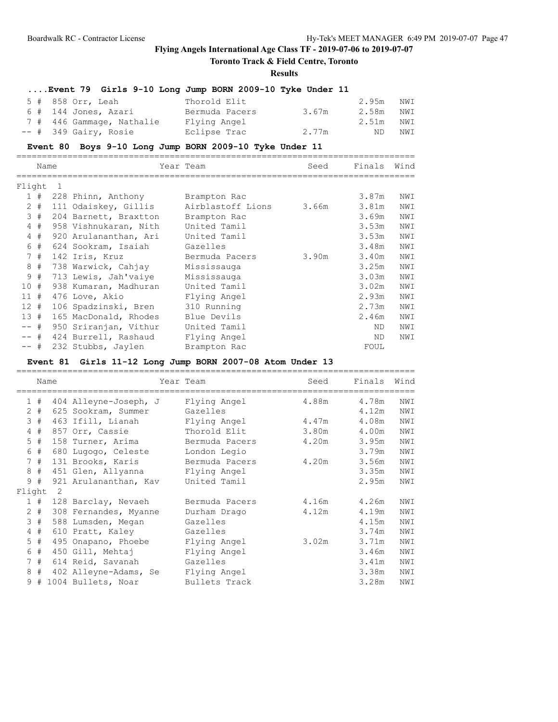# **Toronto Track & Field Centre, Toronto**

#### **Results**

# **....Event 79 Girls 9-10 Long Jump BORN 2009-10 Tyke Under 11**

| 5 # 858 Orr, Leah         | Thorold Elit   |       | 2.95m NWI |     |
|---------------------------|----------------|-------|-----------|-----|
| $6$ # 144 Jones, Azari    | Bermuda Pacers | 3.67m | 2.58m NWI |     |
| 7 # 446 Gammage, Nathalie | Flying Angel   |       | 2.51m NWI |     |
| $--$ # 349 Gairy, Rosie   | Eclipse Trac   | 2.77m | ND 1      | NWI |

### **Event 80 Boys 9-10 Long Jump BORN 2009-10 Tyke Under 11**

|        | Name  |                |                       | Year Team         | Seed  | Finals | Wind |
|--------|-------|----------------|-----------------------|-------------------|-------|--------|------|
| Flight |       | $\overline{1}$ |                       |                   |       |        |      |
|        | 1#    |                | 228 Phinn, Anthony    | Brampton Rac      |       | 3.87m  | NWI  |
|        | $2 +$ |                | 111 Odaiskey, Gillis  | Airblastoff Lions | 3.66m | 3.81m  | NWI  |
|        | 3#    |                | 204 Barnett, Braxtton | Brampton Rac      |       | 3.69m  | NWI  |
|        | $4$ # |                | 958 Vishnukaran, Nith | United Tamil      |       | 3.53m  | NWI  |
|        | 4#    |                | 920 Arulananthan, Ari | United Tamil      |       | 3.53m  | NWI  |
|        | 6#    |                | 624 Sookram, Isaiah   | Gazelles          |       | 3.48m  | NWI  |
|        | 7#    |                | 142 Iris, Kruz        | Bermuda Pacers    | 3.90m | 3.40m  | NWI  |
| 8      | #     |                | 738 Warwick, Cahjay   | Mississauga       |       | 3.25m  | NWI  |
| 9      | #     |                | 713 Lewis, Jah'vaiye  | Mississauga       |       | 3.03m  | NWI  |
| 10#    |       |                | 938 Kumaran, Madhuran | United Tamil      |       | 3.02m  | NWI  |
| 11#    |       |                | 476 Love, Akio        | Flying Angel      |       | 2.93m  | NWI  |
| 12#    |       |                | 106 Spadzinski, Bren  | 310 Running       |       | 2.73m  | NWI  |
| 13#    |       |                | 165 MacDonald, Rhodes | Blue Devils       |       | 2.46m  | NWI  |
| $--$ # |       |                | 950 Sriranjan, Vithur | United Tamil      |       | ND.    | NWI  |
| $--$ # |       |                | 424 Burrell, Rashaud  | Flying Angel      |       | ND.    | NWI  |
| $--$ # |       |                | 232 Stubbs, Jaylen    | Brampton Rac      |       | FOUL   |      |

# **Event 81 Girls 11-12 Long Jump BORN 2007-08 Atom Under 13**

|        |       | Name |                       | Year Team      | Seed  | Finals | Wind |
|--------|-------|------|-----------------------|----------------|-------|--------|------|
|        |       |      |                       |                |       |        |      |
|        | 1#    |      | 404 Alleyne-Joseph, J | Flying Angel   | 4.88m | 4.78m  | NWI  |
|        | $2 +$ |      | 625 Sookram, Summer   | Gazelles       |       | 4.12m  | NWI  |
| 3      | #     |      | 463 Ifill, Lianah     | Flying Angel   | 4.47m | 4.08m  | NWI  |
|        | 4#    |      | 857 Orr, Cassie       | Thorold Elit   | 3.80m | 4.00m  | NWI  |
|        | $5$ # |      | 158 Turner, Arima     | Bermuda Pacers | 4.20m | 3.95m  | NWI  |
| 6      | #     |      | 680 Lugogo, Celeste   | London Legio   |       | 3.79m  | NWI  |
|        | 7#    |      | 131 Brooks, Karis     | Bermuda Pacers | 4.20m | 3.56m  | NWI  |
| 8      | #     |      | 451 Glen, Allyanna    | Flying Angel   |       | 3.35m  | NWI  |
| 9      | #     |      | 921 Arulananthan, Kav | United Tamil   |       | 2.95m  | NWI  |
| Flight |       | -2   |                       |                |       |        |      |
|        | 1#    |      | 128 Barclay, Nevaeh   | Bermuda Pacers | 4.16m | 4.26m  | NWI  |
|        | $2$ # |      | 308 Fernandes, Myanne | Durham Drago   | 4.12m | 4.19m  | NWI  |
|        | 3#    |      | 588 Lumsden, Megan    | Gazelles       |       | 4.15m  | NWI  |
|        | $4$ # |      | 610 Pratt, Kaley      | Gazelles       |       | 3.74m  | NWI  |
|        | $5$ # |      | 495 Onapano, Phoebe   | Flying Angel   | 3.02m | 3.71m  | NWI  |
| 6      | #     |      | 450 Gill, Mehtaj      | Flying Angel   |       | 3.46m  | NWI  |
|        | 7#    |      | 614 Reid, Savanah     | Gazelles       |       | 3.41m  | NWI  |
| 8      | #     |      | 402 Alleyne-Adams, Se | Flying Angel   |       | 3.38m  | NWI  |
| 9      | #     |      | 1004 Bullets, Noar    | Bullets Track  |       | 3.28m  | NWI  |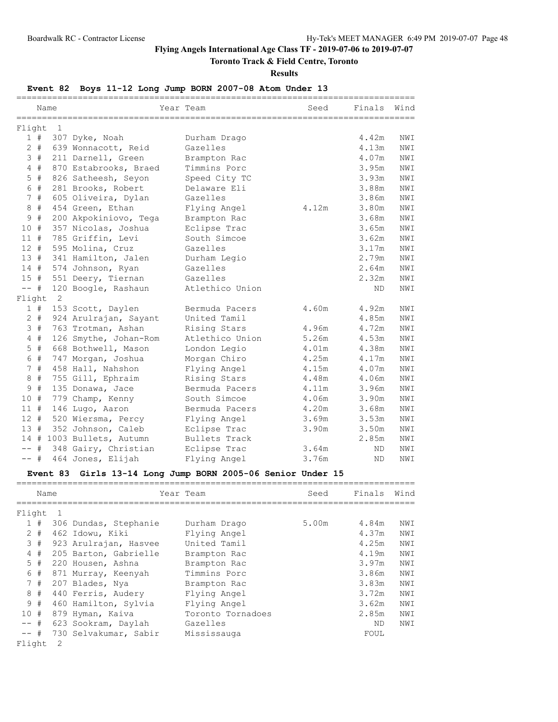# **Toronto Track & Field Centre, Toronto**

**Results**

# **Event 82 Boys 11-12 Long Jump BORN 2007-08 Atom Under 13**

|        |       | ============<br>Name | ========================  | Year Team       | --------------------------------<br>Seed | Finals Wind |     |
|--------|-------|----------------------|---------------------------|-----------------|------------------------------------------|-------------|-----|
| Flight |       | 1                    |                           |                 |                                          |             |     |
|        | 1#    |                      | 307 Dyke, Noah            | Durham Drago    |                                          | 4.42m       | NWI |
|        | $2$ # |                      | 639 Wonnacott, Reid       | Gazelles        |                                          | 4.13m       | NWI |
|        | 3#    |                      | 211 Darnell, Green        | Brampton Rac    |                                          | 4.07m       | NWI |
|        | $4$ # |                      | 870 Estabrooks, Braed     | Timmins Porc    |                                          | 3.95m       | NWI |
| 5      | #     |                      | 826 Satheesh, Seyon       | Speed City TC   |                                          | 3.93m       | NWI |
|        | 6 #   |                      | 281 Brooks, Robert        | Delaware Eli    |                                          | 3.88m       | NWI |
|        | 7#    |                      | 605 Oliveira, Dylan       | Gazelles        |                                          | 3.86m       | NWI |
| 8      | #     |                      | 454 Green, Ethan          | Flying Angel    | 4.12m                                    | 3.80m       | NWI |
| 9      | #     |                      | 200 Akpokiniovo, Tega     | Brampton Rac    |                                          | 3.68m       | NWI |
| 10#    |       |                      | 357 Nicolas, Joshua       | Eclipse Trac    |                                          | 3.65m       | NWI |
| 11#    |       |                      | 785 Griffin, Levi         | South Simcoe    |                                          | 3.62m       | NWI |
| $12 +$ |       |                      | 595 Molina, Cruz          | Gazelles        |                                          | 3.17m       | NWI |
| 13#    |       |                      | 341 Hamilton, Jalen       | Durham Legio    |                                          | 2.79m       | NWI |
| 14#    |       |                      | 574 Johnson, Ryan         | Gazelles        |                                          | 2.64m       | NWI |
| 15#    |       |                      | 551 Deery, Tiernan        | Gazelles        |                                          | 2.32m       | NWI |
| $--$   | #     |                      | 120 Boogle, Rashaun       | Atlethico Union |                                          | ND.         | NWI |
| Flight |       | 2                    |                           |                 |                                          |             |     |
|        | 1#    |                      | 153 Scott, Daylen         | Bermuda Pacers  | 4.60m                                    | 4.92m       | NWI |
|        | $2 +$ |                      | 924 Arulrajan, Sayant     | United Tamil    |                                          | 4.85m       | NWI |
|        | 3#    |                      | 763 Trotman, Ashan        | Rising Stars    | 4.96m                                    | 4.72m       | NWI |
|        | $4$ # |                      | 126 Smythe, Johan-Rom     | Atlethico Union | 5.26m                                    | 4.53m       | NWI |
| 5      | #     |                      | 668 Bothwell, Mason       | London Legio    | 4.01m                                    | 4.38m       | NWI |
| 6      | #     |                      | 747 Morgan, Joshua        | Morgan Chiro    | 4.25m                                    | 4.17m       | NWI |
|        | 7#    |                      | 458 Hall, Nahshon         | Flying Angel    | 4.15m                                    | 4.07m       | NWI |
| 8      | #     |                      | 755 Gill, Ephraim         | Rising Stars    | 4.48m                                    | 4.06m       | NWI |
| 9      | #     |                      | 135 Donawa, Jace          | Bermuda Pacers  | 4.11m                                    | 3.96m       | NWI |
| 10#    |       |                      | 779 Champ, Kenny          | South Simcoe    | 4.06m                                    | 3.90m       | NWI |
| 11#    |       |                      | 146 Lugo, Aaron           | Bermuda Pacers  | 4.20m                                    | 3.68m       | NWI |
| 12#    |       |                      | 520 Wiersma, Percy        | Flying Angel    | 3.69m                                    | 3.53m       | NWI |
| 13#    |       |                      | 352 Johnson, Caleb        | Eclipse Trac    | 3.90m                                    | 3.50m       | NWI |
|        |       |                      | 14 # 1003 Bullets, Autumn | Bullets Track   |                                          | 2.85m       | NWI |
|        | #     |                      | 348 Gairy, Christian      | Eclipse Trac    | 3.64m                                    | ND.         | NWI |
| $--$ # |       |                      | 464 Jones, Elijah         | Flying Angel    | 3.76m                                    | ND          | NWI |

### **Event 83 Girls 13-14 Long Jump BORN 2005-06 Senior Under 15**

|        | Name  |     |                       | Year Team         | Seed  | Finals | Wind |
|--------|-------|-----|-----------------------|-------------------|-------|--------|------|
| Flight |       | - 1 |                       |                   |       |        |      |
|        | 1#    |     | 306 Dundas, Stephanie | Durham Drago      | 5.00m | 4.84m  | NWI  |
|        | $2 +$ |     | 462 Idowu, Kiki       | Flying Angel      |       | 4.37m  | NWI  |
|        | 3#    |     | 923 Arulrajan, Hasvee | United Tamil      |       | 4.25m  | NWI  |
|        | 4#    |     | 205 Barton, Gabrielle | Brampton Rac      |       | 4.19m  | NWI  |
|        | $5$ # |     | 220 Housen, Ashna     | Brampton Rac      |       | 3.97m  | NWI  |
| 6      | #     |     | 871 Murray, Keenyah   | Timmins Porc      |       | 3.86m  | NWI  |
|        | 7#    |     | 207 Blades, Nya       | Brampton Rac      |       | 3.83m  | NWI  |
|        | 8#    |     | 440 Ferris, Audery    | Flying Angel      |       | 3.72m  | NWI  |
|        | 9#    |     | 460 Hamilton, Sylvia  | Flying Angel      |       | 3.62m  | NWI  |
| 10#    |       |     | 879 Hyman, Kaiva      | Toronto Tornadoes |       | 2.85m  | NWI  |
| $--$ # |       |     | 623 Sookram, Daylah   | Gazelles          |       | ND.    | NWI  |
| $--$ # |       |     | 730 Selvakumar, Sabir | Mississauga       |       | FOUL   |      |
| Flight |       | 2   |                       |                   |       |        |      |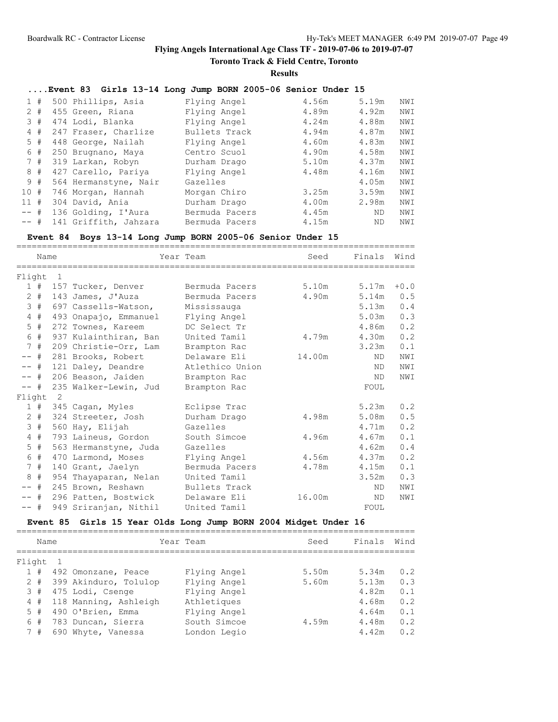**Toronto Track & Field Centre, Toronto**

**Results**

# **....Event 83 Girls 13-14 Long Jump BORN 2005-06 Senior Under 15**

| 1#     | 500 Phillips, Asia    | Flying Angel   | 4.56m | 5.19m     | NWI |
|--------|-----------------------|----------------|-------|-----------|-----|
| $2 +$  | 455 Green, Riana      | Flying Angel   | 4.89m | 4.92m     | NWI |
| 3#     | 474 Lodi, Blanka      | Flying Angel   | 4.24m | 4.88m     | NWI |
| 4#     | 247 Fraser, Charlize  | Bullets Track  | 4.94m | 4.87m     | NWI |
| 5#     | 448 George, Nailah    | Flying Angel   | 4.60m | 4.83m     | NWI |
| 6#     | 250 Brugnano, Maya    | Centro Scuol   | 4.90m | 4.58m     | NWI |
| 7#     | 319 Larkan, Robyn     | Durham Drago   | 5.10m | 4.37m     | NWI |
| 8#     | 427 Carello, Pariya   | Flying Angel   | 4.48m | 4.16m     | NWI |
| 9#     | 564 Hermanstyne, Nair | Gazelles       |       | 4.05m     | NWI |
| 10#    | 746 Morgan, Hannah    | Morgan Chiro   | 3.25m | 3.59m     | NWI |
| 11#    | 304 David, Ania       | Durham Drago   | 4.00m | 2.98m     | NWI |
| $--$ # | 136 Golding, I'Aura   | Bermuda Pacers | 4.45m | ND.       | NWI |
| $--$ # | 141 Griffith, Jahzara | Bermuda Pacers | 4.15m | <b>ND</b> | NWI |

### **Event 84 Boys 13-14 Long Jump BORN 2005-06 Senior Under 15**

|                | Name  |                |                       | Year Team       | Seed   | Finals Wind |        |
|----------------|-------|----------------|-----------------------|-----------------|--------|-------------|--------|
|                |       |                |                       |                 |        |             |        |
| Flight         |       | $\overline{1}$ |                       |                 |        |             |        |
|                | 1#    |                | 157 Tucker, Denver    | Bermuda Pacers  | 5.10m  | 5.17m       | $+0.0$ |
|                | $2 +$ |                | 143 James, J'Auza     | Bermuda Pacers  | 4.90m  | 5.14m       | 0.5    |
|                | 3#    |                | 697 Cassells-Watson,  | Mississauga     |        | 5.13m       | 0.4    |
|                | 4#    |                | 493 Onapajo, Emmanuel | Flying Angel    |        | 5.03m       | 0.3    |
|                | $5$ # |                | 272 Townes, Kareem    | DC Select Tr    |        | 4.86m       | 0.2    |
|                | 6 #   |                | 937 Kulainthiran, Ban | United Tamil    | 4.79m  | 4.30m       | 0.2    |
|                | 7#    |                | 209 Christie-Orr, Lam | Brampton Rac    |        | 3.23m       | 0.1    |
| $--$ #         |       |                | 281 Brooks, Robert    | Delaware Eli    | 14.00m | ND.         | NWI    |
| $--$ #         |       |                | 121 Daley, Deandre    | Atlethico Union |        | ND.         | NWI    |
| $--$ #         |       |                | 206 Beason, Jaiden    | Brampton Rac    |        | ND.         | NWI    |
| $--$ #         |       |                | 235 Walker-Lewin, Jud | Brampton Rac    |        | FOUL        |        |
| Flight         |       | $\overline{2}$ |                       |                 |        |             |        |
|                | 1#    |                | 345 Cagan, Myles      | Eclipse Trac    |        | 5.23m       | 0.2    |
|                | $2 +$ |                | 324 Streeter, Josh    | Durham Drago    | 4.98m  | 5.08m       | 0.5    |
| 3              | #     |                | 560 Hay, Elijah       | Gazelles        |        | 4.71m       | 0.2    |
| $\overline{4}$ | #     |                | 793 Laineus, Gordon   | South Simcoe    | 4.96m  | 4.67m       | 0.1    |
| 5              | #     |                | 563 Hermanstyne, Juda | Gazelles        |        | 4.62m       | 0.4    |
| 6              | #     |                | 470 Larmond, Moses    | Flying Angel    | 4.56m  | 4.37m       | 0.2    |
|                | 7#    |                | 140 Grant, Jaelyn     | Bermuda Pacers  | 4.78m  | 4.15m       | 0.1    |
| 8              | #     |                | 954 Thayaparan, Nelan | United Tamil    |        | 3.52m       | 0.3    |
| $--$ #         |       |                | 245 Brown, Reshawn    | Bullets Track   |        | ND.         | NWI    |
| -- #           |       |                | 296 Patten, Bostwick  | Delaware Eli    | 16.00m | ND.         | NWI    |
| $--$ #         |       |                | 949 Sriranjan, Nithil | United Tamil    |        | FOUL        |        |

# **Event 85 Girls 15 Year Olds Long Jump BORN 2004 Midget Under 16**

|        | Name  |                       | Year Team    | Seed  | Finals | Wind |
|--------|-------|-----------------------|--------------|-------|--------|------|
| Flight |       |                       |              |       |        |      |
|        | 1#    | 492 Omonzane, Peace   | Flying Angel | 5.50m | 5.34m  | 0.2  |
|        | $2 +$ | 399 Akinduro, Tolulop | Flying Angel | 5.60m | 5.13m  | 0.3  |
|        | 3#    | 475 Lodi, Csenge      | Flying Angel |       | 4.82m  | 0.1  |
| 4      | #     | 118 Manning, Ashleigh | Athletiques  |       | 4.68m  | 0.2  |
|        | $5$ # | 490 O'Brien, Emma     | Flying Angel |       | 4.64m  | 0.1  |
| 6      | #     | 783 Duncan, Sierra    | South Simcoe | 4.59m | 4.48m  | 0.2  |
|        | #     | 690 Whyte, Vanessa    | London Legio |       | 4.42m  | 0.2  |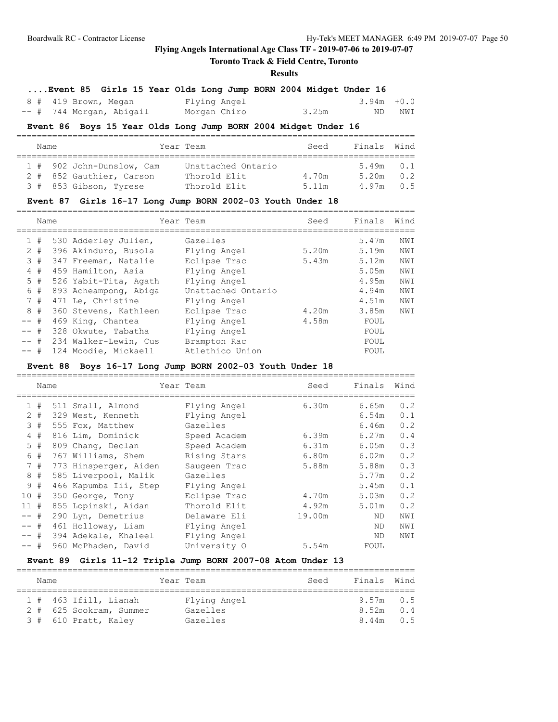# **Toronto Track & Field Centre, Toronto**

### **Results**

| Event 85 Girls 15 Year Olds Long Jump BORN 2004 Midget Under 16 |  |  |  |  |  |  |  |  |  |
|-----------------------------------------------------------------|--|--|--|--|--|--|--|--|--|
|-----------------------------------------------------------------|--|--|--|--|--|--|--|--|--|

| 8 # 419 Brown, Megan     | Flying Angel |       | $3.94m + 0.0$ |        |
|--------------------------|--------------|-------|---------------|--------|
| -- # 744 Morgan, Abigail | Morgan Chiro | 3.25m |               | ND NWI |

### **Event 86 Boys 15 Year Olds Long Jump BORN 2004 Midget Under 16**

| Name |  |                           | Year Team          | Seed  | Finals Wind   |     |  |  |  |  |
|------|--|---------------------------|--------------------|-------|---------------|-----|--|--|--|--|
|      |  |                           |                    |       |               |     |  |  |  |  |
|      |  | 1 # 902 John-Dunslow, Cam | Unattached Ontario |       | $5.49m$ 0.1   |     |  |  |  |  |
|      |  | 2 # 852 Gauthier, Carson  | Thorold Elit       | 4.70m | 5.20m         | 0.2 |  |  |  |  |
|      |  | 3 # 853 Gibson, Tyrese    | Thorold Elit       | 5 11m | $4.97m$ $0.5$ |     |  |  |  |  |

### **Event 87 Girls 16-17 Long Jump BORN 2002-03 Youth Under 18**

|              | Name  |                       | Year Team          | Seed  | Finals | Wind |
|--------------|-------|-----------------------|--------------------|-------|--------|------|
|              |       |                       |                    |       |        |      |
| $\mathbf{1}$ | #     | 530 Adderley Julien,  | Gazelles           |       | 5.47m  | NWI  |
|              | $2 +$ | 396 Akinduro, Busola  | Flying Angel       | 5.20m | 5.19m  | NWI  |
|              | 3#    | 347 Freeman, Natalie  | Eclipse Trac       | 5.43m | 5.12m  | NWI  |
|              | 4#    | 459 Hamilton, Asia    | Flying Angel       |       | 5.05m  | NWI  |
|              | $5$ # | 526 Yabit-Tita, Agath | Flying Angel       |       | 4.95m  | NWI  |
|              | 6 #   | 893 Acheampong, Abiga | Unattached Ontario |       | 4.94m  | NWI  |
|              | 7#    | 471 Le, Christine     | Flying Angel       |       | 4.51m  | NWI  |
|              | 8#    | 360 Stevens, Kathleen | Eclipse Trac       | 4.20m | 3.85m  | NWI  |
| $--$ #       |       | 469 King, Chantea     | Flying Angel       | 4.58m | FOUL   |      |
| -- #         |       | 328 Okwute, Tabatha   | Flying Angel       |       | FOUL   |      |
| $--$ #       |       | 234 Walker-Lewin, Cus | Brampton Rac       |       | FOUL   |      |
| -- #         |       | 124 Moodie, Mickaell  | Atlethico Union    |       | FOUL   |      |
|              |       |                       |                    |       |        |      |

# **Event 88 Boys 16-17 Long Jump BORN 2002-03 Youth Under 18**

|        | Name  |                       | Year Team    | Seed   | Finals | Wind |
|--------|-------|-----------------------|--------------|--------|--------|------|
|        | 1#    | 511 Small, Almond     | Flying Angel | 6.30m  | 6.65m  | 0.2  |
|        | $2 +$ | 329 West, Kenneth     | Flying Angel |        | 6.54m  | 0.1  |
|        | 3#    | 555 Fox, Matthew      | Gazelles     |        | 6.46m  | 0.2  |
|        | 4#    | 816 Lim, Dominick     | Speed Academ | 6.39m  | 6.27m  | 0.4  |
|        | 5#    | 809 Chang, Declan     | Speed Academ | 6.31m  | 6.05m  | 0.3  |
| 6      | #     | 767 Williams, Shem    | Rising Stars | 6.80m  | 6.02m  | 0.2  |
|        | 7#    | 773 Hinsperger, Aiden | Saugeen Trac | 5.88m  | 5.88m  | 0.3  |
|        | 8#    | 585 Liverpool, Malik  | Gazelles     |        | 5.77m  | 0.2  |
|        | 9#    | 466 Kapumba Iii, Step | Flying Angel |        | 5.45m  | 0.1  |
| 10#    |       | 350 George, Tony      | Eclipse Trac | 4.70m  | 5.03m  | 0.2  |
| 11#    |       | 855 Lopinski, Aidan   | Thorold Elit | 4.92m  | 5.01m  | 0.2  |
| $--$ # |       | 290 Lyn, Demetrius    | Delaware Eli | 19.00m | ND.    | NWI  |
| $--$ # |       | 461 Holloway, Liam    | Flying Angel |        | ND.    | NWI  |
| -- #   |       | 394 Adekale, Khaleel  | Flying Angel |        | ND.    | NWI  |
| -- #   |       | 960 McPhaden, David   | University O | 5.54m  | FOUL   |      |

### **Event 89 Girls 11-12 Triple Jump BORN 2007-08 Atom Under 13**

|  | Name |                         |  | Year Team    |  | Seed | Finals Wind |     |  |
|--|------|-------------------------|--|--------------|--|------|-------------|-----|--|
|  |      |                         |  |              |  |      |             |     |  |
|  |      | $1$ # 463 Ifill, Lianah |  | Flying Angel |  |      | $9.57m$ 0.5 |     |  |
|  |      | 2 # 625 Sookram, Summer |  | Gazelles     |  |      | 8.52m       | 0.4 |  |
|  |      | 3 # 610 Pratt, Kaley    |  | Gazelles     |  |      | 8.44m       | 0.5 |  |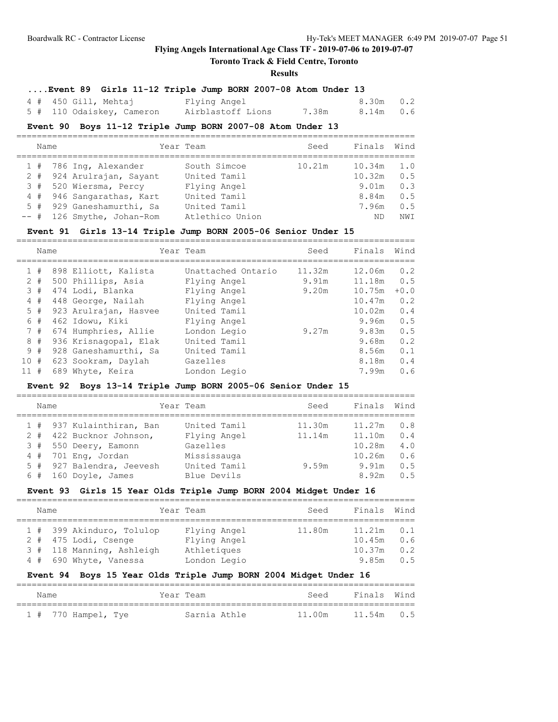# **Toronto Track & Field Centre, Toronto**

### **Results**

# **....Event 89 Girls 11-12 Triple Jump BORN 2007-08 Atom Under 13**

| $4$ # $450$ Gill, Mehtaj  | Flying Angel      |       | 8.30m 0.2 |  |
|---------------------------|-------------------|-------|-----------|--|
| 5 # 110 Odaiskey, Cameron | Airblastoff Lions | 7.38m | 8.14m 0.6 |  |

#### **Event 90 Boys 11-12 Triple Jump BORN 2007-08 Atom Under 13**

| Name |  |                            | Year Team       | Seed   | Finals | Wind            |  |  |  |  |
|------|--|----------------------------|-----------------|--------|--------|-----------------|--|--|--|--|
|      |  | $1$ # 786 Ing, Alexander   | South Simcoe    | 10.21m | 10.34m | 1.0             |  |  |  |  |
|      |  | 2 # 924 Arulrajan, Sayant  | United Tamil    |        | 10.32m | 0.5             |  |  |  |  |
|      |  | 3 # 520 Wiersma, Percy     | Flying Angel    |        | 9.01m  | 0.3             |  |  |  |  |
|      |  | 4 # 946 Sangarathas, Kart  | United Tamil    |        | 8.84m  | 0.5             |  |  |  |  |
|      |  | 5 # 929 Ganeshamurthi, Sa  | United Tamil    |        | 7.96m  | 0.5             |  |  |  |  |
|      |  | -- # 126 Smythe, Johan-Rom | Atlethico Union |        | ND     | NW <sub>T</sub> |  |  |  |  |

#### **Event 91 Girls 13-14 Triple Jump BORN 2005-06 Senior Under 15**

|    | Name  |                       | Year Team          | Seed   | Finals | Wind   |
|----|-------|-----------------------|--------------------|--------|--------|--------|
|    | #     | 898 Elliott, Kalista  | Unattached Ontario | 11.32m | 12.06m | 0.2    |
|    | $2 +$ | 500 Phillips, Asia    | Flying Angel       | 9.91m  | 11.18m | 0.5    |
|    | 3#    | 474 Lodi, Blanka      | Flying Angel       | 9.20m  | 10.75m | $+0.0$ |
|    | 4#    | 448 George, Nailah    | Flying Angel       |        | 10.47m | 0.2    |
|    | 5#    | 923 Arulrajan, Hasvee | United Tamil       |        | 10.02m | 0.4    |
|    | 6#    | 462 Idowu, Kiki       | Flying Angel       |        | 9.96m  | 0.5    |
|    | 7#    | 674 Humphries, Allie  | London Legio       | 9.27m  | 9.83m  | 0.5    |
|    | 8#    | 936 Krisnagopal, Elak | United Tamil       |        | 9.68m  | 0.2    |
|    | 9#    | 928 Ganeshamurthi, Sa | United Tamil       |        | 8.56m  | 0.1    |
| 10 | #     | 623 Sookram, Daylah   | Gazelles           |        | 8.18m  | 0.4    |
|    | #     | 689 Whyte, Keira      | London Legio       |        | 7.99m  | 0.6    |
|    |       |                       |                    |        |        |        |

# **Event 92 Boys 13-14 Triple Jump BORN 2005-06 Senior Under 15**

| Name  |                           | Year Team    | Seed   | Finals | Wind |
|-------|---------------------------|--------------|--------|--------|------|
|       | 1 # 937 Kulainthiran, Ban | United Tamil | 11.30m | 11.27m | 0.8  |
| $2 +$ | 422 Bucknor Johnson,      | Flying Angel | 11.14m | 11.10m | 0.4  |
| 3#    | 550 Deery, Eamonn         | Gazelles     |        | 10.28m | 4.0  |
| 4#    | 701 Eng, Jordan           | Mississauga  |        | 10.26m | 0.6  |
|       | 5 # 927 Balendra, Jeevesh | United Tamil | 9.59m  | 9.91m  | 0.5  |
| 6#    | 160 Doyle, James          | Blue Devils  |        | 8.92m  | 0.5  |
|       |                           |              |        |        |      |

### **Event 93 Girls 15 Year Olds Triple Jump BORN 2004 Midget Under 16**

| Name |  |                           |  | Year Team    | Seed   | Finals Wind  |     |  |  |  |  |  |
|------|--|---------------------------|--|--------------|--------|--------------|-----|--|--|--|--|--|
|      |  |                           |  |              |        |              |     |  |  |  |  |  |
|      |  | 1 # 399 Akinduro, Tolulop |  | Flying Angel | 11.80m | $11.21m$ 0.1 |     |  |  |  |  |  |
|      |  | $2$ # 475 Lodi, Csenge    |  | Flying Angel |        | 10.45m       | 0.6 |  |  |  |  |  |
|      |  | 3 # 118 Manning, Ashleigh |  | Athletiques  |        | 10.37m       | 0.2 |  |  |  |  |  |
|      |  | 4 # 690 Whyte, Vanessa    |  | London Legio |        | 9.85m        | 0.5 |  |  |  |  |  |

### **Event 94 Boys 15 Year Olds Triple Jump BORN 2004 Midget Under 16**

| Name |                         |  | Year Team    | Seed   |  | Finals Wind |
|------|-------------------------|--|--------------|--------|--|-------------|
|      | $1$ # $770$ Hampel, Tye |  | Sarnia Athle | 11 00m |  | 11.54m 0.5  |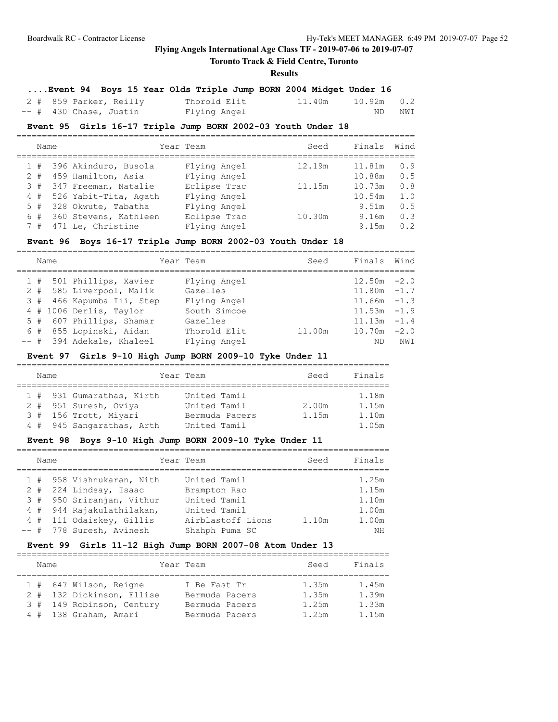# **Toronto Track & Field Centre, Toronto**

#### **Results**

# **....Event 94 Boys 15 Year Olds Triple Jump BORN 2004 Midget Under 16**

| 2 # 859 Parker, Reilly | Thorold Elit | $11.40m$ $10.92m$ $0.2$ |     |     |
|------------------------|--------------|-------------------------|-----|-----|
| -- # 430 Chase, Justin | Flying Angel |                         | ND. | NWI |

### **Event 95 Girls 16-17 Triple Jump BORN 2002-03 Youth Under 18**

|       | Name |                           | Year Team    | Seed   | Finals | Wind |
|-------|------|---------------------------|--------------|--------|--------|------|
|       |      | 1 # 396 Akinduro, Busola  | Flying Angel | 12.19m | 11.81m | 0.9  |
| $2 +$ |      | 459 Hamilton, Asia        | Flying Angel |        | 10.88m | 0.5  |
| 3#    |      | 347 Freeman, Natalie      | Eclipse Trac | 11.15m | 10.73m | 0.8  |
|       |      | 4 # 526 Yabit-Tita, Agath | Flying Angel |        | 10.54m | 1.0  |
|       |      | 5 # 328 Okwute, Tabatha   | Flying Angel |        | 9.51m  | 0.5  |
|       |      | 6 # 360 Stevens, Kathleen | Eclipse Trac | 10.30m | 9.16m  | 0.3  |
| 7#    |      | 471 Le, Christine         | Flying Angel |        | 9.15m  | 0.2  |

### **Event 96 Boys 16-17 Triple Jump BORN 2002-03 Youth Under 18**

|  | Name |                           | Year Team    | Seed   | Finals         | Wind |
|--|------|---------------------------|--------------|--------|----------------|------|
|  |      | 1 # 501 Phillips, Xavier  | Flying Angel |        | $12.50m - 2.0$ |      |
|  |      | 2 # 585 Liverpool, Malik  | Gazelles     |        | $11.80m - 1.7$ |      |
|  |      | 3 # 466 Kapumba Iii, Step | Flying Angel |        | $11.66m - 1.3$ |      |
|  |      | 4 # 1006 Derlis, Taylor   | South Simcoe |        | $11.53m - 1.9$ |      |
|  |      | 5 # 607 Phillips, Shamar  | Gazelles     |        | $11.13m - 1.4$ |      |
|  |      | 6 # 855 Lopinski, Aidan   | Thorold Elit | 11.00m | $10.70m - 2.0$ |      |
|  |      | -- # 394 Adekale, Khaleel | Flying Angel |        | ND             | NWI  |

# **Event 97 Girls 9-10 High Jump BORN 2009-10 Tyke Under 11**

| Name |  |                           | Year Team      | Seed  | Finals |  |  |  |  |  |
|------|--|---------------------------|----------------|-------|--------|--|--|--|--|--|
|      |  |                           |                |       |        |  |  |  |  |  |
|      |  | 1 # 931 Gumarathas, Kirth | United Tamil   |       | 1.18m  |  |  |  |  |  |
|      |  | 2 # 951 Suresh, Oviya     | United Tamil   | 2.00m | 1.15m  |  |  |  |  |  |
|      |  | 3 # 156 Trott, Miyari     | Bermuda Pacers | 1.15m | 1.10m  |  |  |  |  |  |
|      |  | 4 # 945 Sangarathas, Arth | United Tamil   |       | 1.05m  |  |  |  |  |  |

#### **Event 98 Boys 9-10 High Jump BORN 2009-10 Tyke Under 11**

| Name |                           | Year Team         | Seed  | Finals |
|------|---------------------------|-------------------|-------|--------|
|      | 1 # 958 Vishnukaran, Nith | United Tamil      |       | 1.25m  |
|      | 2 # 224 Lindsay, Isaac    | Brampton Rac      |       | 1.15m  |
|      | 3 # 950 Sriranjan, Vithur | United Tamil      |       | 1.10m  |
|      | 4 # 944 Rajakulathilakan, | United Tamil      |       | 1.00m  |
|      | 4 # 111 Odaiskey, Gillis  | Airblastoff Lions | 1.10m | 1.00m  |
|      | -- # 778 Suresh, Avinesh  | Shahph Puma SC    |       | NΗ     |

### **Event 99 Girls 11-12 High Jump BORN 2007-08 Atom Under 13**

| Name |  |                           |  | Year Team      | Seed  | Finals |  |  |  |  |
|------|--|---------------------------|--|----------------|-------|--------|--|--|--|--|
|      |  |                           |  |                |       |        |  |  |  |  |
|      |  | 1 # 647 Wilson, Reigne    |  | I Be Fast Tr   | 1.35m | 1.45m  |  |  |  |  |
|      |  | 2 # 132 Dickinson, Ellise |  | Bermuda Pacers | 1.35m | 1.39m  |  |  |  |  |
|      |  | 3 # 149 Robinson, Century |  | Bermuda Pacers | 1.25m | 1.33m  |  |  |  |  |
|      |  | 4 # 138 Graham, Amari     |  | Bermuda Pacers | 1.25m | 1.15m  |  |  |  |  |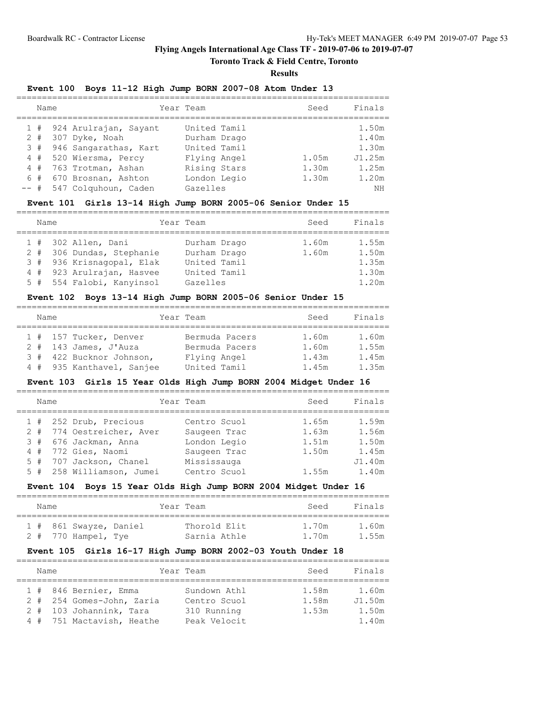# **Toronto Track & Field Centre, Toronto**

**Results**

#### **Event 100 Boys 11-12 High Jump BORN 2007-08 Atom Under 13**

| Name |                           | Year Team    | Seed  | Finals |
|------|---------------------------|--------------|-------|--------|
|      | 1 # 924 Arulrajan, Sayant | United Tamil |       | 1.50m  |
|      | 2 # 307 Dyke, Noah        | Durham Drago |       | 1.40m  |
|      | 3 # 946 Sangarathas, Kart | United Tamil |       | 1.30m  |
|      | 4 # 520 Wiersma, Percy    | Flying Angel | 1.05m | J1.25m |
|      | 4 # 763 Trotman, Ashan    | Rising Stars | 1.30m | 1.25m  |
|      | 6 # 670 Brosnan, Ashton   | London Legio | 1.30m | 1.20m  |
|      | -- # 547 Colquhoun, Caden | Gazelles     |       | NΗ     |

# **Event 101 Girls 13-14 High Jump BORN 2005-06 Senior Under 15**

| Name |                           | Year Team    | Seed  | Finals |
|------|---------------------------|--------------|-------|--------|
|      | 1 # 302 Allen, Dani       | Durham Drago | 1.60m | 1.55m  |
|      | 2 # 306 Dundas, Stephanie | Durham Drago | 1.60m | 1.50m  |
|      | 3 # 936 Krisnagopal, Elak | United Tamil |       | 1.35m  |
|      | 4 # 923 Arulrajan, Hasvee | United Tamil |       | 1.30m  |
|      | 5 # 554 Falobi, Kanyinsol | Gazelles     |       | 1.20m  |

### **Event 102 Boys 13-14 High Jump BORN 2005-06 Senior Under 15**

| Name |  |                           |  | Year Team      |  | Seed  | Finals |  |  |  |  |
|------|--|---------------------------|--|----------------|--|-------|--------|--|--|--|--|
|      |  |                           |  |                |  |       |        |  |  |  |  |
|      |  | 1 # 157 Tucker, Denver    |  | Bermuda Pacers |  | 1.60m | 1.60m  |  |  |  |  |
|      |  | $2$ # 143 James, J'Auza   |  | Bermuda Pacers |  | 1.60m | 1.55m  |  |  |  |  |
|      |  | 3 # 422 Bucknor Johnson,  |  | Flying Angel   |  | 1.43m | 1.45m  |  |  |  |  |
|      |  | 4 # 935 Kanthavel, Sanjee |  | United Tamil   |  | 1.45m | 1.35m  |  |  |  |  |

### **Event 103 Girls 15 Year Olds High Jump BORN 2004 Midget Under 16**

| Name |                           | Year Team    | Seed  | Finals |
|------|---------------------------|--------------|-------|--------|
|      | 1 # 252 Drub, Precious    | Centro Scuol | 1.65m | 1.59m  |
|      | 2 # 774 Oestreicher, Aver | Saugeen Trac | 1.63m | 1.56m  |
|      | 3 # 676 Jackman, Anna     | London Legio | 1.51m | 1.50m  |
|      | 4 # 772 Gies, Naomi       | Saugeen Trac | 1.50m | 1.45m  |
|      | 5 # 707 Jackson, Chanel   | Mississauga  |       | J1.40m |
|      | 5 # 258 Williamson, Jumei | Centro Scuol | 1.55m | 1.40m  |
|      |                           |              |       |        |

### **Event 104 Boys 15 Year Olds High Jump BORN 2004 Midget Under 16**

| Name |                        |  | Year Team    | Seed  | Finals |
|------|------------------------|--|--------------|-------|--------|
|      | 1 # 861 Swayze, Daniel |  | Thorold Elit | 1.70m | 1.60m  |
|      | 2 # 770 Hampel, Tye    |  | Sarnia Athle | 1.70m | 1.55m  |

### **Event 105 Girls 16-17 High Jump BORN 2002-03 Youth Under 18**

| Name |  |                           | Year Team    | Seed  | Finals |  |  |  |  |
|------|--|---------------------------|--------------|-------|--------|--|--|--|--|
|      |  |                           |              |       |        |  |  |  |  |
|      |  | 1 # 846 Bernier, Emma     | Sundown Athl | 1.58m | 1.60m  |  |  |  |  |
|      |  | 2 # 254 Gomes-John, Zaria | Centro Scuol | 1.58m | J1.50m |  |  |  |  |
|      |  | 2 # 103 Johannink, Tara   | 310 Running  | 1.53m | 1.50m  |  |  |  |  |
|      |  | 4 # 751 Mactavish, Heathe | Peak Velocit |       | 1.40m  |  |  |  |  |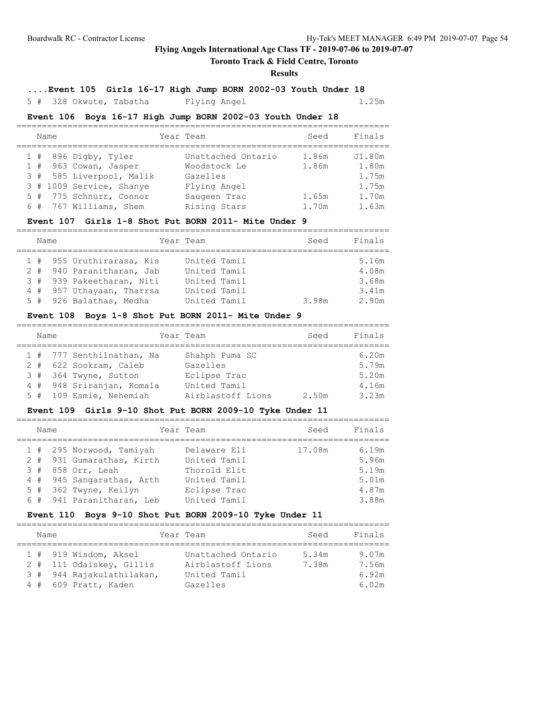# **Toronto Track & Field Centre, Toronto**

### **Results**

**....Event 105 Girls 16-17 High Jump BORN 2002-03 Youth Under 18**

### 5 # 328 Okwute, Tabatha Flying Angel 1.25m

### **Event 106 Boys 16-17 High Jump BORN 2002-03 Youth Under 18**

|  | Name |                          | Year Team          | Seed  | Finals |
|--|------|--------------------------|--------------------|-------|--------|
|  |      | $1$ # 896 Digby, Tyler   | Unattached Ontario | 1.86m | J1.80m |
|  |      | 1 # 963 Cowan, Jasper    | Woodstock Le       | 1.86m | 1.80m  |
|  |      | 3 # 585 Liverpool, Malik | Gazelles           |       | 1.75m  |
|  |      | 3 # 1009 Service, Shanye | Flying Angel       |       | 1.75m  |
|  |      | 5 # 775 Schnurr, Connor  | Saugeen Trac       | 1.65m | 1.70m  |
|  |      | 6 # 767 Williams, Shem   | Rising Stars       | 1.70m | 1.63m  |

### **Event 107 Girls 1-8 Shot Put BORN 2011- Mite Under 9**

| Name |  |                                                                                                                                             | Year Team                                                                    | Seed  | Finals                                    |  |  |  |  |
|------|--|---------------------------------------------------------------------------------------------------------------------------------------------|------------------------------------------------------------------------------|-------|-------------------------------------------|--|--|--|--|
|      |  | 1 # 955 Uruthirarasa, Kis<br>2 # 940 Paranitharan, Jab<br>3 # 939 Pakeetharan, Niti<br>4 # 957 Uthayaan, Tharrsa<br>5 # 926 Balathas, Medha | United Tamil<br>United Tamil<br>United Tamil<br>United Tamil<br>United Tamil | 3.98m | 5.16m<br>4.08m<br>3.68m<br>3.41m<br>2.90m |  |  |  |  |

# **Event 108 Boys 1-8 Shot Put BORN 2011- Mite Under 9**

| Name |                           | Year Team         | Seed  | Finals |
|------|---------------------------|-------------------|-------|--------|
|      | 1 # 777 Senthilnathan, Na | Shahph Puma SC    |       | 6.20m  |
|      | 2 # 622 Sookram, Caleb    | Gazelles          |       | 5.79m  |
|      | 3 # 364 Twyne, Sutton     | Eclipse Trac      |       | 5.20m  |
|      | 4 # 948 Sriranjan, Komala | United Tamil      |       | 4.16m  |
|      | 5 # 109 Esmie, Nehemiah   | Airblastoff Lions | 2.50m | 3.23m  |

### **Event 109 Girls 9-10 Shot Put BORN 2009-10 Tyke Under 11**

| Name |                           | Year Team    | Seed   | Finals |
|------|---------------------------|--------------|--------|--------|
|      | 1 # 295 Norwood, Tamiyah  | Delaware Eli | 17.08m | 6.19m  |
|      | 2 # 931 Gumarathas, Kirth | United Tamil |        | 5.96m  |
|      | 3 # 858 Orr, Leah         | Thorold Elit |        | 5.19m  |
|      | 4 # 945 Sangarathas, Arth | United Tamil |        | 5.01m  |
|      | 5 # 362 Twyne, Keilyn     | Eclipse Trac |        | 4.87m  |
|      | 6 # 941 Paranitharan, Leb | United Tamil |        | 3.88m  |

#### **Event 110 Boys 9-10 Shot Put BORN 2009-10 Tyke Under 11**

| Name |  |                                                                                                          |  | Year Team                                                           | Seed           | Finals                           |  |  |  |
|------|--|----------------------------------------------------------------------------------------------------------|--|---------------------------------------------------------------------|----------------|----------------------------------|--|--|--|
|      |  | $1$ # 919 Wisdom, Aksel<br>2 # 111 Odaiskey, Gillis<br>3 # 944 Rajakulathilakan,<br>4 # 609 Pratt, Kaden |  | Unattached Ontario<br>Airblastoff Lions<br>United Tamil<br>Gazelles | 5.34m<br>7.38m | 9.07m<br>7.56m<br>6.92m<br>6.02m |  |  |  |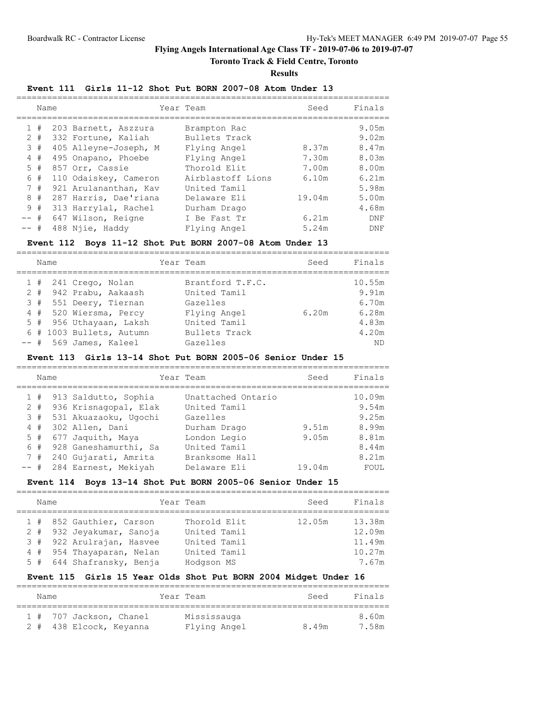# **Toronto Track & Field Centre, Toronto**

**Results**

### **Event 111 Girls 11-12 Shot Put BORN 2007-08 Atom Under 13**

|        | Name  |                       | Year Team         | Seed   | Finals |
|--------|-------|-----------------------|-------------------|--------|--------|
|        | #     | 203 Barnett, Aszzura  | Brampton Rac      |        | 9.05m  |
|        | $2 +$ | 332 Fortune, Kaliah   | Bullets Track     |        | 9.02m  |
|        | 3#    | 405 Alleyne-Joseph, M | Flying Angel      | 8.37m  | 8.47m  |
|        | 4#    | 495 Onapano, Phoebe   | Flying Angel      | 7.30m  | 8.03m  |
|        | 5#    | 857 Orr, Cassie       | Thorold Elit      | 7.00m  | 8.00m  |
|        | 6 #   | 110 Odaiskey, Cameron | Airblastoff Lions | 6.10m  | 6.21m  |
|        | 7#    | 921 Arulananthan, Kav | United Tamil      |        | 5.98m  |
| 8      | #     | 287 Harris, Dae'riana | Delaware Eli      | 19.04m | 5.00m  |
|        | 9#    | 313 Harrylal, Rachel  | Durham Drago      |        | 4.68m  |
| $--$ # |       | 647 Wilson, Reigne    | I Be Fast Tr      | 6.21m  | DNF    |
| -- #   |       | 488 Njie, Haddy       | Flying Angel      | 5.24m  | DNF    |

### **Event 112 Boys 11-12 Shot Put BORN 2007-08 Atom Under 13**

|  | Name |                          | Year Team        | Seed  | Finals |
|--|------|--------------------------|------------------|-------|--------|
|  |      | $1$ # 241 Crego, Nolan   | Brantford T.F.C. |       | 10.55m |
|  |      | 2 # 942 Prabu, Aakaash   | United Tamil     |       | 9.91m  |
|  |      | 3 # 551 Deery, Tiernan   | Gazelles         |       | 6.70m  |
|  |      | 4 # 520 Wiersma, Percy   | Flying Angel     | 6.20m | 6.28m  |
|  |      | 5 # 956 Uthayaan, Laksh  | United Tamil     |       | 4.83m  |
|  |      | 6 # 1003 Bullets, Autumn | Bullets Track    |       | 4.20m  |
|  |      | $--$ # 569 James, Kaleel | Gazelles         |       | ND     |

#### **Event 113 Girls 13-14 Shot Put BORN 2005-06 Senior Under 15**

|        | Name  |                          | Year Team          | Seed   | Finals |
|--------|-------|--------------------------|--------------------|--------|--------|
|        |       | 1 # 913 Saldutto, Sophia | Unattached Ontario |        | 10.09m |
|        | $2 +$ | 936 Krisnaqopal, Elak    | United Tamil       |        | 9.54m  |
|        | 3#    | 531 Akuazaoku, Ugochi    | Gazelles           |        | 9.25m  |
|        | 4#    | 302 Allen, Dani          | Durham Drago       | 9.51m  | 8.99m  |
|        | $5 +$ | 677 Jaquith, Maya        | London Legio       | 9.05m  | 8.81m  |
|        | 6#    | 928 Ganeshamurthi, Sa    | United Tamil       |        | 8.44m  |
|        | 7#    | 240 Gujarati, Amrita     | Branksome Hall     |        | 8.21m  |
| $--$ # |       | 284 Earnest, Mekiyah     | Delaware Eli       | 19.04m | FOUL   |

### **Event 114 Boys 13-14 Shot Put BORN 2005-06 Senior Under 15**

| Name |                           | Year Team    | Seed   | Finals |
|------|---------------------------|--------------|--------|--------|
|      | 1 # 852 Gauthier, Carson  | Thorold Elit | 12.05m | 13.38m |
|      | 2 # 932 Jeyakumar, Sanoja | United Tamil |        | 12.09m |
|      | 3 # 922 Arulrajan, Hasvee | United Tamil |        | 11.49m |
|      | 4 # 954 Thayaparan, Nelan | United Tamil |        | 10.27m |
|      | 5 # 644 Shafransky, Benja | Hodgson MS   |        | 7.67m  |

### **Event 115 Girls 15 Year Olds Shot Put BORN 2004 Midget Under 16**

| Name |                         | Year Team    | Seed  | Finals |
|------|-------------------------|--------------|-------|--------|
|      | 1 # 707 Jackson, Chanel | Mississauga  |       | 8.60m  |
|      | 2 # 438 Elcock, Keyanna | Flying Angel | 8.49m | 7.58m  |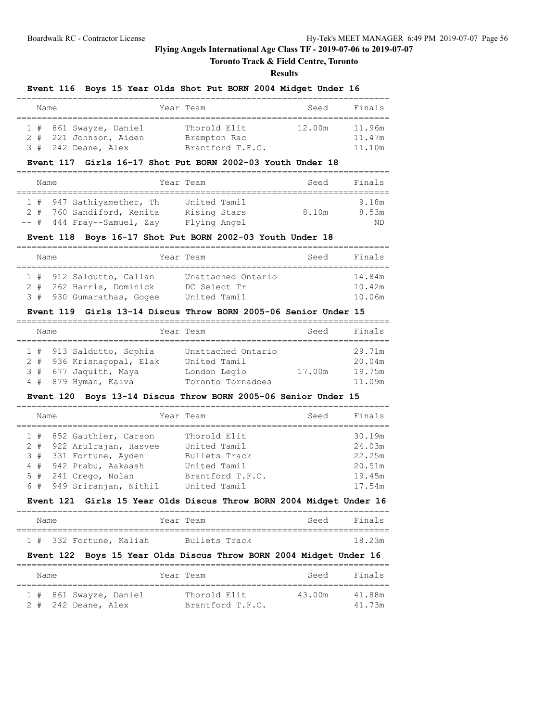### **Toronto Track & Field Centre, Toronto**

#### **Results**

#### **Event 116 Boys 15 Year Olds Shot Put BORN 2004 Midget Under 16**

| Name |                        | Year Team        | Seed   | Finals |
|------|------------------------|------------------|--------|--------|
|      |                        |                  |        |        |
|      | 1 # 861 Swayze, Daniel | Thorold Elit     | 12.00m | 11.96m |
|      | 2 # 221 Johnson, Aiden | Brampton Rac     |        | 11.47m |
|      | $3$ # 242 Deane, Alex  | Brantford T.F.C. |        | 11.10m |

#### **Event 117 Girls 16-17 Shot Put BORN 2002-03 Youth Under 18**

| Name |  |  | Year Team                    | Seed         | Finals |       |
|------|--|--|------------------------------|--------------|--------|-------|
|      |  |  |                              |              |        |       |
|      |  |  | 1 # 947 Sathiyamether, Th    | United Tamil |        | 9.18m |
|      |  |  | 2 # 760 Sandiford, Renita    | Rising Stars | 8.10m  | 8.53m |
|      |  |  | $--$ # 444 Fray--Samuel, Zay | Flying Angel |        | ND.   |

#### **Event 118 Boys 16-17 Shot Put BORN 2002-03 Youth Under 18**

| Name |  |  | Year Team                 | Seed | Finals             |  |        |  |  |  |  |
|------|--|--|---------------------------|------|--------------------|--|--------|--|--|--|--|
|      |  |  |                           |      |                    |  |        |  |  |  |  |
|      |  |  | 1 # 912 Saldutto, Callan  |      | Unattached Ontario |  | 14.84m |  |  |  |  |
|      |  |  | 2 # 262 Harris, Dominick  |      | DC Select Tr       |  | 10.42m |  |  |  |  |
|      |  |  | 3 # 930 Gumarathas, Gogee |      | United Tamil       |  | 10.06m |  |  |  |  |

#### **Event 119 Girls 13-14 Discus Throw BORN 2005-06 Senior Under 15**

| Name |  |                           | Year Team          | Seed   | Finals |
|------|--|---------------------------|--------------------|--------|--------|
|      |  |                           |                    |        |        |
|      |  | 1 # 913 Saldutto, Sophia  | Unattached Ontario |        | 29.71m |
|      |  | 2 # 936 Krisnagopal, Elak | United Tamil       |        | 20.04m |
|      |  | 3 # 677 Jaquith, Maya     | London Legio       | 17.00m | 19.75m |
|      |  | 4 # 879 Hyman, Kaiva      | Toronto Tornadoes  |        | 11.09m |

#### **Event 120 Boys 13-14 Discus Throw BORN 2005-06 Senior Under 15**

| Name |  |                                                     | Year Team                     | Seed | Finals           |
|------|--|-----------------------------------------------------|-------------------------------|------|------------------|
|      |  | 1 # 852 Gauthier, Carson                            | Thorold Elit                  |      | 30.19m           |
|      |  | 2 # 922 Arulrajan, Hasvee<br>3 # 331 Fortune, Ayden | United Tamil<br>Bullets Track |      | 24.03m<br>22.25m |
|      |  | 4 # 942 Prabu, Aakaash                              | United Tamil                  |      | 20.51m           |
|      |  | 5 # 241 Crego, Nolan                                | Brantford T.F.C.              |      | 19.45m           |
|      |  | 6 # 949 Sriranjan, Nithil                           | United Tamil                  |      | 17.54m           |

#### **Event 121 Girls 15 Year Olds Discus Throw BORN 2004 Midget Under 16** =========================================================================

| Name |                         |  | Year Team     |  | Seed | Finals |
|------|-------------------------|--|---------------|--|------|--------|
|      |                         |  |               |  |      |        |
|      | 1 # 332 Fortune, Kaliah |  | Bullets Track |  |      | 18.23m |

#### **Event 122 Boys 15 Year Olds Discus Throw BORN 2004 Midget Under 16**

| Name |                        | Year Team        | Seed   | Finals |
|------|------------------------|------------------|--------|--------|
|      | 1 # 861 Swayze, Daniel | Thorold Elit     | 43.00m | 41 88m |
|      | 2 # 242 Deane, Alex    | Brantford T.F.C. |        | 41 73m |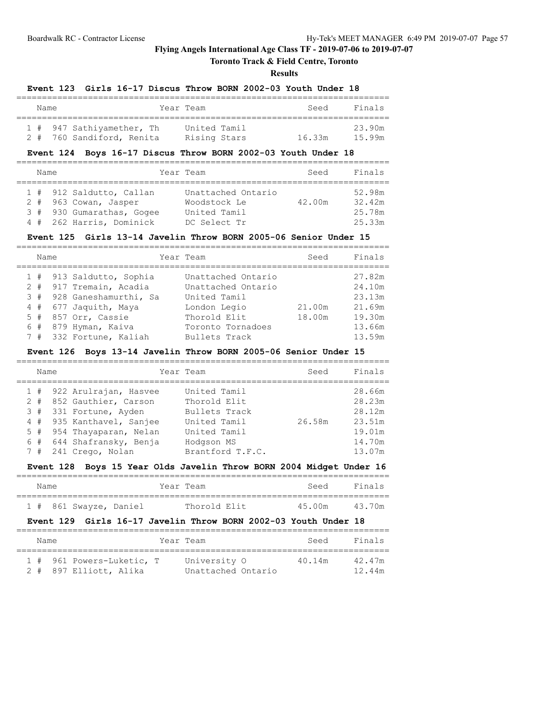# **Toronto Track & Field Centre, Toronto**

**Results**

#### **Event 123 Girls 16-17 Discus Throw BORN 2002-03 Youth Under 18**

|  | Name |                           | Year Team    | Seed   | Finals |
|--|------|---------------------------|--------------|--------|--------|
|  |      | 1 # 947 Sathiyamether, Th | United Tamil |        | 23.90m |
|  |      | 2 # 760 Sandiford, Renita | Rising Stars | 16.33m | 15 99m |

# **Event 124 Boys 16-17 Discus Throw BORN 2002-03 Youth Under 18**

| Name |  |  | Year Team                 | Seed | Finals             |        |        |  |  |  |  |
|------|--|--|---------------------------|------|--------------------|--------|--------|--|--|--|--|
|      |  |  |                           |      |                    |        |        |  |  |  |  |
|      |  |  | 1 # 912 Saldutto, Callan  |      | Unattached Ontario |        | 52.98m |  |  |  |  |
|      |  |  | 2 # 963 Cowan, Jasper     |      | Woodstock Le       | 42.00m | 32.42m |  |  |  |  |
|      |  |  | 3 # 930 Gumarathas, Gogee |      | United Tamil       |        | 25.78m |  |  |  |  |
|      |  |  | 4 # 262 Harris, Dominick  |      | DC Select Tr       |        | 25.33m |  |  |  |  |

#### **Event 125 Girls 13-14 Javelin Throw BORN 2005-06 Senior Under 15**

| Name |  |                                                                                                                                                                                 | Year Team                                                                                                                      | Seed             | Finals                                                             |
|------|--|---------------------------------------------------------------------------------------------------------------------------------------------------------------------------------|--------------------------------------------------------------------------------------------------------------------------------|------------------|--------------------------------------------------------------------|
| 5#   |  | 1 # 913 Saldutto, Sophia<br>2 # 917 Tremain, Acadia<br>3 # 928 Ganeshamurthi, Sa<br>4 # 677 Jaquith, Maya<br>857 Orr, Cassie<br>6 # 879 Hyman, Kaiva<br>7 # 332 Fortune, Kaliah | Unattached Ontario<br>Unattached Ontario<br>United Tamil<br>London Legio<br>Thorold Elit<br>Toronto Tornadoes<br>Bullets Track | 21.00m<br>18.00m | 27.82m<br>24.10m<br>23.13m<br>21.69m<br>19.30m<br>13.66m<br>13.59m |

#### **Event 126 Boys 13-14 Javelin Throw BORN 2005-06 Senior Under 15**

| Name |  |                           | Year Team        | Seed   | Finals |
|------|--|---------------------------|------------------|--------|--------|
|      |  | 1 # 922 Arulrajan, Hasvee | United Tamil     |        | 28.66m |
|      |  | 2 # 852 Gauthier, Carson  | Thorold Elit     |        | 28.23m |
|      |  | 3 # 331 Fortune, Ayden    | Bullets Track    |        | 28.12m |
|      |  | 4 # 935 Kanthavel, Sanjee | United Tamil     | 26.58m | 23.51m |
|      |  | 5 # 954 Thayaparan, Nelan | United Tamil     |        | 19.01m |
|      |  | 6 # 644 Shafransky, Benja | Hodgson MS       |        | 14.70m |
|      |  | 7 # 241 Crego, Nolan      | Brantford T.F.C. |        | 13.07m |

### **Event 128 Boys 15 Year Olds Javelin Throw BORN 2004 Midget Under 16**

| Name |                        |  | Year Team    | Seed   | Finals |
|------|------------------------|--|--------------|--------|--------|
|      | 1 # 861 Swayze, Daniel |  | Thorold Elit | 45.00m | 43.70m |

### **Event 129 Girls 16-17 Javelin Throw BORN 2002-03 Youth Under 18**

|  | Name |                           | Year Team |                    | Seed   | Finals |
|--|------|---------------------------|-----------|--------------------|--------|--------|
|  |      |                           |           |                    |        |        |
|  |      | 1 # 961 Powers-Luketic, T |           | University O       | 40.14m | 42.47m |
|  |      | 2 # 897 Elliott, Alika    |           | Unattached Ontario |        | 12.44m |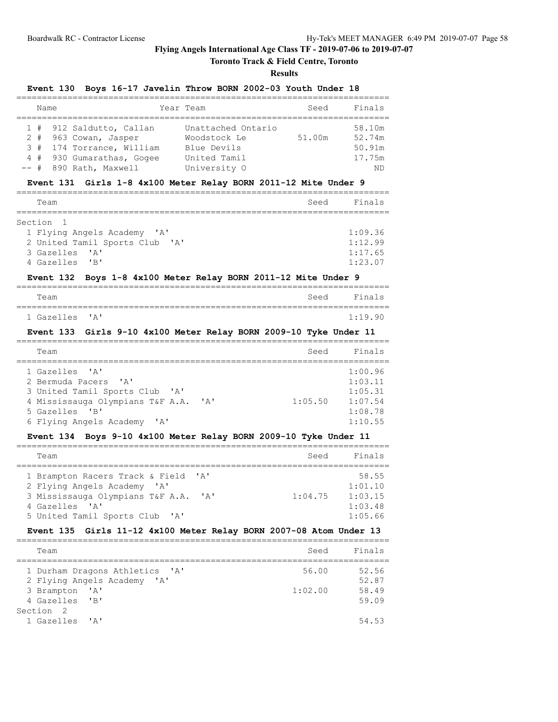# **Toronto Track & Field Centre, Toronto**

#### **Results**

#### **Event 130 Boys 16-17 Javelin Throw BORN 2002-03 Youth Under 18**

| Name |                           | Year Team          | Seed   | Finals |
|------|---------------------------|--------------------|--------|--------|
|      |                           |                    |        |        |
|      | 1 # 912 Saldutto, Callan  | Unattached Ontario |        | 58.10m |
|      | 2 # 963 Cowan, Jasper     | Woodstock Le       | 51.00m | 52.74m |
|      | 3 # 174 Torrance, William | Blue Devils        |        | 50.91m |
|      | 4 # 930 Gumarathas, Gogee | United Tamil       |        | 17.75m |
|      | -- # 890 Rath, Maxwell    | University O       |        | ΝD     |

#### **Event 131 Girls 1-8 4x100 Meter Relay BORN 2011-12 Mite Under 9**

| Team                           | Seed | Finals  |
|--------------------------------|------|---------|
|                                |      |         |
| Section 1                      |      |         |
| 1 Flying Angels Academy 'A'    |      | 1:09.36 |
| 2 United Tamil Sports Club 'A' |      | 1:12.99 |
| 3 Gazelles 'A'                 |      | 1:17.65 |
| 4 Gazelles 'B'                 |      | 1:23.07 |

### **Event 132 Boys 1-8 4x100 Meter Relay BORN 2011-12 Mite Under 9**

| Team           |  |  | Seed Finals |
|----------------|--|--|-------------|
|                |  |  |             |
| 1 Gazelles 'A' |  |  | 1:19.90     |

#### **Event 133 Girls 9-10 4x100 Meter Relay BORN 2009-10 Tyke Under 11**

| Team                                                     |                                                                                                   |                                | Seed    | Finals                                                         |
|----------------------------------------------------------|---------------------------------------------------------------------------------------------------|--------------------------------|---------|----------------------------------------------------------------|
| 1 Gazelles 'A'<br>2 Bermuda Pacers 'A'<br>5 Gazelles 'B' | 3 United Tamil Sports Club 'A'<br>4 Mississauga Olympians T&F A.A.<br>6 Flying Angels Academy 'A' | $\mathsf{I} \wedge \mathsf{I}$ | 1:05.50 | 1:00.96<br>1:03.11<br>1:05.31<br>1:07.54<br>1:08.78<br>1:10.55 |

# **Event 134 Boys 9-10 4x100 Meter Relay BORN 2009-10 Tyke Under 11**

| Team                                       |                           | Seed    | Finals  |
|--------------------------------------------|---------------------------|---------|---------|
|                                            |                           |         |         |
| 1 Brampton Racers Track & Field 'A'        |                           |         | 58.55   |
| 2 Flying Angels Academy 'A'                |                           |         | 1:01.10 |
| 3 Mississauga Olympians T&F A.A.           | $\mathsf{r}_{\mathsf{A}}$ | 1:04.75 | 1:03.15 |
| 4 Gazelles 'A'                             |                           |         | 1:03.48 |
| 5 United Tamil Sports Club<br>$\mathsf{A}$ |                           |         | 1:05.66 |

#### **Event 135 Girls 11-12 4x100 Meter Relay BORN 2007-08 Atom Under 13** =========================================================================

| Team                                                          | Seed    | Finals         |
|---------------------------------------------------------------|---------|----------------|
| 1 Durham Dragons Athletics 'A'<br>2 Flying Angels Academy 'A' | 56.00   | 52.56<br>52.87 |
| 3 Brampton 'A'<br>4 Gazelles 'B'                              | 1:02.00 | 58.49<br>59.09 |
| Section <sub>2</sub><br>1 Gazelles 'A'                        |         | 54.53          |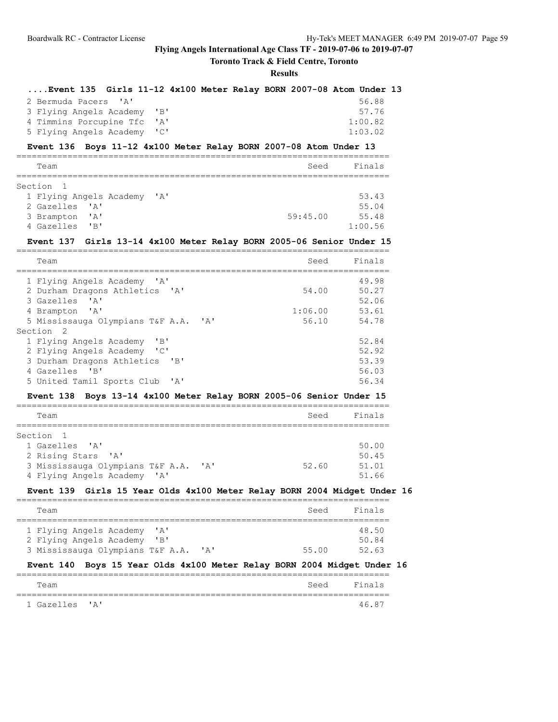# **Toronto Track & Field Centre, Toronto**

# **Results**

| Event 135 Girls 11-12 4x100 Meter Relay BORN 2007-08 Atom Under 13                 |          |           |
|------------------------------------------------------------------------------------|----------|-----------|
| ' A'<br>2 Bermuda Pacers                                                           |          | 56.88     |
| "B"<br>3 Flying Angels Academy                                                     |          | 57.76     |
| 4 Timmins Porcupine Tfc<br>' A'                                                    |          | 1:00.82   |
| 5 Flying Angels Academy<br>"C"                                                     |          | 1:03.02   |
| Event 136 Boys 11-12 4x100 Meter Relay BORN 2007-08 Atom Under 13                  |          |           |
| Team                                                                               | Seed     | Finals    |
| Section<br>1                                                                       |          |           |
| 1 Flying Angels Academy 'A'                                                        |          | 53.43     |
| $\mathsf{A}$<br>2 Gazelles                                                         |          | 55.04     |
| "A"<br>3 Brampton                                                                  | 59:45.00 | 55.48     |
| "B"<br>4 Gazelles                                                                  |          | 1:00.56   |
| Event 137 Girls 13-14 4x100 Meter Relay BORN 2005-06 Senior Under 15               |          |           |
| ----------------------<br>Team                                                     | Seed     | Finals    |
| ============================                                                       |          | ========= |
| 1 Flying Angels Academy 'A'                                                        |          | 49.98     |
| 2 Durham Dragons Athletics<br>$^{\prime}$ A $^{\prime}$                            | 54.00    | 50.27     |
| ' A'<br>3 Gazelles                                                                 |          | 52.06     |
| '' A '<br>4 Brampton                                                               | 1:06.00  | 53.61     |
| 5 Mississauga Olympians T&F A.A.<br>$^{\prime}$ A $^{\prime}$<br>Section<br>- 2    | 56.10    | 54.78     |
| "B"<br>1 Flying Angels Academy                                                     |          | 52.84     |
| 2 Flying Angels Academy<br>$^{\prime}$ C $^{\prime}$                               |          | 52.92     |
| 3 Durham Dragons Athletics<br>"B"                                                  |          | 53.39     |
| "B"<br>4 Gazelles                                                                  |          | 56.03     |
| 5 United Tamil Sports Club<br>'A'                                                  |          | 56.34     |
| Boys 13-14 4x100 Meter Relay BORN 2005-06 Senior Under 15<br><b>Event 138</b>      |          |           |
| Team                                                                               | Seed     | Finals    |
|                                                                                    |          |           |
| Section<br>-1                                                                      |          |           |
| 1 Gazelles<br>$^{\prime}$ A $^{\prime}$                                            |          | 50.00     |
| 2 Rising Stars<br>$\mathsf{A}$                                                     |          | 50.45     |
| 3 Mississauga Olympians T&F A.A.<br>'A'                                            | 52.60    | 51.01     |
| 4 Flying Angels Academy 'A'                                                        |          | 51.66     |
| Girls 15 Year Olds 4x100 Meter Relay BORN 2004 Midget Under 16<br><b>Event 139</b> |          |           |
| Team                                                                               | Seed     | Finals    |
| ' A '                                                                              |          | 48.50     |
| 1 Flying Angels Academy<br>"B"                                                     |          | 50.84     |
| 2 Flying Angels Academy<br>3 Mississauga Olympians T&F A.A.<br>' A '               | 55.00    | 52.63     |
| Boys 15 Year Olds 4x100 Meter Relay BORN 2004 Midget Under 16<br>Event 140         |          |           |
|                                                                                    |          |           |
| Team                                                                               | Seed     | Finals    |
|                                                                                    |          |           |

1 Gazelles 'A' 46.87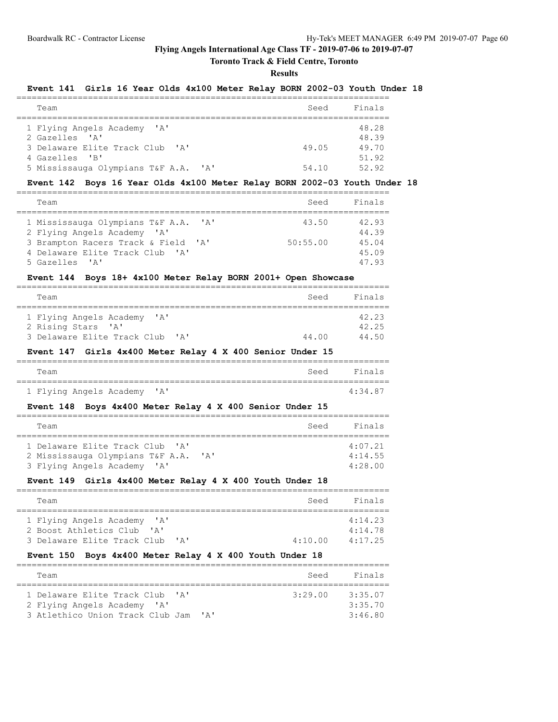### **Toronto Track & Field Centre, Toronto**

**Results**

#### **Event 141 Girls 16 Year Olds 4x100 Meter Relay BORN 2002-03 Youth Under 18**

| Team                                             | Seed  | Finals |
|--------------------------------------------------|-------|--------|
|                                                  |       |        |
| 1 Flying Angels Academy 'A'                      |       | 48.28  |
| 2 Gazelles 'A'                                   |       | 48.39  |
| 3 Delaware Elite Track Club 'A'                  | 49.05 | 49.70  |
| 4 Gazelles 'B'                                   |       | 51.92  |
| 5 Mississauga Olympians T&F A.A.<br>$\mathsf{A}$ | 54.10 | 52 92  |

#### **Event 142 Boys 16 Year Olds 4x100 Meter Relay BORN 2002-03 Youth Under 18**

| Team                                 | Seed     | Finals |
|--------------------------------------|----------|--------|
| 1 Mississauga Olympians T&F A.A. 'A' | 43.50    | 42.93  |
| 2 Flying Angels Academy 'A'          |          | 44.39  |
| 3 Brampton Racers Track & Field 'A'  | 50:55.00 | 45.04  |
| 4 Delaware Elite Track Club 'A'      |          | 45.09  |
| 5 Gazelles 'A'                       |          | 47.93  |

### **Event 144 Boys 18+ 4x100 Meter Relay BORN 2001+ Open Showcase**

| Team                            | Seed  | Finals |
|---------------------------------|-------|--------|
|                                 |       |        |
| 1 Flying Angels Academy 'A'     |       | 42.23  |
| 2 Rising Stars 'A'              |       | 42.25  |
| 3 Delaware Elite Track Club 'A' | 44.00 | 44 50  |

### **Event 147 Girls 4x400 Meter Relay 4 X 400 Senior Under 15**

| Team |                             |  | Seed Finals |         |
|------|-----------------------------|--|-------------|---------|
|      |                             |  |             |         |
|      | 1 Flying Angels Academy 'A' |  |             | 4:34.87 |

### **Event 148 Boys 4x400 Meter Relay 4 X 400 Senior Under 15**

| Team                                             | Seed | Finals  |  |  |  |  |  |  |
|--------------------------------------------------|------|---------|--|--|--|--|--|--|
|                                                  |      |         |  |  |  |  |  |  |
| 1 Delaware Elite Track Club 'A'                  |      | 4:07.21 |  |  |  |  |  |  |
| 2 Mississauga Olympians T&F A.A.<br>$\mathsf{A}$ |      | 4:14.55 |  |  |  |  |  |  |
| 3 Flying Angels Academy 'A'                      |      | 4:28.00 |  |  |  |  |  |  |

# **Event 149 Girls 4x400 Meter Relay 4 X 400 Youth Under 18**

| Team                                                                               | Seed    | Finals             |  |  |  |  |  |
|------------------------------------------------------------------------------------|---------|--------------------|--|--|--|--|--|
| 1 Flying Angels Academy 'A'<br>2 Boost Athletics Club<br>$\mathbf{1}$ $\mathbf{A}$ |         | 4:14.23<br>4:14.78 |  |  |  |  |  |
| 3 Delaware Elite Track Club<br>$\mathsf{r}_{\mathsf{A}}$                           | 4:10.00 | 4:17.25            |  |  |  |  |  |

### **Event 150 Boys 4x400 Meter Relay 4 X 400 Youth Under 18**

| Team                                                          | Seed    | Finals  |  |  |  |  |  |
|---------------------------------------------------------------|---------|---------|--|--|--|--|--|
|                                                               |         |         |  |  |  |  |  |
| 1 Delaware Elite Track Club 'A'                               | 3:29.00 | 3:35.07 |  |  |  |  |  |
| 2 Flying Angels Academy 'A'                                   |         | 3:35.70 |  |  |  |  |  |
| 3 Atlethico Union Track Club Jam<br>$\mathsf{r}_{\mathsf{A}}$ |         | 3:46.80 |  |  |  |  |  |